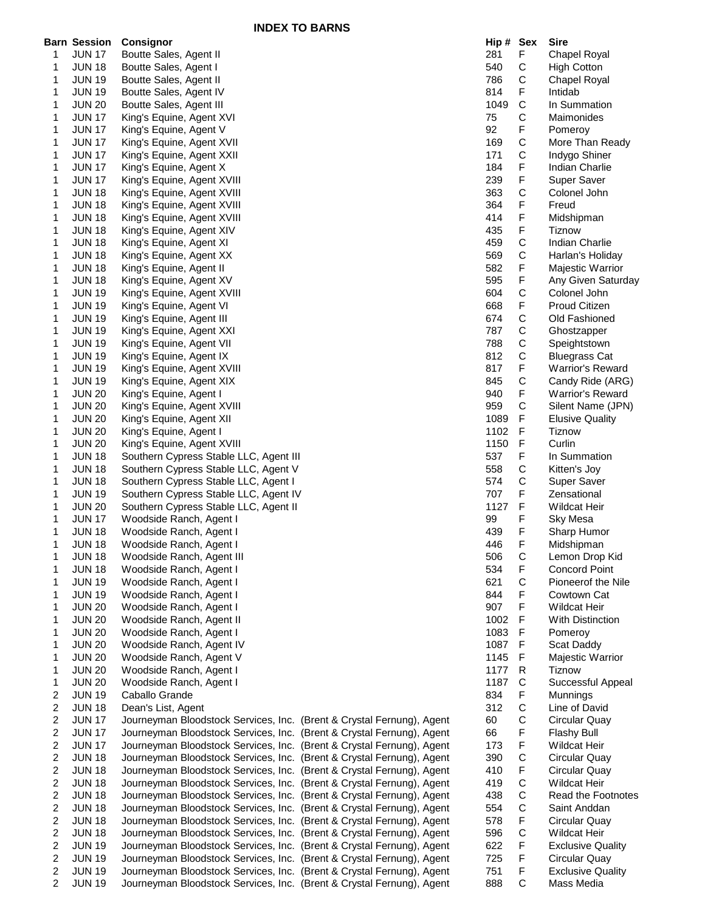**INDEX TO BARNS**

|   | <b>Barn Session</b> | Consignor                                                             | Hip # Sex |              | Sire                     |
|---|---------------------|-----------------------------------------------------------------------|-----------|--------------|--------------------------|
| 1 | <b>JUN 17</b>       | Boutte Sales, Agent II                                                | 281       | F            | Chapel Royal             |
| 1 | <b>JUN 18</b>       | Boutte Sales, Agent I                                                 | 540       | С            | <b>High Cotton</b>       |
| 1 | <b>JUN 19</b>       | Boutte Sales, Agent II                                                | 786       | С            | Chapel Royal             |
| 1 | <b>JUN 19</b>       | Boutte Sales, Agent IV                                                | 814       | F            | Intidab                  |
| 1 | <b>JUN 20</b>       | Boutte Sales, Agent III                                               | 1049      | $\mathsf C$  | In Summation             |
| 1 | <b>JUN 17</b>       | King's Equine, Agent XVI                                              | 75        | С            | Maimonides               |
| 1 | <b>JUN 17</b>       | King's Equine, Agent V                                                | 92        | F            |                          |
|   |                     |                                                                       |           |              | Pomeroy                  |
| 1 | <b>JUN 17</b>       | King's Equine, Agent XVII                                             | 169       | C            | More Than Ready          |
| 1 | <b>JUN 17</b>       | King's Equine, Agent XXII                                             | 171       | C            | Indygo Shiner            |
| 1 | <b>JUN 17</b>       | King's Equine, Agent X                                                | 184       | F            | Indian Charlie           |
| 1 | <b>JUN 17</b>       | King's Equine, Agent XVIII                                            | 239       | F            | Super Saver              |
| 1 | <b>JUN 18</b>       | King's Equine, Agent XVIII                                            | 363       | С            | Colonel John             |
| 1 | <b>JUN 18</b>       | King's Equine, Agent XVIII                                            | 364       | F            | Freud                    |
| 1 | <b>JUN 18</b>       | King's Equine, Agent XVIII                                            | 414       | F            | Midshipman               |
| 1 | <b>JUN 18</b>       | King's Equine, Agent XIV                                              | 435       | F            | <b>Tiznow</b>            |
| 1 | <b>JUN 18</b>       | King's Equine, Agent XI                                               | 459       | $\mathsf C$  | Indian Charlie           |
|   |                     |                                                                       | 569       | C            |                          |
| 1 | <b>JUN 18</b>       | King's Equine, Agent XX                                               |           |              | Harlan's Holiday         |
| 1 | <b>JUN 18</b>       | King's Equine, Agent II                                               | 582       | F            | Majestic Warrior         |
| 1 | <b>JUN 18</b>       | King's Equine, Agent XV                                               | 595       | F            | Any Given Saturday       |
| 1 | <b>JUN 19</b>       | King's Equine, Agent XVIII                                            | 604       | С            | Colonel John             |
| 1 | <b>JUN 19</b>       | King's Equine, Agent VI                                               | 668       | F            | Proud Citizen            |
| 1 | <b>JUN 19</b>       | King's Equine, Agent III                                              | 674       | C            | Old Fashioned            |
| 1 | <b>JUN 19</b>       | King's Equine, Agent XXI                                              | 787       | С            | Ghostzapper              |
| 1 | <b>JUN 19</b>       | King's Equine, Agent VII                                              | 788       | С            | Speightstown             |
| 1 | <b>JUN 19</b>       | King's Equine, Agent IX                                               | 812       | С            | <b>Bluegrass Cat</b>     |
| 1 | <b>JUN 19</b>       | King's Equine, Agent XVIII                                            | 817       | F            | <b>Warrior's Reward</b>  |
| 1 | <b>JUN 19</b>       | King's Equine, Agent XIX                                              | 845       | С            | Candy Ride (ARG)         |
| 1 | <b>JUN 20</b>       |                                                                       | 940       | F            | <b>Warrior's Reward</b>  |
|   |                     | King's Equine, Agent I                                                | 959       | С            |                          |
| 1 | <b>JUN 20</b>       | King's Equine, Agent XVIII                                            |           |              | Silent Name (JPN)        |
| 1 | <b>JUN 20</b>       | King's Equine, Agent XII                                              | 1089      | F            | <b>Elusive Quality</b>   |
| 1 | <b>JUN 20</b>       | King's Equine, Agent I                                                | 1102      | $\mathsf F$  | Tiznow                   |
| 1 | <b>JUN 20</b>       | King's Equine, Agent XVIII                                            | 1150      | F            | Curlin                   |
| 1 | <b>JUN 18</b>       | Southern Cypress Stable LLC, Agent III                                | 537       | F            | In Summation             |
| 1 | <b>JUN 18</b>       | Southern Cypress Stable LLC, Agent V                                  | 558       | С            | Kitten's Joy             |
| 1 | <b>JUN 18</b>       | Southern Cypress Stable LLC, Agent I                                  | 574       | С            | Super Saver              |
| 1 | <b>JUN 19</b>       | Southern Cypress Stable LLC, Agent IV                                 | 707       | F            | Zensational              |
| 1 | <b>JUN 20</b>       | Southern Cypress Stable LLC, Agent II                                 | 1127      | F            | <b>Wildcat Heir</b>      |
| 1 | <b>JUN 17</b>       | Woodside Ranch, Agent I                                               | 99        | F            | <b>Sky Mesa</b>          |
| 1 | <b>JUN 18</b>       | Woodside Ranch, Agent I                                               | 439       | F            | Sharp Humor              |
| 1 | <b>JUN 18</b>       | Woodside Ranch, Agent I                                               | 446       | F            | Midshipman               |
|   |                     | Woodside Ranch, Agent III                                             |           |              |                          |
| 1 | <b>JUN 18</b>       |                                                                       | 506       | С            | Lemon Drop Kid           |
| 1 | <b>JUN 18</b>       | Woodside Ranch, Agent I                                               | 534       | F            | <b>Concord Point</b>     |
| 1 | <b>JUN 19</b>       | Woodside Ranch, Agent I                                               | 621       | $\mathsf{C}$ | Pioneerof the Nile       |
| 1 | <b>JUN 19</b>       | Woodside Ranch, Agent I                                               | 844       | F            | Cowtown Cat              |
| 1 | <b>JUN 20</b>       | Woodside Ranch, Agent I                                               | 907       | F            | <b>Wildcat Heir</b>      |
| 1 | <b>JUN 20</b>       | Woodside Ranch, Agent II                                              | 1002      | F            | With Distinction         |
| 1 | <b>JUN 20</b>       | Woodside Ranch, Agent I                                               | 1083      | F            | Pomeroy                  |
| 1 | <b>JUN 20</b>       | Woodside Ranch, Agent IV                                              | 1087      | F            | Scat Daddy               |
| 1 | <b>JUN 20</b>       | Woodside Ranch, Agent V                                               | 1145      | F            | Majestic Warrior         |
| 1 | <b>JUN 20</b>       | Woodside Ranch, Agent I                                               | 1177      | R            | Tiznow                   |
| 1 | <b>JUN 20</b>       | Woodside Ranch, Agent I                                               | 1187      | $\mathsf C$  | Successful Appeal        |
| 2 | <b>JUN 19</b>       | Caballo Grande                                                        | 834       | F            | Munnings                 |
| 2 | <b>JUN 18</b>       | Dean's List, Agent                                                    | 312       | $\mathsf C$  | Line of David            |
| 2 | <b>JUN 17</b>       | Journeyman Bloodstock Services, Inc. (Brent & Crystal Fernung), Agent | 60        | С            | Circular Quay            |
|   |                     |                                                                       |           |              |                          |
| 2 | <b>JUN 17</b>       | Journeyman Bloodstock Services, Inc. (Brent & Crystal Fernung), Agent | 66        | F            | <b>Flashy Bull</b>       |
| 2 | <b>JUN 17</b>       | Journeyman Bloodstock Services, Inc. (Brent & Crystal Fernung), Agent | 173       | F            | <b>Wildcat Heir</b>      |
| 2 | <b>JUN 18</b>       | Journeyman Bloodstock Services, Inc. (Brent & Crystal Fernung), Agent | 390       | С            | Circular Quay            |
| 2 | <b>JUN 18</b>       | Journeyman Bloodstock Services, Inc. (Brent & Crystal Fernung), Agent | 410       | F            | Circular Quay            |
| 2 | <b>JUN 18</b>       | Journeyman Bloodstock Services, Inc. (Brent & Crystal Fernung), Agent | 419       | $\mathsf C$  | <b>Wildcat Heir</b>      |
| 2 | <b>JUN 18</b>       | Journeyman Bloodstock Services, Inc. (Brent & Crystal Fernung), Agent | 438       | $\mathsf C$  | Read the Footnotes       |
| 2 | <b>JUN 18</b>       | Journeyman Bloodstock Services, Inc. (Brent & Crystal Fernung), Agent | 554       | C            | Saint Anddan             |
| 2 | <b>JUN 18</b>       | Journeyman Bloodstock Services, Inc. (Brent & Crystal Fernung), Agent | 578       | F            | Circular Quay            |
| 2 | <b>JUN 18</b>       | Journeyman Bloodstock Services, Inc. (Brent & Crystal Fernung), Agent | 596       | С            | <b>Wildcat Heir</b>      |
| 2 | <b>JUN 19</b>       | Journeyman Bloodstock Services, Inc. (Brent & Crystal Fernung), Agent | 622       | F            | <b>Exclusive Quality</b> |
| 2 | <b>JUN 19</b>       | Journeyman Bloodstock Services, Inc. (Brent & Crystal Fernung), Agent | 725       | F            | Circular Quay            |
| 2 | <b>JUN 19</b>       | Journeyman Bloodstock Services, Inc. (Brent & Crystal Fernung), Agent | 751       | F            | <b>Exclusive Quality</b> |
| 2 | <b>JUN 19</b>       | Journeyman Bloodstock Services, Inc. (Brent & Crystal Fernung), Agent | 888       | $\mathsf C$  | Mass Media               |
|   |                     |                                                                       |           |              |                          |

| Hip #        | Sex             | Sire                                      |
|--------------|-----------------|-------------------------------------------|
| 281          | F<br>C          | Chapel Royal                              |
| 540<br>786   | C               | <b>High Cotton</b><br><b>Chapel Royal</b> |
| 814          |                 | Intidab                                   |
| 1049         | FCCFCC          | In Summation                              |
| 75           |                 | Maimonides                                |
| 92           |                 | Pomeroy                                   |
| 169          |                 | More Than Ready                           |
| 171          |                 | Indygo Shiner                             |
| 184          | F               | <b>Indian Charlie</b>                     |
| 239          | F               | Super Saver                               |
| 363          |                 | Colonel John                              |
| 364          | C<br>F          | Freud                                     |
| 414          | F               | Midshipman                                |
| 435          | F               | <b>Tiznow</b>                             |
| 459          | $\mathsf{C}$    | <b>Indian Charlie</b>                     |
| 569          | $\tilde{c}$     | Harlan's Holiday                          |
| 582          | F<br>F<br>C     | Majestic Warrior                          |
| 595          |                 | Any Given Saturday                        |
| 604          |                 | Colonel John                              |
| 668          |                 | <b>Proud Citizen</b>                      |
| 674          |                 | Old Fashioned                             |
| 787          |                 | Ghostzapper                               |
| 788          |                 | Speightstown                              |
| 812          |                 | <b>Bluegrass Cat</b>                      |
| 817          |                 | <b>Warrior's Reward</b>                   |
| 845          | FCCCCFCFC       | Candy Ride (ARG)                          |
| 940          |                 | <b>Warrior's Reward</b>                   |
| 959          |                 | Silent Name (JPN)                         |
| 1089         | F               | <b>Elusive Quality</b>                    |
| 1102         | F               | Tiznow                                    |
| 1150         | F               | Curlin                                    |
| 537          | F               | In Summation                              |
| 558          | $\overline{c}$  | Kitten's Joy                              |
| 574          | $\mathbf{C}$    | Super Saver                               |
| 707          | F               | Zensational                               |
| 1127         | F               | <b>Wildcat Heir</b>                       |
| 99           | F               | <b>Sky Mesa</b>                           |
| 439          | F               | Sharp Humor                               |
| 446          | F               | Midshipman                                |
| 506          | C               | Lemon Drop Kid                            |
| 534          | F               | <b>Concord Point</b>                      |
| 621          | C<br>F          | Pioneerof the Nile                        |
| 844          |                 | Cowtown Cat                               |
| 907          | F               | Wildcat Heir                              |
| 1002<br>1083 | F<br>F          | <b>With Distinction</b>                   |
| 1087         | F               | Pomeroy<br>Scat Daddy                     |
| 1145         | F               | Majestic Warrior                          |
| 1177         |                 | <b>Tiznow</b>                             |
| 1187         |                 | Successful Appeal                         |
| 834          |                 | Munnings                                  |
| 312          |                 | Line of David                             |
| 60           |                 | Circular Quay                             |
| 66           |                 | <b>Flashy Bull</b>                        |
| 173          |                 | Wildcat Heir                              |
| 390          |                 | Circular Quay                             |
| 410          |                 | Circular Quay                             |
| 419          |                 | Wildcat Heir                              |
| 438          |                 | <b>Read the Footnotes</b>                 |
| 554          |                 | Saint Anddan                              |
| 578          |                 | Circular Quay                             |
| 596          | RCFCCFFCFCCCFCF | Wildcat Heir                              |
| 622          |                 | <b>Exclusive Quality</b>                  |
| 725          | F               | Circular Quay                             |
| 751          | F               | <b>Exclusive Quality</b>                  |
| 888          | Ċ               | Mass Media                                |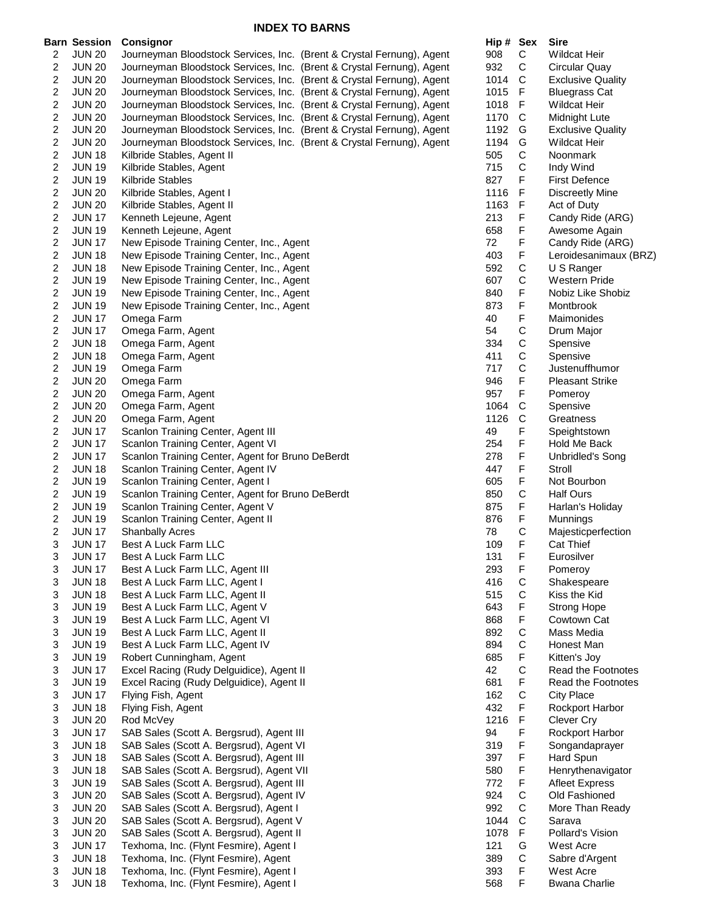|                         | <b>Barn Session</b> | <b>Consignor</b>                                                      | Hip # Sex |              | <b>Sire</b>              |
|-------------------------|---------------------|-----------------------------------------------------------------------|-----------|--------------|--------------------------|
| 2                       | <b>JUN 20</b>       | Journeyman Bloodstock Services, Inc. (Brent & Crystal Fernung), Agent | 908       | C            | <b>Wildcat Heir</b>      |
| 2                       | <b>JUN 20</b>       | Journeyman Bloodstock Services, Inc. (Brent & Crystal Fernung), Agent | 932       | C            | Circular Quay            |
| 2                       | <b>JUN 20</b>       | Journeyman Bloodstock Services, Inc. (Brent & Crystal Fernung), Agent | 1014      | C            | <b>Exclusive Quality</b> |
| 2                       | <b>JUN 20</b>       | Journeyman Bloodstock Services, Inc. (Brent & Crystal Fernung), Agent | 1015      | F            | <b>Bluegrass Cat</b>     |
| 2                       | <b>JUN 20</b>       | Journeyman Bloodstock Services, Inc. (Brent & Crystal Fernung), Agent | 1018      | F.           | <b>Wildcat Heir</b>      |
| 2                       | <b>JUN 20</b>       | Journeyman Bloodstock Services, Inc. (Brent & Crystal Fernung), Agent | 1170      | C            | Midnight Lute            |
| 2                       | <b>JUN 20</b>       | Journeyman Bloodstock Services, Inc. (Brent & Crystal Fernung), Agent | 1192      | G            | <b>Exclusive Quality</b> |
| 2                       | <b>JUN 20</b>       | Journeyman Bloodstock Services, Inc. (Brent & Crystal Fernung), Agent | 1194      | G            | <b>Wildcat Heir</b>      |
| $\boldsymbol{2}$        | <b>JUN 18</b>       | Kilbride Stables, Agent II                                            | 505       | $\mathsf C$  | Noonmark                 |
| $\boldsymbol{2}$        | <b>JUN 19</b>       | Kilbride Stables, Agent                                               | 715       | $\mathsf C$  | Indy Wind                |
| 2                       | <b>JUN 19</b>       | Kilbride Stables                                                      | 827       | F            | <b>First Defence</b>     |
| 2                       | <b>JUN 20</b>       | Kilbride Stables, Agent I                                             | 1116      | F            | Discreetly Mine          |
| 2                       | <b>JUN 20</b>       | Kilbride Stables, Agent II                                            | 1163      | F            | Act of Duty              |
| $\overline{c}$          | <b>JUN 17</b>       | Kenneth Lejeune, Agent                                                | 213       | F            | Candy Ride (ARG)         |
| $\overline{c}$          | <b>JUN 19</b>       | Kenneth Lejeune, Agent                                                | 658       | F            | Awesome Again            |
| $\overline{c}$          | <b>JUN 17</b>       | New Episode Training Center, Inc., Agent                              | 72        | F            | Candy Ride (ARG)         |
| $\overline{\mathbf{c}}$ | <b>JUN 18</b>       | New Episode Training Center, Inc., Agent                              | 403       | F            | Leroidesanimaux (BRZ)    |
|                         |                     |                                                                       | 592       |              | U S Ranger               |
| 2                       | <b>JUN 18</b>       | New Episode Training Center, Inc., Agent                              |           | C            |                          |
| 2                       | <b>JUN 19</b>       | New Episode Training Center, Inc., Agent                              | 607       | $\mathsf C$  | Western Pride            |
| $\boldsymbol{2}$        | <b>JUN 19</b>       | New Episode Training Center, Inc., Agent                              | 840       | F            | Nobiz Like Shobiz        |
| $\boldsymbol{2}$        | <b>JUN 19</b>       | New Episode Training Center, Inc., Agent                              | 873       | F            | Montbrook                |
| 2                       | <b>JUN 17</b>       | Omega Farm                                                            | 40        | F            | Maimonides               |
| 2                       | <b>JUN 17</b>       | Omega Farm, Agent                                                     | 54        | C            | Drum Major               |
| 2                       | <b>JUN 18</b>       | Omega Farm, Agent                                                     | 334       | С            | Spensive                 |
| $\overline{\mathbf{c}}$ | <b>JUN 18</b>       | Omega Farm, Agent                                                     | 411       | С            | Spensive                 |
| $\boldsymbol{2}$        | <b>JUN 19</b>       | Omega Farm                                                            | 717       | C            | Justenuffhumor           |
| $\boldsymbol{2}$        | <b>JUN 20</b>       | Omega Farm                                                            | 946       | F            | <b>Pleasant Strike</b>   |
| 2                       | <b>JUN 20</b>       | Omega Farm, Agent                                                     | 957       | F.           | Pomeroy                  |
| 2                       | <b>JUN 20</b>       | Omega Farm, Agent                                                     | 1064      | C            | Spensive                 |
| 2                       | <b>JUN 20</b>       | Omega Farm, Agent                                                     | 1126      | C            | Greatness                |
| $\boldsymbol{2}$        | <b>JUN 17</b>       | Scanlon Training Center, Agent III                                    | 49        | F            | Speightstown             |
| $\boldsymbol{2}$        | <b>JUN 17</b>       | Scanlon Training Center, Agent VI                                     | 254       | F            | Hold Me Back             |
| 2                       | <b>JUN 17</b>       | Scanlon Training Center, Agent for Bruno DeBerdt                      | 278       | F            | <b>Unbridled's Song</b>  |
| $\overline{\mathbf{c}}$ | <b>JUN 18</b>       | Scanlon Training Center, Agent IV                                     | 447       | F            | Stroll                   |
| 2                       | <b>JUN 19</b>       | Scanlon Training Center, Agent I                                      | 605       | F            | Not Bourbon              |
| 2                       | <b>JUN 19</b>       | Scanlon Training Center, Agent for Bruno DeBerdt                      | 850       | $\mathsf C$  | <b>Half Ours</b>         |
| $\boldsymbol{2}$        | <b>JUN 19</b>       | Scanlon Training Center, Agent V                                      | 875       | F            | Harlan's Holiday         |
| 2                       | <b>JUN 19</b>       | Scanlon Training Center, Agent II                                     | 876       | F            | Munnings                 |
| $\overline{\mathbf{c}}$ | <b>JUN 17</b>       | <b>Shanbally Acres</b>                                                | 78        | $\mathsf C$  | Majesticperfection       |
| 3                       | <b>JUN 17</b>       | Best A Luck Farm LLC                                                  | 109       | F            | Cat Thief                |
| 3                       | <b>JUN 17</b>       | Best A Luck Farm LLC                                                  | 131       | F            | Eurosilver               |
| 3                       | <b>JUN 17</b>       | Best A Luck Farm LLC, Agent III                                       | 293       | F            | Pomeroy                  |
| 3                       | <b>JUN 18</b>       | Best A Luck Farm LLC, Agent I                                         | 416       | $\mathsf C$  | Shakespeare              |
|                         |                     | Best A Luck Farm LLC, Agent II                                        | 515       | C            |                          |
| 3                       | <b>JUN 18</b>       |                                                                       | 643       | F            | Kiss the Kid             |
| 3                       | <b>JUN 19</b>       | Best A Luck Farm LLC, Agent V                                         |           |              | Strong Hope              |
| 3                       | <b>JUN 19</b>       | Best A Luck Farm LLC, Agent VI                                        | 868       | F            | Cowtown Cat              |
| 3                       | <b>JUN 19</b>       | Best A Luck Farm LLC, Agent II                                        | 892       | $\mathsf C$  | Mass Media               |
| 3                       | <b>JUN 19</b>       | Best A Luck Farm LLC, Agent IV                                        | 894       | $\mathsf C$  | Honest Man               |
| 3                       | <b>JUN 19</b>       | Robert Cunningham, Agent                                              | 685       | F            | Kitten's Joy             |
| 3                       | <b>JUN 17</b>       | Excel Racing (Rudy Delguidice), Agent II                              | 42        | $\mathsf C$  | Read the Footnotes       |
| 3                       | <b>JUN 19</b>       | Excel Racing (Rudy Delguidice), Agent II                              | 681       | F            | Read the Footnotes       |
| 3                       | <b>JUN 17</b>       | Flying Fish, Agent                                                    | 162       | C            | <b>City Place</b>        |
| 3                       | <b>JUN 18</b>       | Flying Fish, Agent                                                    | 432       | F            | Rockport Harbor          |
| 3                       | <b>JUN 20</b>       | Rod McVey                                                             | 1216      | $\mathsf F$  | Clever Cry               |
| 3                       | <b>JUN 17</b>       | SAB Sales (Scott A. Bergsrud), Agent III                              | 94        | F            | Rockport Harbor          |
| 3                       | <b>JUN 18</b>       | SAB Sales (Scott A. Bergsrud), Agent VI                               | 319       | F            | Songandaprayer           |
| 3                       | <b>JUN 18</b>       | SAB Sales (Scott A. Bergsrud), Agent III                              | 397       | F            | Hard Spun                |
| 3                       | <b>JUN 18</b>       | SAB Sales (Scott A. Bergsrud), Agent VII                              | 580       | F            | Henrythenavigator        |
| 3                       | <b>JUN 19</b>       | SAB Sales (Scott A. Bergsrud), Agent III                              | 772       | F            | <b>Afleet Express</b>    |
| 3                       | <b>JUN 20</b>       | SAB Sales (Scott A. Bergsrud), Agent IV                               | 924       | $\mathsf C$  | Old Fashioned            |
| 3                       | <b>JUN 20</b>       | SAB Sales (Scott A. Bergsrud), Agent I                                | 992       | C            | More Than Ready          |
| 3                       | <b>JUN 20</b>       | SAB Sales (Scott A. Bergsrud), Agent V                                | 1044      | $\mathsf{C}$ | Sarava                   |
| 3                       | <b>JUN 20</b>       | SAB Sales (Scott A. Bergsrud), Agent II                               | 1078      | F            | Pollard's Vision         |
| 3                       | <b>JUN 17</b>       | Texhoma, Inc. (Flynt Fesmire), Agent I                                | 121       | G            | West Acre                |
| 3                       | <b>JUN 18</b>       | Texhoma, Inc. (Flynt Fesmire), Agent                                  | 389       | $\mathsf C$  | Sabre d'Argent           |
| 3                       | <b>JUN 18</b>       | Texhoma, Inc. (Flynt Fesmire), Agent I                                | 393       | F            | <b>West Acre</b>         |
| 3                       | <b>JUN 18</b>       | Texhoma, Inc. (Flynt Fesmire), Agent I                                | 568       | F            | <b>Bwana Charlie</b>     |
|                         |                     |                                                                       |           |              |                          |

| Hip # | Sex              | Sire                     |
|-------|------------------|--------------------------|
| 908   | С                | <b>Wildcat Heir</b>      |
| 932   | C                | Circular Quay            |
| 1014  | C                | <b>Exclusive Quality</b> |
| 1015  | F                | <b>Bluegrass Cat</b>     |
| 1018  | F                | Wildcat Heir             |
| 1170  | $\mathsf{C}$     | Midnight Lute            |
| 1192  | G                | <b>Exclusive Quality</b> |
| 1194  | G                | Wildcat Heir             |
| 505   | C                | Noonmark                 |
| 715   | $\mathsf{C}$     | Indy Wind                |
| 827   | F                | <b>First Defence</b>     |
| 1116  | F                | Discreetly Mine          |
| 1163  | F                | Act of Duty              |
| 213   | F                | Candy Ride (ARG)         |
| 658   | F                | Awesome Again            |
| 72    | F                | Candy Ride (ARG)         |
| 403   | F                | Leroidesanimaux (BRZ)    |
| 592   | C                | U S Ranger               |
| 607   | C                | Western Pride            |
| 840   | F                | Nobiz Like Shobiz        |
| 873   | F                | Montbrook                |
| 40    | F                | Maimonides               |
| 54    | $\mathsf{C}$     | Drum Major               |
| 334   | C                | Spensive                 |
| 411   |                  | Spensive                 |
| 717   | C<br>C<br>F      | Justenuffhumor           |
| 946   |                  | <b>Pleasant Strike</b>   |
| 957   | F                | Pomeroy                  |
| 1064  | C                | Spensive                 |
| 1126  | C                | Greatness                |
| 49    | F                | Speightstown             |
| 254   | F                | Hold Me Back             |
| 278   | F                | <b>Unbridled's Song</b>  |
|       | F                | Stroll                   |
| 447   | F                |                          |
| 605   | C                | Not Bourbon              |
| 850   | F                | <b>Half Ours</b>         |
| 875   | F                | Harlan's Holiday         |
| 876   | C                | Munnings                 |
| 78    | F                | Majesticperfection       |
| 109   |                  | Cat Thief                |
| 131   | F                | Eurosilver               |
| 293   | F                | Pomeroy                  |
| 416   | C                | Shakespeare              |
| 515   | C<br>F<br>F<br>C | Kiss the Kid             |
| 643   |                  | Strong Hope              |
| 868   |                  | Cowtown Cat              |
| 892   |                  | Mass Media               |
| 894   | C<br>F           | Honest Man               |
| 685   |                  | Kitten's Joy             |
| 42    | C<br>F           | Read the Footnotes       |
| 681   |                  | Read the Footnotes       |
| 162   | $\mathsf{C}$     | <b>City Place</b>        |
| 432   | F                | Rockport Harbor          |
| 1216  | F                | Clever Cry               |
| 94    | F                | Rockport Harbor          |
| 319   | F                | Songandaprayer           |
| 397   | F                | Hard Spun                |
| 580   | F                | Henrythenavigator        |
| 772   | F                | <b>Afleet Express</b>    |
| 924   |                  | Old Fashioned            |
| 992   |                  | More Than Ready          |
| 1044  |                  | Sarava                   |
| 1078  |                  | Pollard's Vision         |
| 121   |                  | West Acre                |
| 389   | <b>CCCFGC</b>    | Sabre d'Argent           |
| 393   | F                | West Acre                |
| 568   | F                | <b>Bwana Charlie</b>     |
|       |                  |                          |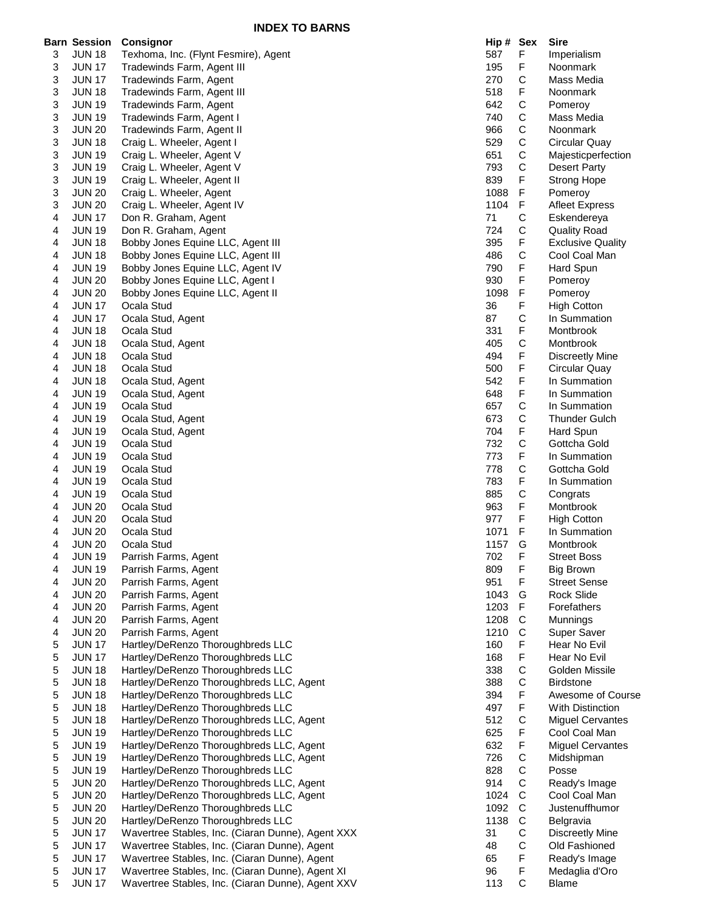|   | <b>Barn Session</b> | <b>Consignor</b>                                  | Hip # Sex |             | <b>Sire</b>              |
|---|---------------------|---------------------------------------------------|-----------|-------------|--------------------------|
| 3 | <b>JUN 18</b>       | Texhoma, Inc. (Flynt Fesmire), Agent              | 587       | F           | Imperialism              |
|   |                     |                                                   |           | F           | Noonmark                 |
| 3 | <b>JUN 17</b>       | Tradewinds Farm, Agent III                        | 195       |             |                          |
| 3 | <b>JUN 17</b>       | Tradewinds Farm, Agent                            | 270       | $\mathsf C$ | Mass Media               |
| 3 | <b>JUN 18</b>       | Tradewinds Farm, Agent III                        | 518       | F           | Noonmark                 |
| 3 | <b>JUN 19</b>       | Tradewinds Farm, Agent                            | 642       | C           | Pomeroy                  |
| 3 | <b>JUN 19</b>       | Tradewinds Farm, Agent I                          | 740       | С           | Mass Media               |
| 3 | <b>JUN 20</b>       | Tradewinds Farm, Agent II                         | 966       | С           | Noonmark                 |
| 3 | <b>JUN 18</b>       | Craig L. Wheeler, Agent I                         | 529       | C           | Circular Quay            |
| 3 | <b>JUN 19</b>       | Craig L. Wheeler, Agent V                         | 651       | С           | Majesticperfection       |
| 3 | <b>JUN 19</b>       | Craig L. Wheeler, Agent V                         | 793       | C           | <b>Desert Party</b>      |
| 3 | <b>JUN 19</b>       | Craig L. Wheeler, Agent II                        | 839       | F           | <b>Strong Hope</b>       |
| 3 | <b>JUN 20</b>       | Craig L. Wheeler, Agent                           | 1088      | F           | Pomeroy                  |
| 3 | <b>JUN 20</b>       | Craig L. Wheeler, Agent IV                        | 1104      | F           | <b>Afleet Express</b>    |
| 4 | <b>JUN 17</b>       | Don R. Graham, Agent                              | 71        | $\mathsf C$ | Eskendereya              |
| 4 | <b>JUN 19</b>       | Don R. Graham, Agent                              | 724       | $\mathsf C$ | <b>Quality Road</b>      |
| 4 | <b>JUN 18</b>       | Bobby Jones Equine LLC, Agent III                 | 395       | F           | <b>Exclusive Quality</b> |
| 4 | <b>JUN 18</b>       | Bobby Jones Equine LLC, Agent III                 | 486       | $\mathsf C$ | Cool Coal Man            |
| 4 | <b>JUN 19</b>       | Bobby Jones Equine LLC, Agent IV                  | 790       | F           | Hard Spun                |
|   | <b>JUN 20</b>       |                                                   | 930       | F           |                          |
| 4 |                     | Bobby Jones Equine LLC, Agent I                   |           |             | Pomeroy                  |
| 4 | <b>JUN 20</b>       | Bobby Jones Equine LLC, Agent II                  | 1098      | F           | Pomeroy                  |
| 4 | <b>JUN 17</b>       | Ocala Stud                                        | 36        | F           | <b>High Cotton</b>       |
| 4 | <b>JUN 17</b>       | Ocala Stud, Agent                                 | 87        | С           | In Summation             |
| 4 | <b>JUN 18</b>       | Ocala Stud                                        | 331       | F           | Montbrook                |
| 4 | <b>JUN 18</b>       | Ocala Stud, Agent                                 | 405       | С           | Montbrook                |
| 4 | <b>JUN 18</b>       | Ocala Stud                                        | 494       | F           | <b>Discreetly Mine</b>   |
| 4 | <b>JUN 18</b>       | Ocala Stud                                        | 500       | F           | Circular Quay            |
| 4 | <b>JUN 18</b>       | Ocala Stud, Agent                                 | 542       | F           | In Summation             |
| 4 | <b>JUN 19</b>       | Ocala Stud, Agent                                 | 648       | F           | In Summation             |
| 4 | <b>JUN 19</b>       | Ocala Stud                                        | 657       | С           | In Summation             |
| 4 | <b>JUN 19</b>       | Ocala Stud, Agent                                 | 673       | С           | <b>Thunder Gulch</b>     |
| 4 | <b>JUN 19</b>       | Ocala Stud, Agent                                 | 704       | F           | Hard Spun                |
| 4 | <b>JUN 19</b>       | Ocala Stud                                        | 732       | $\mathsf C$ | Gottcha Gold             |
| 4 | <b>JUN 19</b>       | Ocala Stud                                        | 773       | F           | In Summation             |
| 4 | <b>JUN 19</b>       | Ocala Stud                                        | 778       | С           | Gottcha Gold             |
|   |                     |                                                   | 783       | F           |                          |
| 4 | <b>JUN 19</b>       | Ocala Stud                                        |           |             | In Summation             |
| 4 | <b>JUN 19</b>       | Ocala Stud                                        | 885       | С           | Congrats                 |
| 4 | <b>JUN 20</b>       | Ocala Stud                                        | 963       | F           | Montbrook                |
| 4 | <b>JUN 20</b>       | Ocala Stud                                        | 977       | F           | <b>High Cotton</b>       |
| 4 | <b>JUN 20</b>       | Ocala Stud                                        | 1071      | F           | In Summation             |
| 4 | <b>JUN 20</b>       | Ocala Stud                                        | 1157      | G           | Montbrook                |
| 4 | <b>JUN 19</b>       | Parrish Farms, Agent                              | 702       | F           | <b>Street Boss</b>       |
| 4 | <b>JUN 19</b>       | Parrish Farms, Agent                              | 809       | F           | <b>Big Brown</b>         |
| 4 | <b>JUN 20</b>       | Parrish Farms, Agent                              | 951       | F           | <b>Street Sense</b>      |
| 4 | <b>JUN 20</b>       | Parrish Farms, Agent                              | 1043      | G           | <b>Rock Slide</b>        |
| 4 | <b>JUN 20</b>       | Parrish Farms, Agent                              | 1203      | F           | Forefathers              |
| 4 | <b>JUN 20</b>       | Parrish Farms, Agent                              | 1208      | C           | Munnings                 |
| 4 | <b>JUN 20</b>       | Parrish Farms, Agent                              | 1210      | $\mathsf C$ | Super Saver              |
| 5 | <b>JUN 17</b>       | Hartley/DeRenzo Thoroughbreds LLC                 | 160       | F           | Hear No Evil             |
| 5 | <b>JUN 17</b>       | Hartley/DeRenzo Thoroughbreds LLC                 | 168       | F           | Hear No Evil             |
| 5 | <b>JUN 18</b>       | Hartley/DeRenzo Thoroughbreds LLC                 | 338       | C           | Golden Missile           |
| 5 | <b>JUN 18</b>       | Hartley/DeRenzo Thoroughbreds LLC, Agent          | 388       | C           | <b>Birdstone</b>         |
| 5 | <b>JUN 18</b>       | Hartley/DeRenzo Thoroughbreds LLC                 | 394       | F           | Awesome of Course        |
|   |                     |                                                   | 497       | F           | With Distinction         |
| 5 | <b>JUN 18</b>       | Hartley/DeRenzo Thoroughbreds LLC                 |           |             |                          |
| 5 | <b>JUN 18</b>       | Hartley/DeRenzo Thoroughbreds LLC, Agent          | 512       | $\mathsf C$ | <b>Miguel Cervantes</b>  |
| 5 | <b>JUN 19</b>       | Hartley/DeRenzo Thoroughbreds LLC                 | 625       | F           | Cool Coal Man            |
| 5 | <b>JUN 19</b>       | Hartley/DeRenzo Thoroughbreds LLC, Agent          | 632       | F           | <b>Miguel Cervantes</b>  |
| 5 | <b>JUN 19</b>       | Hartley/DeRenzo Thoroughbreds LLC, Agent          | 726       | C           | Midshipman               |
| 5 | <b>JUN 19</b>       | Hartley/DeRenzo Thoroughbreds LLC                 | 828       | C           | Posse                    |
| 5 | <b>JUN 20</b>       | Hartley/DeRenzo Thoroughbreds LLC, Agent          | 914       | C           | Ready's Image            |
| 5 | <b>JUN 20</b>       | Hartley/DeRenzo Thoroughbreds LLC, Agent          | 1024      | $\mathsf C$ | Cool Coal Man            |
| 5 | <b>JUN 20</b>       | Hartley/DeRenzo Thoroughbreds LLC                 | 1092      | C           | Justenuffhumor           |
| 5 | <b>JUN 20</b>       | Hartley/DeRenzo Thoroughbreds LLC                 | 1138      | $\mathsf C$ | Belgravia                |
| 5 | <b>JUN 17</b>       | Wavertree Stables, Inc. (Ciaran Dunne), Agent XXX | 31        | С           | <b>Discreetly Mine</b>   |
| 5 | <b>JUN 17</b>       | Wavertree Stables, Inc. (Ciaran Dunne), Agent     | 48        | $\mathsf C$ | Old Fashioned            |
| 5 | <b>JUN 17</b>       | Wavertree Stables, Inc. (Ciaran Dunne), Agent     | 65        | F           | Ready's Image            |
| 5 | <b>JUN 17</b>       | Wavertree Stables, Inc. (Ciaran Dunne), Agent XI  | 96        | F           | Medaglia d'Oro           |
|   |                     |                                                   |           |             |                          |

|   | arn Session   | Consignor                                         | Hip# | Sex          | Sire                     |
|---|---------------|---------------------------------------------------|------|--------------|--------------------------|
| 3 | <b>JUN 18</b> | Texhoma, Inc. (Flynt Fesmire), Agent              | 587  | F            | Imperialism              |
| 3 | <b>JUN 17</b> | Tradewinds Farm, Agent III                        | 195  | F            | Noonmark                 |
| 3 | <b>JUN 17</b> | Tradewinds Farm, Agent                            | 270  | $\mathsf C$  | Mass Media               |
| 3 | <b>JUN 18</b> | Tradewinds Farm, Agent III                        | 518  | F            | Noonmark                 |
| 3 | <b>JUN 19</b> | Tradewinds Farm, Agent                            | 642  | C            | Pomeroy                  |
| 3 | <b>JUN 19</b> | Tradewinds Farm, Agent I                          | 740  | C            | Mass Media               |
| 3 | <b>JUN 20</b> | Tradewinds Farm, Agent II                         | 966  | $\mathsf C$  | Noonmark                 |
| 3 | <b>JUN 18</b> | Craig L. Wheeler, Agent I                         | 529  | $\mathsf C$  | Circular Quay            |
| 3 | <b>JUN 19</b> | Craig L. Wheeler, Agent V                         | 651  | C            | Majesticperfection       |
| 3 | <b>JUN 19</b> | Craig L. Wheeler, Agent V                         | 793  | C            |                          |
|   |               |                                                   |      |              | Desert Party             |
| 3 | <b>JUN 19</b> | Craig L. Wheeler, Agent II                        | 839  | F            | <b>Strong Hope</b>       |
| 3 | <b>JUN 20</b> | Craig L. Wheeler, Agent                           | 1088 | $\mathsf F$  | Pomeroy                  |
| 3 | <b>JUN 20</b> | Craig L. Wheeler, Agent IV                        | 1104 | F            | <b>Afleet Express</b>    |
| 4 | <b>JUN 17</b> | Don R. Graham, Agent                              | 71   | $\mathsf C$  | Eskendereya              |
| 4 | <b>JUN 19</b> | Don R. Graham, Agent                              | 724  | С            | <b>Quality Road</b>      |
| 4 | <b>JUN 18</b> | Bobby Jones Equine LLC, Agent III                 | 395  | F            | <b>Exclusive Quality</b> |
| 4 | <b>JUN 18</b> | Bobby Jones Equine LLC, Agent III                 | 486  | $\mathsf C$  | Cool Coal Man            |
| 4 | <b>JUN 19</b> | Bobby Jones Equine LLC, Agent IV                  | 790  | F            | Hard Spun                |
| 4 | <b>JUN 20</b> | Bobby Jones Equine LLC, Agent I                   | 930  | F            | Pomeroy                  |
| 4 | <b>JUN 20</b> | Bobby Jones Equine LLC, Agent II                  | 1098 | F            | Pomeroy                  |
| 4 | <b>JUN 17</b> | Ocala Stud                                        | 36   | F            | <b>High Cotton</b>       |
| 4 | <b>JUN 17</b> | Ocala Stud, Agent                                 | 87   | C            | In Summation             |
| 4 | <b>JUN 18</b> | Ocala Stud                                        | 331  | F            | Montbrook                |
| 4 | <b>JUN 18</b> | Ocala Stud, Agent                                 | 405  | C            | Montbrook                |
|   |               |                                                   |      |              |                          |
| 4 | <b>JUN 18</b> | Ocala Stud                                        | 494  | F            | <b>Discreetly Mine</b>   |
| 4 | <b>JUN 18</b> | Ocala Stud                                        | 500  | F            | Circular Quay            |
| 4 | <b>JUN 18</b> | Ocala Stud, Agent                                 | 542  | F            | In Summation             |
| 4 | <b>JUN 19</b> | Ocala Stud, Agent                                 | 648  | F            | In Summation             |
| 4 | <b>JUN 19</b> | Ocala Stud                                        | 657  | $\mathsf C$  | In Summation             |
| 4 | <b>JUN 19</b> | Ocala Stud, Agent                                 | 673  | C            | <b>Thunder Gulch</b>     |
| 4 | <b>JUN 19</b> | Ocala Stud, Agent                                 | 704  | F            | Hard Spun                |
| 4 | <b>JUN 19</b> | Ocala Stud                                        | 732  | C            | Gottcha Gold             |
| 4 | <b>JUN 19</b> | Ocala Stud                                        | 773  | F            | In Summation             |
| 4 | <b>JUN 19</b> | Ocala Stud                                        | 778  | C            | Gottcha Gold             |
| 4 | <b>JUN 19</b> | Ocala Stud                                        | 783  | F            | In Summation             |
| 4 | <b>JUN 19</b> | Ocala Stud                                        | 885  | $\mathsf C$  | Congrats                 |
|   | <b>JUN 20</b> | Ocala Stud                                        | 963  | F            |                          |
| 4 |               |                                                   |      |              | Montbrook                |
| 4 | <b>JUN 20</b> | Ocala Stud                                        | 977  | F            | <b>High Cotton</b>       |
| 4 | <b>JUN 20</b> | Ocala Stud                                        | 1071 | F            | In Summation             |
| 4 | <b>JUN 20</b> | Ocala Stud                                        | 1157 | G            | Montbrook                |
| 4 | <b>JUN 19</b> | Parrish Farms, Agent                              | 702  | F            | <b>Street Boss</b>       |
| 4 | <b>JUN 19</b> | Parrish Farms, Agent                              | 809  | F            | <b>Big Brown</b>         |
| 4 | <b>JUN 20</b> | Parrish Farms, Agent                              | 951  | F.           | <b>Street Sense</b>      |
| 4 | <b>JUN 20</b> | Parrish Farms, Agent                              | 1043 | G            | Rock Slide               |
| 4 | <b>JUN 20</b> | Parrish Farms, Agent                              | 1203 | F            | Forefathers              |
| 4 | <b>JUN 20</b> | Parrish Farms, Agent                              | 1208 | C            | Munnings                 |
| 4 | <b>JUN 20</b> | Parrish Farms, Agent                              | 1210 | C            | Super Saver              |
| 5 | <b>JUN 17</b> | Hartley/DeRenzo Thoroughbreds LLC                 | 160  | F            | Hear No Evil             |
| 5 | <b>JUN 17</b> | Hartley/DeRenzo Thoroughbreds LLC                 | 168  | F            | Hear No Evil             |
|   |               |                                                   |      |              |                          |
| 5 | <b>JUN 18</b> | Hartley/DeRenzo Thoroughbreds LLC                 | 338  | C            | Golden Missile           |
| 5 | <b>JUN 18</b> | Hartley/DeRenzo Thoroughbreds LLC, Agent          | 388  | C            | <b>Birdstone</b>         |
| 5 | <b>JUN 18</b> | Hartley/DeRenzo Thoroughbreds LLC                 | 394  | F            | Awesome of Course        |
| 5 | <b>JUN 18</b> | Hartley/DeRenzo Thoroughbreds LLC                 | 497  | F            | With Distinction         |
| 5 | <b>JUN 18</b> | Hartley/DeRenzo Thoroughbreds LLC, Agent          | 512  | С            | <b>Miguel Cervantes</b>  |
| 5 | <b>JUN 19</b> | Hartley/DeRenzo Thoroughbreds LLC                 | 625  | F            | Cool Coal Man            |
| 5 | <b>JUN 19</b> | Hartley/DeRenzo Thoroughbreds LLC, Agent          | 632  | F            | <b>Miguel Cervantes</b>  |
| 5 | <b>JUN 19</b> | Hartley/DeRenzo Thoroughbreds LLC, Agent          | 726  | C            | Midshipman               |
| 5 | <b>JUN 19</b> | Hartley/DeRenzo Thoroughbreds LLC                 | 828  | $\mathsf C$  | Posse                    |
| 5 | <b>JUN 20</b> | Hartley/DeRenzo Thoroughbreds LLC, Agent          | 914  | $\mathsf C$  | Ready's Image            |
| 5 | <b>JUN 20</b> | Hartley/DeRenzo Thoroughbreds LLC, Agent          | 1024 | $\mathsf{C}$ | Cool Coal Man            |
| 5 | <b>JUN 20</b> | Hartley/DeRenzo Thoroughbreds LLC                 | 1092 | C            | Justenuffhumor           |
| 5 | <b>JUN 20</b> | Hartley/DeRenzo Thoroughbreds LLC                 | 1138 | С            |                          |
|   |               |                                                   |      |              | Belgravia                |
| 5 | <b>JUN 17</b> | Wavertree Stables, Inc. (Ciaran Dunne), Agent XXX | 31   | C            | <b>Discreetly Mine</b>   |
| 5 | <b>JUN 17</b> | Wavertree Stables, Inc. (Ciaran Dunne), Agent     | 48   | $\mathsf C$  | Old Fashioned            |
| 5 | <b>JUN 17</b> | Wavertree Stables, Inc. (Ciaran Dunne), Agent     | 65   | F            | Ready's Image            |
| 5 | <b>JUN 17</b> | Wavertree Stables, Inc. (Ciaran Dunne), Agent XI  | 96   | F            | Medaglia d'Oro           |
| 5 | <b>JUN 17</b> | Wavertree Stables, Inc. (Ciaran Dunne), Agent XXV | 113  | C            | <b>Blame</b>             |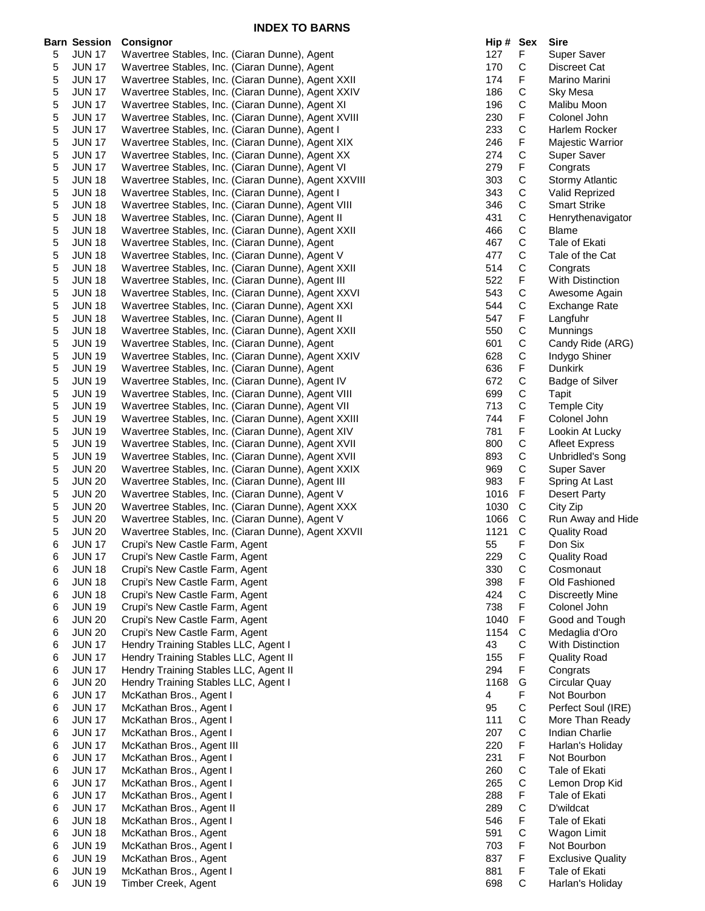|   | <b>Barn Session</b> | Consignor                                            | Hip # Sex |             | <b>Sire</b>              |
|---|---------------------|------------------------------------------------------|-----------|-------------|--------------------------|
| 5 | <b>JUN 17</b>       | Wavertree Stables, Inc. (Ciaran Dunne), Agent        | 127       | F           | Super Saver              |
| 5 | <b>JUN 17</b>       | Wavertree Stables, Inc. (Ciaran Dunne), Agent        | 170       | C           | Discreet Cat             |
| 5 | <b>JUN 17</b>       | Wavertree Stables, Inc. (Ciaran Dunne), Agent XXII   | 174       | F           | Marino Marini            |
| 5 | <b>JUN 17</b>       | Wavertree Stables, Inc. (Ciaran Dunne), Agent XXIV   | 186       | C           | Sky Mesa                 |
| 5 | <b>JUN 17</b>       | Wavertree Stables, Inc. (Ciaran Dunne), Agent XI     | 196       | С           | Malibu Moon              |
| 5 | <b>JUN 17</b>       | Wavertree Stables, Inc. (Ciaran Dunne), Agent XVIII  | 230       | F           | Colonel John             |
| 5 | <b>JUN 17</b>       | Wavertree Stables, Inc. (Ciaran Dunne), Agent I      | 233       | $\mathsf C$ | Harlem Rocker            |
| 5 | <b>JUN 17</b>       | Wavertree Stables, Inc. (Ciaran Dunne), Agent XIX    | 246       | F           | Majestic Warrior         |
| 5 | <b>JUN 17</b>       | Wavertree Stables, Inc. (Ciaran Dunne), Agent XX     | 274       | C           | <b>Super Saver</b>       |
| 5 | <b>JUN 17</b>       | Wavertree Stables, Inc. (Ciaran Dunne), Agent VI     | 279       | F           | Congrats                 |
| 5 | <b>JUN 18</b>       | Wavertree Stables, Inc. (Ciaran Dunne), Agent XXVIII | 303       | C           | <b>Stormy Atlantic</b>   |
| 5 | <b>JUN 18</b>       | Wavertree Stables, Inc. (Ciaran Dunne), Agent I      | 343       | $\mathsf C$ | <b>Valid Reprized</b>    |
| 5 | <b>JUN 18</b>       | Wavertree Stables, Inc. (Ciaran Dunne), Agent VIII   | 346       | $\mathsf C$ | <b>Smart Strike</b>      |
| 5 | <b>JUN 18</b>       | Wavertree Stables, Inc. (Ciaran Dunne), Agent II     | 431       | C           | Henrythenavigator        |
| 5 | <b>JUN 18</b>       | Wavertree Stables, Inc. (Ciaran Dunne), Agent XXII   | 466       | C           | <b>Blame</b>             |
| 5 | <b>JUN 18</b>       | Wavertree Stables, Inc. (Ciaran Dunne), Agent        | 467       | $\mathsf C$ | Tale of Ekati            |
| 5 | <b>JUN 18</b>       | Wavertree Stables, Inc. (Ciaran Dunne), Agent V      | 477       | $\mathsf C$ | Tale of the Cat          |
| 5 | <b>JUN 18</b>       | Wavertree Stables, Inc. (Ciaran Dunne), Agent XXII   | 514       | $\mathsf C$ | Congrats                 |
| 5 | <b>JUN 18</b>       | Wavertree Stables, Inc. (Ciaran Dunne), Agent III    | 522       | F           | <b>With Distinction</b>  |
|   | <b>JUN 18</b>       |                                                      | 543       | C           |                          |
| 5 |                     | Wavertree Stables, Inc. (Ciaran Dunne), Agent XXVI   |           |             | Awesome Again            |
| 5 | <b>JUN 18</b>       | Wavertree Stables, Inc. (Ciaran Dunne), Agent XXI    | 544       | C           | Exchange Rate            |
| 5 | <b>JUN 18</b>       | Wavertree Stables, Inc. (Ciaran Dunne), Agent II     | 547       | F           | Langfuhr                 |
| 5 | <b>JUN 18</b>       | Wavertree Stables, Inc. (Ciaran Dunne), Agent XXII   | 550       | $\mathsf C$ | Munnings                 |
| 5 | <b>JUN 19</b>       | Wavertree Stables, Inc. (Ciaran Dunne), Agent        | 601       | $\mathsf C$ | Candy Ride (ARG)         |
| 5 | <b>JUN 19</b>       | Wavertree Stables, Inc. (Ciaran Dunne), Agent XXIV   | 628       | $\mathsf C$ | Indygo Shiner            |
| 5 | <b>JUN 19</b>       | Wavertree Stables, Inc. (Ciaran Dunne), Agent        | 636       | F           | <b>Dunkirk</b>           |
| 5 | <b>JUN 19</b>       | Wavertree Stables, Inc. (Ciaran Dunne), Agent IV     | 672       | С           | <b>Badge of Silver</b>   |
| 5 | <b>JUN 19</b>       | Wavertree Stables, Inc. (Ciaran Dunne), Agent VIII   | 699       | C           | Tapit                    |
| 5 | <b>JUN 19</b>       | Wavertree Stables, Inc. (Ciaran Dunne), Agent VII    | 713       | $\mathsf C$ | <b>Temple City</b>       |
| 5 | <b>JUN 19</b>       | Wavertree Stables, Inc. (Ciaran Dunne), Agent XXIII  | 744       | F           | Colonel John             |
| 5 | <b>JUN 19</b>       | Wavertree Stables, Inc. (Ciaran Dunne), Agent XIV    | 781       | F           | Lookin At Lucky          |
| 5 | <b>JUN 19</b>       | Wavertree Stables, Inc. (Ciaran Dunne), Agent XVII   | 800       | $\mathsf C$ | <b>Afleet Express</b>    |
| 5 | <b>JUN 19</b>       | Wavertree Stables, Inc. (Ciaran Dunne), Agent XVII   | 893       | C           | <b>Unbridled's Song</b>  |
| 5 | <b>JUN 20</b>       | Wavertree Stables, Inc. (Ciaran Dunne), Agent XXIX   | 969       | $\mathsf C$ | Super Saver              |
| 5 | <b>JUN 20</b>       | Wavertree Stables, Inc. (Ciaran Dunne), Agent III    | 983       | F           | Spring At Last           |
| 5 | <b>JUN 20</b>       | Wavertree Stables, Inc. (Ciaran Dunne), Agent V      | 1016      | F           | <b>Desert Party</b>      |
| 5 | <b>JUN 20</b>       | Wavertree Stables, Inc. (Ciaran Dunne), Agent XXX    | 1030      | C           | City Zip                 |
| 5 | <b>JUN 20</b>       | Wavertree Stables, Inc. (Ciaran Dunne), Agent V      | 1066      | C           | Run Away and Hide        |
| 5 | <b>JUN 20</b>       | Wavertree Stables, Inc. (Ciaran Dunne), Agent XXVII  | 1121      | C           | <b>Quality Road</b>      |
| 6 | <b>JUN 17</b>       | Crupi's New Castle Farm, Agent                       | 55        | F           | Don Six                  |
| 6 | <b>JUN 17</b>       | Crupi's New Castle Farm, Agent                       | 229       | C           | <b>Quality Road</b>      |
| 6 | <b>JUN 18</b>       | Crupi's New Castle Farm, Agent                       | 330       | C           | Cosmonaut                |
| 6 | <b>JUN 18</b>       | Crupi's New Castle Farm, Agent                       | 398       | F           | Old Fashioned            |
| 6 | <b>JUN 18</b>       | Crupi's New Castle Farm, Agent                       | 424       | С           | <b>Discreetly Mine</b>   |
| 6 | <b>JUN 19</b>       | Crupi's New Castle Farm, Agent                       | 738       | F           | Colonel John             |
| 6 | <b>JUN 20</b>       | Crupi's New Castle Farm, Agent                       | 1040      | $\mathsf F$ | Good and Tough           |
| 6 | <b>JUN 20</b>       | Crupi's New Castle Farm, Agent                       | 1154      | C           | Medaglia d'Oro           |
| 6 | <b>JUN 17</b>       | Hendry Training Stables LLC, Agent I                 | 43        | C           | With Distinction         |
| 6 | <b>JUN 17</b>       | Hendry Training Stables LLC, Agent II                | 155       | F           | <b>Quality Road</b>      |
| 6 | <b>JUN 17</b>       | Hendry Training Stables LLC, Agent II                | 294       | F           | Congrats                 |
| 6 | <b>JUN 20</b>       | Hendry Training Stables LLC, Agent I                 | 1168      | G           | Circular Quay            |
| 6 | <b>JUN 17</b>       | McKathan Bros., Agent I                              | 4         | F           | Not Bourbon              |
| 6 | <b>JUN 17</b>       | McKathan Bros., Agent I                              | 95        | C           | Perfect Soul (IRE)       |
| 6 | <b>JUN 17</b>       | McKathan Bros., Agent I                              | 111       | C           | More Than Ready          |
| 6 | <b>JUN 17</b>       | McKathan Bros., Agent I                              | 207       | C           | <b>Indian Charlie</b>    |
| 6 | <b>JUN 17</b>       | McKathan Bros., Agent III                            | 220       | F           | Harlan's Holiday         |
| 6 | <b>JUN 17</b>       | McKathan Bros., Agent I                              | 231       | F           | Not Bourbon              |
| 6 | <b>JUN 17</b>       | McKathan Bros., Agent I                              | 260       | $\mathsf C$ | Tale of Ekati            |
| 6 | <b>JUN 17</b>       | McKathan Bros., Agent I                              | 265       | C           | Lemon Drop Kid           |
| 6 | <b>JUN 17</b>       | McKathan Bros., Agent I                              | 288       | F           | Tale of Ekati            |
| 6 | <b>JUN 17</b>       | McKathan Bros., Agent II                             | 289       | $\mathsf C$ | D'wildcat                |
| 6 | <b>JUN 18</b>       | McKathan Bros., Agent I                              | 546       | F           | Tale of Ekati            |
| 6 | <b>JUN 18</b>       | McKathan Bros., Agent                                | 591       | $\mathsf C$ | Wagon Limit              |
| 6 | <b>JUN 19</b>       | McKathan Bros., Agent I                              | 703       | F           | Not Bourbon              |
| 6 | <b>JUN 19</b>       | McKathan Bros., Agent                                | 837       | F           | <b>Exclusive Quality</b> |
| 6 | <b>JUN 19</b>       | McKathan Bros., Agent I                              | 881       | F           | Tale of Ekati            |
| 6 | <b>JUN 19</b>       | Timber Creek, Agent                                  | 698       | $\mathsf C$ | Harlan's Holiday         |

| Hip #      | Sex                  | Sire                              |
|------------|----------------------|-----------------------------------|
| 127        | F                    | <b>Super Saver</b>                |
| 170        | C                    | Discreet Cat                      |
| 174        | F                    | Marino Marini                     |
| 186        | C<br>C               | Sky Mesa                          |
| 196        | F                    | Malibu Moon<br>Colonel John       |
| 230<br>233 |                      | <b>Harlem Rocker</b>              |
| 246        | C<br>F               | Majestic Warrior                  |
| 274        |                      | Super Saver                       |
| 279        | C<br>F               | Congrats                          |
| 303        |                      | <b>Stormy Atlantic</b>            |
| 343        |                      | Valid Reprized                    |
| 346        |                      | <b>Smart Strike</b>               |
| 431        |                      | Henrythenavigator                 |
| 466        |                      | Blame                             |
| 467        |                      | Tale of Ekati                     |
| 477        |                      | Tale of the Cat                   |
| 514        | CCCCCCCCFCCFCCCFCCCF | Congrats                          |
| 522        |                      | <b>With Distinction</b>           |
| 543        |                      | Awesome Again                     |
| 544        |                      | Exchange Rate                     |
| 547        |                      | Langfuhr                          |
| 550        |                      | Munnings                          |
| 601        |                      | Candy Ride (ARG)                  |
| 628        |                      | Indygo Shiner                     |
| 636<br>672 |                      | Dunkirk<br><b>Badge of Silver</b> |
| 699        |                      | Tapit                             |
| 713        |                      | <b>Temple City</b>                |
| 744        |                      | Colonel John                      |
| 781        |                      | Lookin At Lucky                   |
| 800        | F<br>C               | <b>Afleet Express</b>             |
| 893        | C                    | <b>Unbridled's Song</b>           |
| 969        |                      | Super Saver                       |
| 983        | C<br>F               | Spring At Last                    |
| 1016       | FCCCF                | <b>Desert Party</b>               |
| 1030       |                      | City Zip                          |
| 1066       |                      | Run Away and Hide                 |
| 1121       |                      | <b>Quality Road</b>               |
| 55         |                      | Don Six                           |
| 229        |                      | <b>Quality Road</b>               |
| 330        | C C F C F            | Cosmonaut                         |
| 398        |                      | Old Fashioned                     |
| 424<br>738 |                      | Discreetly Mine<br>Colonel John   |
| 1040       |                      | Good and Tough                    |
| 1154       | F<br>C<br>C<br>F     | Medaglia d'Oro                    |
| 43         |                      | <b>With Distinction</b>           |
| 155        |                      | <b>Quality Road</b>               |
| 294        |                      | Congrats                          |
| 1168       | F<br>G<br>F          | Circular Quay                     |
| 4          |                      | Not Bourbon                       |
| 95         |                      | Perfect Soul (IRE)                |
| 111        |                      | More Than Ready                   |
| 207        |                      | <b>Indian Charlie</b>             |
| 220        |                      | Harlan's Holiday                  |
| 231        |                      | Not Bourbon                       |
| 260        |                      | Tale of Ekati                     |
| 265        | <b>CCCFFCCF</b>      | Lemon Drop Kid                    |
| 288        |                      | Tale of Ekati                     |
| 289        | C<br>F               | D'wildcat<br>Tale of Ekati        |
| 546<br>591 |                      | Wagon Limit                       |
| 703        |                      | Not Bourbon                       |
| 837        |                      | <b>Exclusive Quality</b>          |
| 881        | C<br>F<br>F<br>F     | Tale of Ekati                     |
| 698        | Ċ                    | Harlan's Holiday                  |
|            |                      |                                   |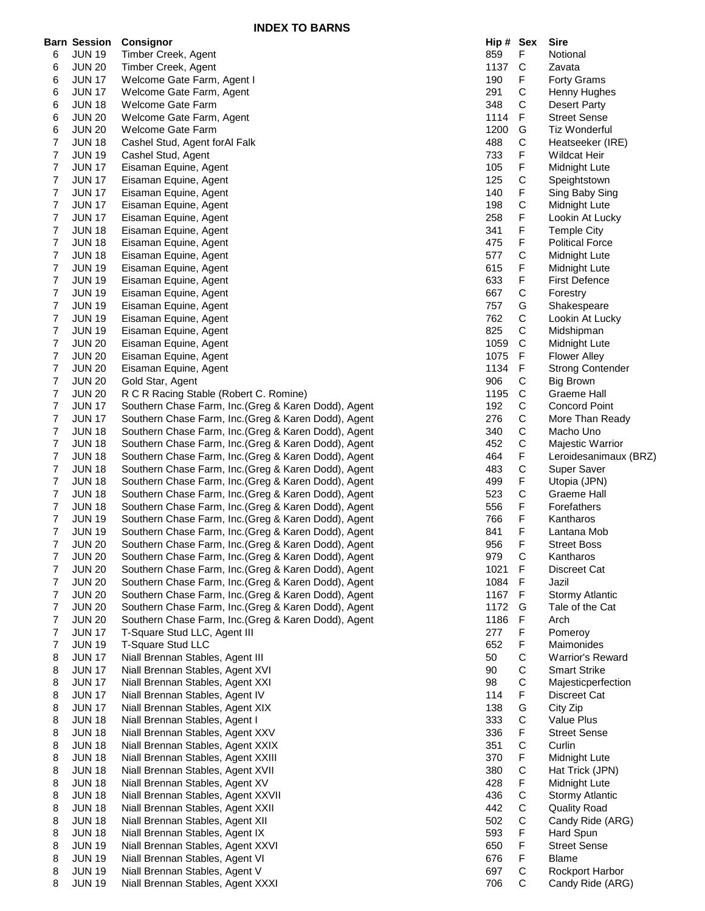**INDEX TO BARNS**

|                | <b>Barn Session</b> | Consignor                                            | Hip # Sex |             | <b>Sire</b>             |
|----------------|---------------------|------------------------------------------------------|-----------|-------------|-------------------------|
| 6              | <b>JUN 19</b>       | Timber Creek, Agent                                  | 859       | F           | Notional                |
| 6              | <b>JUN 20</b>       | Timber Creek, Agent                                  | 1137      | C           | Zavata                  |
| 6              | <b>JUN 17</b>       | Welcome Gate Farm, Agent I                           | 190       | F           | <b>Forty Grams</b>      |
| 6              | <b>JUN 17</b>       | Welcome Gate Farm, Agent                             | 291       | С           | Henny Hughes            |
| 6              | <b>JUN 18</b>       | Welcome Gate Farm                                    | 348       | С           | Desert Party            |
| 6              | <b>JUN 20</b>       | Welcome Gate Farm, Agent                             | 1114      | F           | <b>Street Sense</b>     |
| 6              | <b>JUN 20</b>       | Welcome Gate Farm                                    | 1200      | G           | Tiz Wonderful           |
| 7              | <b>JUN 18</b>       | Cashel Stud, Agent for Al Falk                       | 488       | C           | Heatseeker (IRE)        |
| 7              | <b>JUN 19</b>       | Cashel Stud, Agent                                   | 733       | F           | <b>Wildcat Heir</b>     |
| 7              | <b>JUN 17</b>       | Eisaman Equine, Agent                                | 105       | F           | Midnight Lute           |
| $\overline{7}$ | <b>JUN 17</b>       | Eisaman Equine, Agent                                | 125       | С           | Speightstown            |
| 7              | <b>JUN 17</b>       | Eisaman Equine, Agent                                | 140       | F           | Sing Baby Sing          |
| 7              | <b>JUN 17</b>       | Eisaman Equine, Agent                                | 198       | C           | Midnight Lute           |
| 7              | <b>JUN 17</b>       | Eisaman Equine, Agent                                | 258       | F           | Lookin At Lucky         |
| 7              | <b>JUN 18</b>       | Eisaman Equine, Agent                                | 341       | F           | <b>Temple City</b>      |
| 7              | <b>JUN 18</b>       | Eisaman Equine, Agent                                | 475       | F           | <b>Political Force</b>  |
| 7              | <b>JUN 18</b>       | Eisaman Equine, Agent                                | 577       | С           | Midnight Lute           |
| 7              | <b>JUN 19</b>       | Eisaman Equine, Agent                                | 615       | F           | Midnight Lute           |
| 7              | <b>JUN 19</b>       | Eisaman Equine, Agent                                | 633       | F           | <b>First Defence</b>    |
| 7              | <b>JUN 19</b>       | Eisaman Equine, Agent                                | 667       | С           | Forestry                |
| 7              | <b>JUN 19</b>       | Eisaman Equine, Agent                                | 757       | G           | Shakespeare             |
| 7              | <b>JUN 19</b>       | Eisaman Equine, Agent                                | 762       | С           | Lookin At Lucky         |
| $\overline{7}$ | <b>JUN 19</b>       | Eisaman Equine, Agent                                | 825       | $\mathsf C$ | Midshipman              |
| 7              | <b>JUN 20</b>       | Eisaman Equine, Agent                                | 1059      | С           | Midnight Lute           |
| 7              | <b>JUN 20</b>       | Eisaman Equine, Agent                                | 1075      | F           | <b>Flower Alley</b>     |
| 7              | <b>JUN 20</b>       | Eisaman Equine, Agent                                | 1134      | F           | <b>Strong Contender</b> |
| 7              | <b>JUN 20</b>       | Gold Star, Agent                                     | 906       | C           | <b>Big Brown</b>        |
| 7              | <b>JUN 20</b>       | R C R Racing Stable (Robert C. Romine)               | 1195      | $\mathbf C$ | <b>Graeme Hall</b>      |
| 7              | <b>JUN 17</b>       | Southern Chase Farm, Inc.(Greg & Karen Dodd), Agent  | 192       | С           | <b>Concord Point</b>    |
| 7              | <b>JUN 17</b>       | Southern Chase Farm, Inc. (Greg & Karen Dodd), Agent | 276       | C           | More Than Ready         |
| 7              | <b>JUN 18</b>       | Southern Chase Farm, Inc. (Greg & Karen Dodd), Agent | 340       | С           | Macho Uno               |
| 7              | <b>JUN 18</b>       | Southern Chase Farm, Inc. (Greg & Karen Dodd), Agent | 452       | С           | Majestic Warrior        |
| 7              | <b>JUN 18</b>       | Southern Chase Farm, Inc.(Greg & Karen Dodd), Agent  | 464       | F           | Leroidesanimaux (BRZ)   |
| 7              | <b>JUN 18</b>       | Southern Chase Farm, Inc. (Greg & Karen Dodd), Agent | 483       | $\mathsf C$ | Super Saver             |
| 7              | <b>JUN 18</b>       | Southern Chase Farm, Inc. (Greg & Karen Dodd), Agent | 499       | F           | Utopia (JPN)            |
| 7              | <b>JUN 18</b>       | Southern Chase Farm, Inc. (Greg & Karen Dodd), Agent | 523       | С           | Graeme Hall             |
| 7              | <b>JUN 18</b>       | Southern Chase Farm, Inc.(Greg & Karen Dodd), Agent  | 556       | F           | Forefathers             |
| 7              | <b>JUN 19</b>       | Southern Chase Farm, Inc.(Greg & Karen Dodd), Agent  | 766       | F           | Kantharos               |
| 7              | <b>JUN 19</b>       | Southern Chase Farm, Inc.(Greg & Karen Dodd), Agent  | 841       | F           | Lantana Mob             |
| $\overline{7}$ | <b>JUN 20</b>       | Southern Chase Farm, Inc. (Greg & Karen Dodd), Agent | 956       | F           | <b>Street Boss</b>      |
| 7              | <b>JUN 20</b>       | Southern Chase Farm, Inc.(Greg & Karen Dodd), Agent  | 979       | С           | Kantharos               |
| 7              | <b>JUN 20</b>       | Southern Chase Farm, Inc. (Greg & Karen Dodd), Agent | 1021      | F           | Discreet Cat            |
| 7              | <b>JUN 20</b>       | Southern Chase Farm, Inc. (Greg & Karen Dodd), Agent | 1084      | F           | Jazil                   |
| 7              | <b>JUN 20</b>       | Southern Chase Farm, Inc. (Greg & Karen Dodd), Agent | 1167      | F           | <b>Stormy Atlantic</b>  |
| $\overline{7}$ | <b>JUN 20</b>       | Southern Chase Farm, Inc. (Greg & Karen Dodd), Agent | 1172      | G           | Tale of the Cat         |
| 7              | <b>JUN 20</b>       | Southern Chase Farm, Inc.(Greg & Karen Dodd), Agent  | 1186      | F           | Arch                    |
| 7              | <b>JUN 17</b>       | T-Square Stud LLC, Agent III                         | 277       | F           | Pomeroy                 |
| 7              | <b>JUN 19</b>       | T-Square Stud LLC                                    | 652       | F           | Maimonides              |
| 8              | <b>JUN 17</b>       | Niall Brennan Stables, Agent III                     | 50        | С           | Warrior's Reward        |
| 8              | <b>JUN 17</b>       | Niall Brennan Stables, Agent XVI                     | 90        | С           | <b>Smart Strike</b>     |
| 8              | <b>JUN 17</b>       | Niall Brennan Stables, Agent XXI                     | 98        | С           | Majesticperfection      |
| 8              | <b>JUN 17</b>       | Niall Brennan Stables, Agent IV                      | 114       | F           | Discreet Cat            |
| 8              | <b>JUN 17</b>       | Niall Brennan Stables, Agent XIX                     | 138       | G           | City Zip                |
| 8              | <b>JUN 18</b>       | Niall Brennan Stables, Agent I                       | 333       | C           | Value Plus              |
| 8              | <b>JUN 18</b>       | Niall Brennan Stables, Agent XXV                     | 336       | F           | <b>Street Sense</b>     |
| 8              | <b>JUN 18</b>       | Niall Brennan Stables, Agent XXIX                    | 351       | $\mathsf C$ | Curlin                  |
| 8              | <b>JUN 18</b>       | Niall Brennan Stables, Agent XXIII                   | 370       | F           | Midnight Lute           |
| 8              | <b>JUN 18</b>       | Niall Brennan Stables, Agent XVII                    | 380       | C           | Hat Trick (JPN)         |
| 8              | <b>JUN 18</b>       | Niall Brennan Stables, Agent XV                      | 428       | F           | Midnight Lute           |
| 8              | <b>JUN 18</b>       | Niall Brennan Stables, Agent XXVII                   | 436       | C           | <b>Stormy Atlantic</b>  |
| 8              | <b>JUN 18</b>       | Niall Brennan Stables, Agent XXII                    | 442       | $\mathsf C$ | <b>Quality Road</b>     |
| 8              | <b>JUN 18</b>       | Niall Brennan Stables, Agent XII                     | 502       | $\mathsf C$ | Candy Ride (ARG)        |
| 8              | <b>JUN 18</b>       | Niall Brennan Stables, Agent IX                      | 593       | F           | Hard Spun               |
| 8              | <b>JUN 19</b>       | Niall Brennan Stables, Agent XXVI                    | 650       | F           | <b>Street Sense</b>     |
| 8              | <b>JUN 19</b>       | Niall Brennan Stables, Agent VI                      | 676       | F           | <b>Blame</b>            |
| 8              | <b>JUN 19</b>       | Niall Brennan Stables, Agent V                       | 697       | C           | Rockport Harbor         |
| 8              | <b>JUN 19</b>       | Niall Brennan Stables, Agent XXXI                    | 706       | C           | Candy Ride (ARG)        |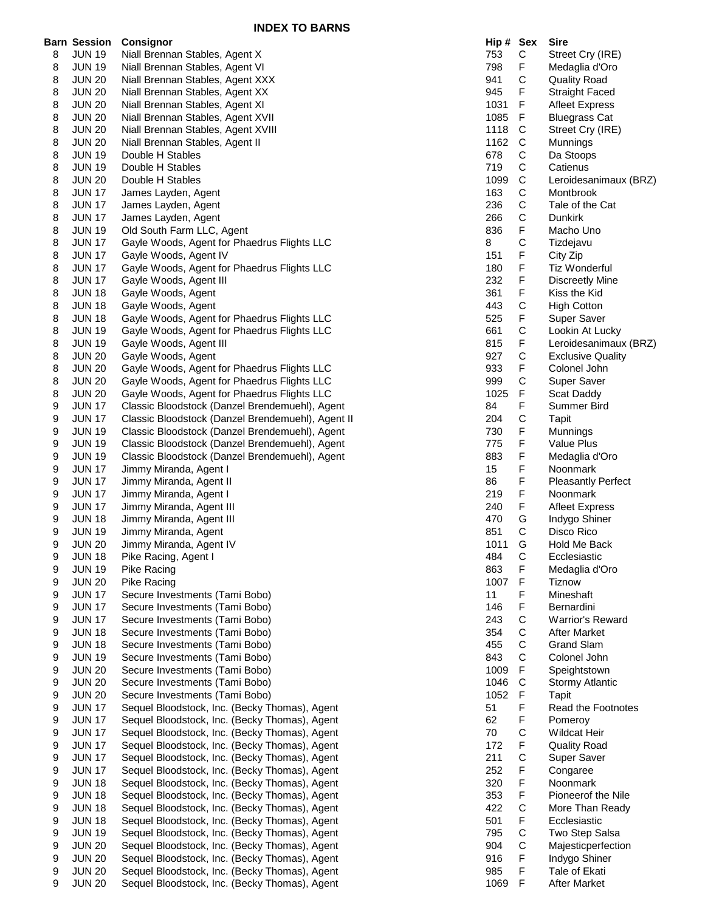|   | <b>Barn Session</b> | <b>Consignor</b>                                  | Hip # Sex |             | <b>Sire</b>               |
|---|---------------------|---------------------------------------------------|-----------|-------------|---------------------------|
| 8 | <b>JUN 19</b>       | Niall Brennan Stables, Agent X                    | 753       | С           | Street Cry (IRE)          |
| 8 | <b>JUN 19</b>       | Niall Brennan Stables, Agent VI                   | 798       | F           | Medaglia d'Oro            |
| 8 | <b>JUN 20</b>       | Niall Brennan Stables, Agent XXX                  | 941       | $\mathsf C$ | <b>Quality Road</b>       |
| 8 | <b>JUN 20</b>       | Niall Brennan Stables, Agent XX                   | 945       | F           | <b>Straight Faced</b>     |
| 8 | <b>JUN 20</b>       | Niall Brennan Stables, Agent XI                   | 1031      | F           | <b>Afleet Express</b>     |
| 8 | <b>JUN 20</b>       | Niall Brennan Stables, Agent XVII                 | 1085      | F.          | <b>Bluegrass Cat</b>      |
| 8 | <b>JUN 20</b>       | Niall Brennan Stables, Agent XVIII                | 1118      | C           | Street Cry (IRE)          |
| 8 | <b>JUN 20</b>       | Niall Brennan Stables, Agent II                   | 1162      | C           | Munnings                  |
| 8 | <b>JUN 19</b>       | Double H Stables                                  | 678       | $\mathsf C$ | Da Stoops                 |
| 8 | <b>JUN 19</b>       | Double H Stables                                  | 719       | $\mathsf C$ | Catienus                  |
| 8 | <b>JUN 20</b>       | Double H Stables                                  | 1099      | $\mathsf C$ | Leroidesanimaux (BRZ)     |
| 8 | <b>JUN 17</b>       | James Layden, Agent                               | 163       | C           | Montbrook                 |
| 8 | <b>JUN 17</b>       | James Layden, Agent                               | 236       | $\mathsf C$ | Tale of the Cat           |
| 8 | <b>JUN 17</b>       | James Layden, Agent                               | 266       | $\mathsf C$ | Dunkirk                   |
| 8 | <b>JUN 19</b>       | Old South Farm LLC, Agent                         | 836       | F           | Macho Uno                 |
| 8 | <b>JUN 17</b>       | Gayle Woods, Agent for Phaedrus Flights LLC       | 8         | $\mathsf C$ | Tizdejavu                 |
| 8 | <b>JUN 17</b>       | Gayle Woods, Agent IV                             | 151       | F           | City Zip                  |
| 8 | <b>JUN 17</b>       | Gayle Woods, Agent for Phaedrus Flights LLC       | 180       | F           | Tiz Wonderful             |
| 8 | <b>JUN 17</b>       | Gayle Woods, Agent III                            | 232       | F           | Discreetly Mine           |
| 8 | <b>JUN 18</b>       | Gayle Woods, Agent                                | 361       | F.          | Kiss the Kid              |
| 8 | <b>JUN 18</b>       | Gayle Woods, Agent                                | 443       | $\mathsf C$ | <b>High Cotton</b>        |
| 8 | <b>JUN 18</b>       | Gayle Woods, Agent for Phaedrus Flights LLC       | 525       | F           | Super Saver               |
|   |                     |                                                   | 661       |             |                           |
| 8 | <b>JUN 19</b>       | Gayle Woods, Agent for Phaedrus Flights LLC       |           | C           | Lookin At Lucky           |
| 8 | <b>JUN 19</b>       | Gayle Woods, Agent III                            | 815       | F           | Leroidesanimaux (BRZ)     |
| 8 | <b>JUN 20</b>       | Gayle Woods, Agent                                | 927       | $\mathsf C$ | <b>Exclusive Quality</b>  |
| 8 | <b>JUN 20</b>       | Gayle Woods, Agent for Phaedrus Flights LLC       | 933       | F           | Colonel John              |
| 8 | <b>JUN 20</b>       | Gayle Woods, Agent for Phaedrus Flights LLC       | 999       | $\mathsf C$ | Super Saver               |
| 8 | <b>JUN 20</b>       | Gayle Woods, Agent for Phaedrus Flights LLC       | 1025      | F           | Scat Daddy                |
| 9 | <b>JUN 17</b>       | Classic Bloodstock (Danzel Brendemuehl), Agent    | 84        | F.          | Summer Bird               |
| 9 | <b>JUN 17</b>       | Classic Bloodstock (Danzel Brendemuehl), Agent II | 204       | $\mathsf C$ | Tapit                     |
| 9 | <b>JUN 19</b>       | Classic Bloodstock (Danzel Brendemuehl), Agent    | 730       | F           | Munnings                  |
| 9 | <b>JUN 19</b>       | Classic Bloodstock (Danzel Brendemuehl), Agent    | 775       | F           | Value Plus                |
| 9 | <b>JUN 19</b>       | Classic Bloodstock (Danzel Brendemuehl), Agent    | 883       | F           | Medaglia d'Oro            |
| 9 | <b>JUN 17</b>       | Jimmy Miranda, Agent I                            | 15        | F           | Noonmark                  |
| 9 | <b>JUN 17</b>       | Jimmy Miranda, Agent II                           | 86        | F           | <b>Pleasantly Perfect</b> |
| 9 | <b>JUN 17</b>       | Jimmy Miranda, Agent I                            | 219       | F           | Noonmark                  |
| 9 | <b>JUN 17</b>       | Jimmy Miranda, Agent III                          | 240       | F           | <b>Afleet Express</b>     |
| 9 | <b>JUN 18</b>       | Jimmy Miranda, Agent III                          | 470       | G           | Indygo Shiner             |
| 9 | <b>JUN 19</b>       | Jimmy Miranda, Agent                              | 851       | C           | Disco Rico                |
| 9 | <b>JUN 20</b>       | Jimmy Miranda, Agent IV                           | 1011      | G           | Hold Me Back              |
| 9 | <b>JUN 18</b>       | Pike Racing, Agent I                              | 484       | С           | Ecclesiastic              |
| 9 | <b>JUN 19</b>       | Pike Racing                                       | 863       | F           | Medaglia d'Oro            |
| 9 | <b>JUN 20</b>       | Pike Racing                                       | 1007      | $\mathsf F$ | Tiznow                    |
| 9 | <b>JUN 17</b>       | Secure Investments (Tami Bobo)                    | 11        | F           | Mineshaft                 |
| 9 | <b>JUN 17</b>       | Secure Investments (Tami Bobo)                    | 146       | F           | Bernardini                |
| 9 | <b>JUN 17</b>       | Secure Investments (Tami Bobo)                    | 243       | $\mathsf C$ | <b>Warrior's Reward</b>   |
| 9 | <b>JUN 18</b>       | Secure Investments (Tami Bobo)                    | 354       | C           | <b>After Market</b>       |
| 9 | <b>JUN 18</b>       | Secure Investments (Tami Bobo)                    | 455       | $\mathsf C$ | <b>Grand Slam</b>         |
| 9 | <b>JUN 19</b>       | Secure Investments (Tami Bobo)                    | 843       | $\mathsf C$ | Colonel John              |
| 9 | <b>JUN 20</b>       | Secure Investments (Tami Bobo)                    | 1009      | F           | Speightstown              |
| 9 | <b>JUN 20</b>       | Secure Investments (Tami Bobo)                    | 1046      | $\mathsf C$ | <b>Stormy Atlantic</b>    |
| 9 | <b>JUN 20</b>       | Secure Investments (Tami Bobo)                    | 1052      | F.          | Tapit                     |
| 9 | <b>JUN 17</b>       | Sequel Bloodstock, Inc. (Becky Thomas), Agent     | 51        | F           | Read the Footnotes        |
| 9 | <b>JUN 17</b>       | Sequel Bloodstock, Inc. (Becky Thomas), Agent     | 62        | F           | Pomeroy                   |
| 9 | <b>JUN 17</b>       | Sequel Bloodstock, Inc. (Becky Thomas), Agent     | 70        | $\mathsf C$ | <b>Wildcat Heir</b>       |
| 9 | <b>JUN 17</b>       | Sequel Bloodstock, Inc. (Becky Thomas), Agent     | 172       | F           | <b>Quality Road</b>       |
| 9 | <b>JUN 17</b>       | Sequel Bloodstock, Inc. (Becky Thomas), Agent     | 211       | $\mathsf C$ | Super Saver               |
| 9 | <b>JUN 17</b>       | Sequel Bloodstock, Inc. (Becky Thomas), Agent     | 252       | F           | Congaree                  |
| 9 | <b>JUN 18</b>       | Sequel Bloodstock, Inc. (Becky Thomas), Agent     | 320       | F           | Noonmark                  |
| 9 | <b>JUN 18</b>       | Sequel Bloodstock, Inc. (Becky Thomas), Agent     | 353       | F           | Pioneerof the Nile        |
| 9 | <b>JUN 18</b>       | Sequel Bloodstock, Inc. (Becky Thomas), Agent     | 422       | $\mathsf C$ | More Than Ready           |
| 9 | <b>JUN 18</b>       | Sequel Bloodstock, Inc. (Becky Thomas), Agent     | 501       | F           | Ecclesiastic              |
| 9 | <b>JUN 19</b>       | Sequel Bloodstock, Inc. (Becky Thomas), Agent     | 795       | $\mathsf C$ | Two Step Salsa            |
| 9 | <b>JUN 20</b>       | Sequel Bloodstock, Inc. (Becky Thomas), Agent     | 904       | $\mathsf C$ | Majesticperfection        |
| 9 | <b>JUN 20</b>       | Sequel Bloodstock, Inc. (Becky Thomas), Agent     | 916       | F           | Indygo Shiner             |
| 9 | <b>JUN 20</b>       | Sequel Bloodstock, Inc. (Becky Thomas), Agent     | 985       | F           | Tale of Ekati             |
| 9 | <b>JUN 20</b>       | Sequel Bloodstock, Inc. (Becky Thomas), Agent     | 1069      | F           | <b>After Market</b>       |
|   |                     |                                                   |           |             |                           |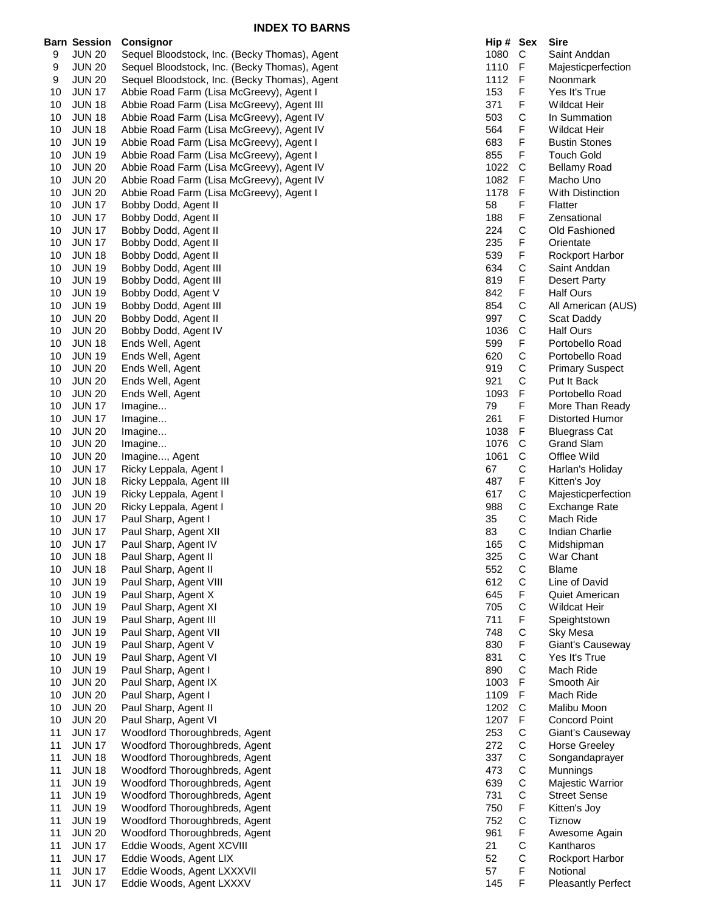|    | Barn Session  | Consignor                                     | Hip # Sex |              | Sire                      |
|----|---------------|-----------------------------------------------|-----------|--------------|---------------------------|
| 9  | <b>JUN 20</b> | Sequel Bloodstock, Inc. (Becky Thomas), Agent | 1080      | C            | Saint Anddan              |
| 9  | <b>JUN 20</b> | Sequel Bloodstock, Inc. (Becky Thomas), Agent | 1110      | F            | Majesticperfection        |
| 9  | <b>JUN 20</b> | Sequel Bloodstock, Inc. (Becky Thomas), Agent | 1112      | F            | Noonmark                  |
| 10 | <b>JUN 17</b> |                                               | 153       | F            | Yes It's True             |
|    |               | Abbie Road Farm (Lisa McGreevy), Agent I      |           |              |                           |
| 10 | <b>JUN 18</b> | Abbie Road Farm (Lisa McGreevy), Agent III    | 371       | F            | <b>Wildcat Heir</b>       |
| 10 | <b>JUN 18</b> | Abbie Road Farm (Lisa McGreevy), Agent IV     | 503       | C            | In Summation              |
| 10 | <b>JUN 18</b> | Abbie Road Farm (Lisa McGreevy), Agent IV     | 564       | F            | <b>Wildcat Heir</b>       |
| 10 | <b>JUN 19</b> | Abbie Road Farm (Lisa McGreevy), Agent I      | 683       | F            | <b>Bustin Stones</b>      |
| 10 | <b>JUN 19</b> | Abbie Road Farm (Lisa McGreevy), Agent I      | 855       | F            | <b>Touch Gold</b>         |
| 10 | <b>JUN 20</b> | Abbie Road Farm (Lisa McGreevy), Agent IV     | 1022      | C            | <b>Bellamy Road</b>       |
|    |               |                                               |           |              |                           |
| 10 | <b>JUN 20</b> | Abbie Road Farm (Lisa McGreevy), Agent IV     | 1082      | F            | Macho Uno                 |
| 10 | <b>JUN 20</b> | Abbie Road Farm (Lisa McGreevy), Agent I      | 1178      | F            | With Distinction          |
| 10 | <b>JUN 17</b> | Bobby Dodd, Agent II                          | 58        | F            | Flatter                   |
| 10 | <b>JUN 17</b> | Bobby Dodd, Agent II                          | 188       | F            | Zensational               |
| 10 | <b>JUN 17</b> | Bobby Dodd, Agent II                          | 224       | C            | Old Fashioned             |
|    | <b>JUN 17</b> |                                               | 235       | F            |                           |
| 10 |               | Bobby Dodd, Agent II                          |           |              | Orientate                 |
| 10 | <b>JUN 18</b> | Bobby Dodd, Agent II                          | 539       | F            | <b>Rockport Harbor</b>    |
| 10 | <b>JUN 19</b> | Bobby Dodd, Agent III                         | 634       | C            | Saint Anddan              |
| 10 | <b>JUN 19</b> | Bobby Dodd, Agent III                         | 819       | F            | Desert Party              |
| 10 | <b>JUN 19</b> | Bobby Dodd, Agent V                           | 842       | F            | <b>Half Ours</b>          |
| 10 | <b>JUN 19</b> | Bobby Dodd, Agent III                         | 854       | $\mathsf{C}$ | All American (AUS)        |
|    |               |                                               | 997       | С            |                           |
| 10 | <b>JUN 20</b> | Bobby Dodd, Agent II                          |           |              | Scat Daddy                |
| 10 | <b>JUN 20</b> | Bobby Dodd, Agent IV                          | 1036      | C            | <b>Half Ours</b>          |
| 10 | <b>JUN 18</b> | Ends Well, Agent                              | 599       | F            | Portobello Road           |
| 10 | <b>JUN 19</b> | Ends Well, Agent                              | 620       | C            | Portobello Road           |
| 10 | <b>JUN 20</b> | Ends Well, Agent                              | 919       | C            | <b>Primary Suspect</b>    |
| 10 | <b>JUN 20</b> | Ends Well, Agent                              | 921       | C            | Put It Back               |
|    |               |                                               |           |              |                           |
| 10 | <b>JUN 20</b> | Ends Well, Agent                              | 1093      | F            | Portobello Road           |
| 10 | <b>JUN 17</b> | Imagine                                       | 79        | F            | More Than Ready           |
| 10 | <b>JUN 17</b> | Imagine                                       | 261       | F            | Distorted Humor           |
| 10 | <b>JUN 20</b> | Imagine                                       | 1038      | F            | <b>Bluegrass Cat</b>      |
| 10 | <b>JUN 20</b> | Imagine                                       | 1076      | $\mathsf{C}$ | <b>Grand Slam</b>         |
|    |               |                                               |           |              |                           |
| 10 | <b>JUN 20</b> | Imagine, Agent                                | 1061      | C            | Offlee Wild               |
| 10 | <b>JUN 17</b> | Ricky Leppala, Agent I                        | 67        | C            | Harlan's Holiday          |
| 10 | <b>JUN 18</b> | Ricky Leppala, Agent III                      | 487       | F            | Kitten's Joy              |
| 10 | <b>JUN 19</b> | Ricky Leppala, Agent I                        | 617       | C            | Majesticperfection        |
| 10 | <b>JUN 20</b> | Ricky Leppala, Agent I                        | 988       | C            | Exchange Rate             |
| 10 | <b>JUN 17</b> | Paul Sharp, Agent I                           | 35        | C            | Mach Ride                 |
|    |               |                                               |           |              |                           |
| 10 | <b>JUN 17</b> | Paul Sharp, Agent XII                         | 83        | C            | Indian Charlie            |
| 10 | <b>JUN 17</b> | Paul Sharp, Agent IV                          | 165       | C            | Midshipman                |
| 10 | <b>JUN 18</b> | Paul Sharp, Agent II                          | 325       | С            | War Chant                 |
| 10 | <b>JUN 18</b> | Paul Sharp, Agent II                          | 552       | C            | Blame                     |
| 10 | <b>JUN 19</b> | Paul Sharp, Agent VIII                        | 612       | C            | Line of David             |
|    |               |                                               |           |              |                           |
| 10 | <b>JUN 19</b> | Paul Sharp, Agent X                           | 645       | F            | <b>Quiet American</b>     |
| 10 | <b>JUN 19</b> | Paul Sharp, Agent XI                          | 705       | C            | Wildcat Heir              |
| 10 | <b>JUN 19</b> | Paul Sharp, Agent III                         | 711       | F            | Speightstown              |
| 10 | <b>JUN 19</b> | Paul Sharp, Agent VII                         | 748       | C            | Sky Mesa                  |
| 10 | <b>JUN 19</b> | Paul Sharp, Agent V                           | 830       | F            | Giant's Causeway          |
| 10 | <b>JUN 19</b> | Paul Sharp, Agent VI                          | 831       | $\mathsf{C}$ | Yes It's True             |
|    |               |                                               |           |              |                           |
| 10 | <b>JUN 19</b> | Paul Sharp, Agent I                           | 890       | $\mathsf{C}$ | Mach Ride                 |
| 10 | <b>JUN 20</b> | Paul Sharp, Agent IX                          | 1003      | F            | Smooth Air                |
| 10 | <b>JUN 20</b> | Paul Sharp, Agent I                           | 1109      | F            | Mach Ride                 |
| 10 | <b>JUN 20</b> | Paul Sharp, Agent II                          | 1202      | $\mathsf{C}$ | Malibu Moon               |
| 10 | <b>JUN 20</b> | Paul Sharp, Agent VI                          | 1207      | F            | <b>Concord Point</b>      |
|    |               |                                               |           |              |                           |
| 11 | <b>JUN 17</b> | Woodford Thoroughbreds, Agent                 | 253       | C            | Giant's Causeway          |
| 11 | <b>JUN 17</b> | Woodford Thoroughbreds, Agent                 | 272       | C            | <b>Horse Greeley</b>      |
| 11 | <b>JUN 18</b> | Woodford Thoroughbreds, Agent                 | 337       | C            | Songandaprayer            |
| 11 | <b>JUN 18</b> | Woodford Thoroughbreds, Agent                 | 473       | C            | Munnings                  |
| 11 | <b>JUN 19</b> | Woodford Thoroughbreds, Agent                 | 639       | $\mathsf{C}$ | Majestic Warrior          |
|    |               |                                               |           |              |                           |
| 11 | <b>JUN 19</b> | Woodford Thoroughbreds, Agent                 | 731       | $\mathsf C$  | <b>Street Sense</b>       |
| 11 | <b>JUN 19</b> | Woodford Thoroughbreds, Agent                 | 750       | F            | Kitten's Joy              |
| 11 | <b>JUN 19</b> | Woodford Thoroughbreds, Agent                 | 752       | $\mathsf C$  | <b>Tiznow</b>             |
| 11 | <b>JUN 20</b> | Woodford Thoroughbreds, Agent                 | 961       | F            | Awesome Again             |
| 11 | <b>JUN 17</b> | Eddie Woods, Agent XCVIII                     | 21        | $\mathsf{C}$ | Kantharos                 |
| 11 |               |                                               | 52        | C            |                           |
|    | <b>JUN 17</b> | Eddie Woods, Agent LIX                        |           |              | Rockport Harbor           |
| 11 | <b>JUN 17</b> | Eddie Woods, Agent LXXXVII                    | 57        | F            | Notional                  |
| 11 | <b>JUN 17</b> | Eddie Woods, Agent LXXXV                      | 145       | F            | <b>Pleasantly Perfect</b> |

| Hip #        | Sex                   | Sire                                    |
|--------------|-----------------------|-----------------------------------------|
| 1080         | C<br>F                | Saint Anddan                            |
| 1110<br>1112 | F                     | Majesticperfection<br>Noonmark          |
| 153          | F                     | Yes It's True                           |
| 371          | F                     | <b>Wildcat Heir</b>                     |
| 503          | $\mathsf{C}$          | In Summation                            |
| 564          | F                     | <b>Wildcat Heir</b>                     |
| 683          | F                     | <b>Bustin Stones</b>                    |
| 855          | F                     | <b>Touch Gold</b>                       |
| 1022         | C                     | <b>Bellamy Road</b>                     |
| 1082         | F                     | Macho Uno                               |
| 1178         | F                     | <b>With Distinction</b>                 |
| 58           | F                     | Flatter                                 |
| 188          | F                     | Zensational                             |
| 224          | C                     | Old Fashioned                           |
| 235          | F                     | Orientate                               |
| 539          | F                     | Rockport Harbor                         |
| 634          | $\mathsf{C}$<br>F     | Saint Anddan                            |
| 819<br>842   | F                     | <b>Desert Party</b><br><b>Half Ours</b> |
| 854          |                       | All American (AUS)                      |
| 997          | C<br>C                | Scat Daddy                              |
| 1036         |                       | <b>Half Ours</b>                        |
| 599          | C<br>F                | Portobello Road                         |
| 620          |                       | Portobello Road                         |
| 919          | C<br>C<br>C<br>F      | <b>Primary Suspect</b>                  |
| 921          |                       | Put It Back                             |
| 1093         |                       | Portobello Road                         |
| 79           | F                     | More Than Ready                         |
| 261          | F                     | Distorted Humor                         |
| 1038         | F                     | <b>Bluegrass Cat</b>                    |
| 1076         | $\mathsf{C}$          | <b>Grand Slam</b>                       |
| 1061         | $\mathsf{C}$          | Offlee Wild                             |
| 67           | C<br>F                | Harlan's Holiday                        |
| 487          |                       | Kitten's Joy<br>Majesticperfection      |
| 617<br>988   |                       | Exchange Rate                           |
| 35           |                       | Mach Ride                               |
| 83           |                       | <b>Indian Charlie</b>                   |
| 165          | C<br>C<br>C<br>C<br>C | Midshipman                              |
| 325          | C                     | War Chant                               |
| 552          |                       | Blame                                   |
| 612          | <b>CCFCF</b>          | Line of David                           |
| 645          |                       | Quiet American                          |
| 705          |                       | Wildcat Heir                            |
| 711          |                       | Speightstown                            |
| 748          | $\mathsf{C}$          | Sky Mesa                                |
| 830          | F                     | Giant's Causeway                        |
| 831          | C<br>C<br>F           | Yes It's True                           |
| 890          |                       | Mach Ride                               |
| 1003<br>1109 |                       | Smooth Air<br>Mach Ride                 |
| 1202         | F<br>C                | Malibu Moon                             |
| 1207         |                       | <b>Concord Point</b>                    |
| 253          |                       | Giant's Causeway                        |
| 272          |                       | Horse Greeley                           |
| 337          |                       | Songandaprayer                          |
| 473          |                       | Munnings                                |
| 639          | FCCCCCCF              | Majestic Warrior                        |
| 731          |                       | <b>Street Sense</b>                     |
| 750          |                       | Kitten's Joy                            |
| 752          | C<br>F                | <b>Tiznow</b>                           |
| 961          |                       | Awesome Again                           |
| 21           | C<br>C                | Kantharos                               |
| 52           | F                     | Rockport Harbor                         |
| 57           | F                     | Notional                                |
| 145          |                       | <b>Pleasantly Perfect</b>               |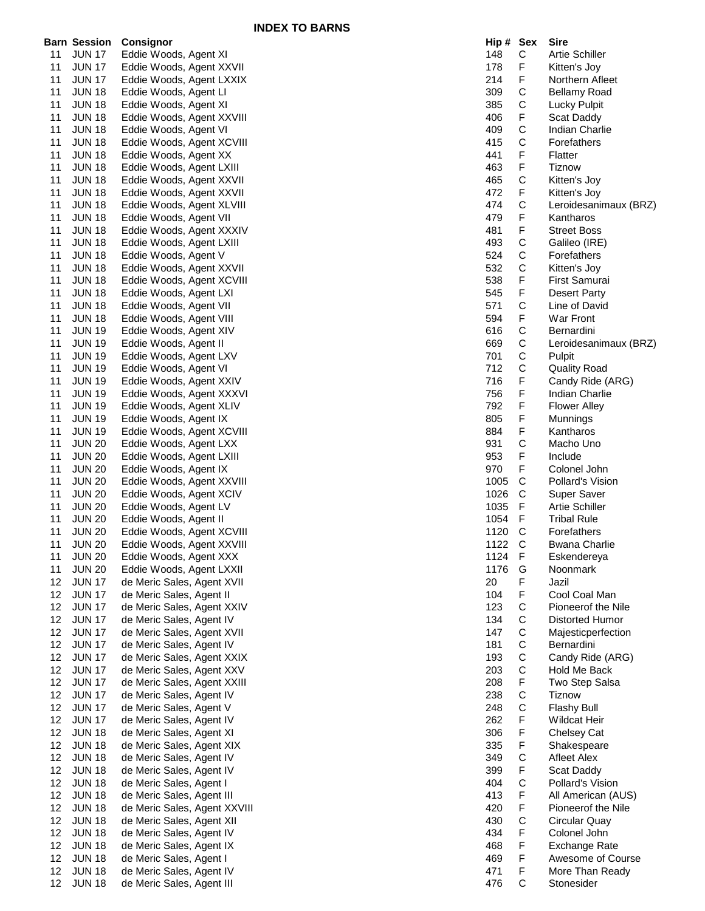|                 |                     |                              | <b>INDEA TO DANNO</b> |           |             |                       |
|-----------------|---------------------|------------------------------|-----------------------|-----------|-------------|-----------------------|
|                 | <b>Barn Session</b> | <b>Consignor</b>             |                       | Hip # Sex |             | <b>Sire</b>           |
| 11              | <b>JUN 17</b>       | Eddie Woods, Agent XI        |                       | 148       | С           | <b>Artie Schiller</b> |
| 11              | <b>JUN 17</b>       | Eddie Woods, Agent XXVII     |                       | 178       | F           | Kitten's Joy          |
| 11              | <b>JUN 17</b>       | Eddie Woods, Agent LXXIX     |                       | 214       | F           | Northern Afleet       |
| 11              | <b>JUN 18</b>       | Eddie Woods, Agent LI        |                       | 309       | С           | <b>Bellamy Road</b>   |
| 11              | <b>JUN 18</b>       | Eddie Woods, Agent XI        |                       | 385       | С           | Lucky Pulpit          |
| 11              | <b>JUN 18</b>       | Eddie Woods, Agent XXVIII    |                       | 406       | F           | Scat Daddy            |
| 11              | <b>JUN 18</b>       | Eddie Woods, Agent VI        |                       | 409       | С           | Indian Charlie        |
| 11              | <b>JUN 18</b>       | Eddie Woods, Agent XCVIII    |                       | 415       | C           | Forefathers           |
|                 |                     |                              |                       |           |             |                       |
| 11              | <b>JUN 18</b>       | Eddie Woods, Agent XX        |                       | 441       | F           | Flatter               |
| 11              | <b>JUN 18</b>       | Eddie Woods, Agent LXIII     |                       | 463       | F           | <b>Tiznow</b>         |
| 11              | <b>JUN 18</b>       | Eddie Woods, Agent XXVII     |                       | 465       | С           | Kitten's Joy          |
| 11              | <b>JUN 18</b>       | Eddie Woods, Agent XXVII     |                       | 472       | F           | Kitten's Joy          |
| 11              | <b>JUN 18</b>       | Eddie Woods, Agent XLVIII    |                       | 474       | C           | Leroidesanimaux (BRZ) |
| 11              | <b>JUN 18</b>       | Eddie Woods, Agent VII       |                       | 479       | F           | Kantharos             |
| 11              | <b>JUN 18</b>       | Eddie Woods, Agent XXXIV     |                       | 481       | F           | <b>Street Boss</b>    |
| 11              | <b>JUN 18</b>       | Eddie Woods, Agent LXIII     |                       | 493       | C           | Galileo (IRE)         |
| 11              | <b>JUN 18</b>       | Eddie Woods, Agent V         |                       | 524       | $\mathsf C$ | Forefathers           |
| 11              | <b>JUN 18</b>       | Eddie Woods, Agent XXVII     |                       | 532       | С           | Kitten's Joy          |
| 11              | <b>JUN 18</b>       | Eddie Woods, Agent XCVIII    |                       | 538       | F           | First Samurai         |
| 11              | <b>JUN 18</b>       | Eddie Woods, Agent LXI       |                       | 545       | F           | Desert Party          |
| 11              | <b>JUN 18</b>       | Eddie Woods, Agent VII       |                       | 571       | С           | Line of David         |
| 11              | <b>JUN 18</b>       | Eddie Woods, Agent VIII      |                       | 594       | F           | War Front             |
| 11              | <b>JUN 19</b>       |                              |                       | 616       | C           | Bernardini            |
|                 | <b>JUN 19</b>       | Eddie Woods, Agent XIV       |                       | 669       |             |                       |
| 11              |                     | Eddie Woods, Agent II        |                       |           | С           | Leroidesanimaux (BRZ) |
| 11              | <b>JUN 19</b>       | Eddie Woods, Agent LXV       |                       | 701       | C           | Pulpit                |
| 11              | <b>JUN 19</b>       | Eddie Woods, Agent VI        |                       | 712       | С           | <b>Quality Road</b>   |
| 11              | <b>JUN 19</b>       | Eddie Woods, Agent XXIV      |                       | 716       | F           | Candy Ride (ARG)      |
| 11              | <b>JUN 19</b>       | Eddie Woods, Agent XXXVI     |                       | 756       | F           | Indian Charlie        |
| 11              | <b>JUN 19</b>       | Eddie Woods, Agent XLIV      |                       | 792       | F           | <b>Flower Alley</b>   |
| 11              | <b>JUN 19</b>       | Eddie Woods, Agent IX        |                       | 805       | F           | Munnings              |
| 11              | <b>JUN 19</b>       | Eddie Woods, Agent XCVIII    |                       | 884       | F           | Kantharos             |
| 11              | <b>JUN 20</b>       | Eddie Woods, Agent LXX       |                       | 931       | С           | Macho Uno             |
| 11              | <b>JUN 20</b>       | Eddie Woods, Agent LXIII     |                       | 953       | F           | Include               |
| 11              | <b>JUN 20</b>       | Eddie Woods, Agent IX        |                       | 970       | F           | Colonel John          |
| 11              | <b>JUN 20</b>       | Eddie Woods, Agent XXVIII    |                       | 1005      | C           | Pollard's Vision      |
| 11              | <b>JUN 20</b>       | Eddie Woods, Agent XCIV      |                       | 1026      | C           | Super Saver           |
| 11              | <b>JUN 20</b>       | Eddie Woods, Agent LV        |                       | 1035      | F           | <b>Artie Schiller</b> |
| 11              | <b>JUN 20</b>       | Eddie Woods, Agent II        |                       | 1054      | F           | <b>Tribal Rule</b>    |
| 11              | <b>JUN 20</b>       | Eddie Woods, Agent XCVIII    |                       | 1120      | C           | Forefathers           |
|                 |                     |                              |                       | 1122      | C           |                       |
| 11              | <b>JUN 20</b>       | Eddie Woods, Agent XXVIII    |                       |           |             | <b>Bwana Charlie</b>  |
| 11              | <b>JUN 20</b>       | Eddie Woods, Agent XXX       |                       | 1124 F    |             | Eskendereya           |
| 11              | <b>JUN 20</b>       | Eddie Woods, Agent LXXII     |                       | 1176      | G           | Noonmark              |
| 12              | <b>JUN 17</b>       | de Meric Sales, Agent XVII   |                       | 20        | F           | Jazil                 |
| 12              | <b>JUN 17</b>       | de Meric Sales, Agent II     |                       | 104       | F           | Cool Coal Man         |
| 12              | <b>JUN 17</b>       | de Meric Sales, Agent XXIV   |                       | 123       | C           | Pioneerof the Nile    |
| 12              | <b>JUN 17</b>       | de Meric Sales, Agent IV     |                       | 134       | С           | Distorted Humor       |
| 12              | <b>JUN 17</b>       | de Meric Sales, Agent XVII   |                       | 147       | С           | Majesticperfection    |
| 12              | <b>JUN 17</b>       | de Meric Sales, Agent IV     |                       | 181       | С           | Bernardini            |
| 12 <sup>°</sup> | <b>JUN 17</b>       | de Meric Sales, Agent XXIX   |                       | 193       | С           | Candy Ride (ARG)      |
| 12 <sup>°</sup> | <b>JUN 17</b>       | de Meric Sales, Agent XXV    |                       | 203       | С           | Hold Me Back          |
| 12              | <b>JUN 17</b>       | de Meric Sales, Agent XXIII  |                       | 208       | F           | Two Step Salsa        |
| 12              | <b>JUN 17</b>       | de Meric Sales, Agent IV     |                       | 238       | С           | Tiznow                |
| 12              | <b>JUN 17</b>       | de Meric Sales, Agent V      |                       | 248       | C           | <b>Flashy Bull</b>    |
| 12 <sup>°</sup> |                     |                              |                       | 262       |             |                       |
|                 | <b>JUN 17</b>       | de Meric Sales, Agent IV     |                       |           | F           | <b>Wildcat Heir</b>   |
| 12 <sup>°</sup> | <b>JUN 18</b>       | de Meric Sales, Agent XI     |                       | 306       | F           | Chelsey Cat           |
| 12              | <b>JUN 18</b>       | de Meric Sales, Agent XIX    |                       | 335       | F           | Shakespeare           |
| 12              | <b>JUN 18</b>       | de Meric Sales, Agent IV     |                       | 349       | С           | Afleet Alex           |
| 12              | <b>JUN 18</b>       | de Meric Sales, Agent IV     |                       | 399       | F           | Scat Daddy            |
| 12              | <b>JUN 18</b>       | de Meric Sales, Agent I      |                       | 404       | С           | Pollard's Vision      |
| 12              | <b>JUN 18</b>       | de Meric Sales, Agent III    |                       | 413       | F           | All American (AUS)    |
| 12 <sup>°</sup> | <b>JUN 18</b>       | de Meric Sales, Agent XXVIII |                       | 420       | F           | Pioneerof the Nile    |
| 12              | <b>JUN 18</b>       | de Meric Sales, Agent XII    |                       | 430       | C           | Circular Quay         |
| 12              | <b>JUN 18</b>       | de Meric Sales, Agent IV     |                       | 434       | F           | Colonel John          |
| 12              | <b>JUN 18</b>       | de Meric Sales, Agent IX     |                       | 468       | F           | Exchange Rate         |
| 12              | <b>JUN 18</b>       | de Meric Sales, Agent I      |                       | 469       | F           | Awesome of Course     |
| 12              | <b>JUN 18</b>       | de Meric Sales, Agent IV     |                       | 471       | F           | More Than Ready       |
|                 | 12 JUN 18           | de Meric Sales, Agent III    |                       | 476       | $\mathbf C$ | Stonesider            |
|                 |                     |                              |                       |           |             |                       |

| Hip #      | Sex              | Sire                                   |
|------------|------------------|----------------------------------------|
| 148        | С                | <b>Artie Schiller</b>                  |
| 178        | F                | Kitten's Joy                           |
| 214        | F                | Northern Afleet                        |
| 309        | C                | <b>Bellamy Road</b>                    |
| 385        | C<br>F           | <b>Lucky Pulpit</b>                    |
| 406        |                  | Scat Daddy                             |
| 409        | C<br>C           | Indian Charlie                         |
| 415        |                  | Forefathers                            |
| 441        | F                | Flatter                                |
| 463        | F                | <b>Tiznow</b>                          |
| 465        | C<br>F           | Kitten's Joy                           |
| 472        |                  | Kitten's Joy                           |
| 474        | C<br>F           | Leroidesanimaux (BRZ)                  |
| 479        |                  | Kantharos                              |
| 481        | FCCFF            | <b>Street Boss</b>                     |
| 493        |                  | Galileo (IRE)                          |
| 524        |                  | Forefathers                            |
| 532        |                  | Kitten's Joy                           |
| 538        |                  | First Samurai                          |
| 545        |                  | <b>Desert Party</b>                    |
| 571        | C<br>F           | Line of David                          |
| 594        |                  | War Front                              |
| 616        | C<br>C<br>C<br>C | Bernardini                             |
| 669        |                  | Leroidesanimaux (BRZ)                  |
| 701        |                  | Pulpit                                 |
| 712        |                  | <b>Quality Road</b>                    |
| 716        | F                | Candy Ride (ARG)                       |
| 756        | F                | <b>Indian Charlie</b>                  |
| 792        | F                | Flower Alley                           |
| 805        | F                | Munnings                               |
| 884        | F                | Kantharos                              |
| 931        | C                | Macho Uno                              |
| 953        | F                | Include                                |
| 970        | F                | Colonel John                           |
| 1005       | $\mathsf{C}$     | <b>Pollard's Vision</b>                |
| 1026       | C                | <b>Super Saver</b>                     |
| 1035       | F                | <b>Artie Schiller</b>                  |
| 1054       | F                | <b>Tribal Rule</b>                     |
| 1120       | C                | Forefathers                            |
| 1122       | C                | <b>Bwana Charlie</b>                   |
| 1124       | ۲.               | Eskendereya                            |
| 1176       | G                | Noonmark                               |
| 20         | F                | Jazil                                  |
| 104        | F                | Cool Coal Man                          |
| 123        |                  | Pioneerof the Nile                     |
| 134        |                  | Distorted Humor                        |
| 147        |                  | Majesticperfection                     |
| 181        |                  | Bernardini                             |
| 193        |                  | Candy Ride (ARG)                       |
| 203        |                  | Hold Me Back                           |
| 208        |                  | Two Step Salsa                         |
| 238        |                  | Tiznow                                 |
| 248        | CCCCCCFCCF       | Flashy Bull                            |
| 262        |                  | <b>Wildcat Heir</b>                    |
| 306        | F<br>F           | <b>Chelsey Cat</b>                     |
| 335        |                  | Shakespeare                            |
| 349        | C                | <b>Afleet Alex</b>                     |
| 399        | F<br>C           | Scat Daddy                             |
| 404<br>413 | F                | Pollard's Vision<br>All American (AUS) |
| 420        | F                | Pioneerof the Nile                     |
| 430        | C                | Circular Quay                          |
| 434        | F                | Colonel John                           |
| 468        | F                | Exchange Rate                          |
| 469        | F                | Awesome of Course                      |
| 471        | F                | More Than Ready                        |
| 476        | C                | Stonesider                             |
|            |                  |                                        |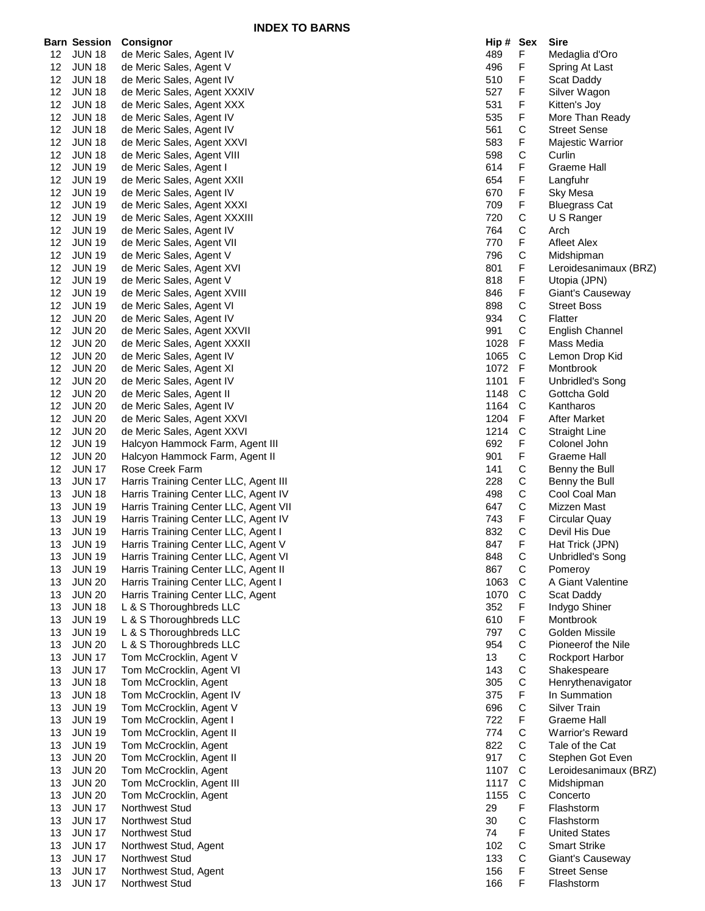|    | Barn Session  | <b>Consignor</b>                      | Hip # Sex |              | Sire                    |
|----|---------------|---------------------------------------|-----------|--------------|-------------------------|
| 12 | <b>JUN 18</b> | de Meric Sales, Agent IV              | 489       | F            | Medaglia d'Oro          |
| 12 | <b>JUN 18</b> | de Meric Sales, Agent V               | 496       | F            | Spring At Last          |
| 12 | <b>JUN 18</b> | de Meric Sales, Agent IV              | 510       | F            | Scat Daddy              |
| 12 | <b>JUN 18</b> | de Meric Sales, Agent XXXIV           | 527       | F            | Silver Wagon            |
| 12 | <b>JUN 18</b> | de Meric Sales, Agent XXX             | 531       | F            | Kitten's Joy            |
| 12 | <b>JUN 18</b> | de Meric Sales, Agent IV              | 535       | F            | More Than Ready         |
| 12 | <b>JUN 18</b> | de Meric Sales, Agent IV              | 561       | C            | <b>Street Sense</b>     |
| 12 | <b>JUN 18</b> | de Meric Sales, Agent XXVI            | 583       | F            | Majestic Warrior        |
| 12 | <b>JUN 18</b> | de Meric Sales, Agent VIII            | 598       | $\mathsf{C}$ | Curlin                  |
| 12 | <b>JUN 19</b> | de Meric Sales, Agent I               | 614       | F            | <b>Graeme Hall</b>      |
| 12 | <b>JUN 19</b> | de Meric Sales, Agent XXII            | 654       | F            | Langfuhr                |
| 12 | <b>JUN 19</b> | de Meric Sales, Agent IV              | 670       | F            | Sky Mesa                |
| 12 | <b>JUN 19</b> | de Meric Sales, Agent XXXI            | 709       | F            | <b>Bluegrass Cat</b>    |
| 12 | <b>JUN 19</b> | de Meric Sales, Agent XXXIII          | 720       | C            | U S Ranger              |
| 12 | <b>JUN 19</b> | de Meric Sales, Agent IV              | 764       | C            | Arch                    |
| 12 | <b>JUN 19</b> | de Meric Sales, Agent VII             | 770       | F            | Afleet Alex             |
| 12 | <b>JUN 19</b> | de Meric Sales, Agent V               | 796       | C            | Midshipman              |
| 12 | <b>JUN 19</b> | de Meric Sales, Agent XVI             | 801       | F            | Leroidesanimaux (BRZ)   |
| 12 | <b>JUN 19</b> | de Meric Sales, Agent V               | 818       | F            | Utopia (JPN)            |
| 12 | <b>JUN 19</b> | de Meric Sales, Agent XVIII           | 846       | F            | Giant's Causeway        |
| 12 | <b>JUN 19</b> | de Meric Sales, Agent VI              | 898       | $\mathsf C$  | <b>Street Boss</b>      |
| 12 | <b>JUN 20</b> | de Meric Sales, Agent IV              | 934       | C            | Flatter                 |
|    |               |                                       | 991       | C            |                         |
| 12 | <b>JUN 20</b> | de Meric Sales, Agent XXVII           |           |              | <b>English Channel</b>  |
| 12 | <b>JUN 20</b> | de Meric Sales, Agent XXXII           | 1028      | F            | Mass Media              |
| 12 | <b>JUN 20</b> | de Meric Sales, Agent IV              | 1065      | C            | Lemon Drop Kid          |
| 12 | <b>JUN 20</b> | de Meric Sales, Agent XI              | 1072      | F            | Montbrook               |
| 12 | <b>JUN 20</b> | de Meric Sales, Agent IV              | 1101      | F            | Unbridled's Song        |
| 12 | <b>JUN 20</b> | de Meric Sales, Agent II              | 1148      | C            | Gottcha Gold            |
| 12 | <b>JUN 20</b> | de Meric Sales, Agent IV              | 1164      | C            | Kantharos               |
| 12 | <b>JUN 20</b> | de Meric Sales, Agent XXVI            | 1204      | F            | After Market            |
| 12 | <b>JUN 20</b> | de Meric Sales, Agent XXVI            | 1214      | C            | <b>Straight Line</b>    |
| 12 | <b>JUN 19</b> | Halcyon Hammock Farm, Agent III       | 692       | F            | Colonel John            |
| 12 | <b>JUN 20</b> | Halcyon Hammock Farm, Agent II        | 901       | F            | Graeme Hall             |
| 12 | <b>JUN 17</b> | Rose Creek Farm                       | 141       | С            | Benny the Bull          |
| 13 | <b>JUN 17</b> | Harris Training Center LLC, Agent III | 228       | C            | Benny the Bull          |
| 13 | <b>JUN 18</b> | Harris Training Center LLC, Agent IV  | 498       | С            | Cool Coal Man           |
| 13 | <b>JUN 19</b> | Harris Training Center LLC, Agent VII | 647       | C            | Mizzen Mast             |
| 13 | <b>JUN 19</b> | Harris Training Center LLC, Agent IV  | 743       | F            | Circular Quay           |
| 13 | <b>JUN 19</b> | Harris Training Center LLC, Agent I   | 832       | С            | Devil His Due           |
| 13 | <b>JUN 19</b> | Harris Training Center LLC, Agent V   | 847       | F            | Hat Trick (JPN)         |
| 13 | <b>JUN 19</b> | Harris Training Center LLC, Agent VI  | 848       | C            | Unbridled's Song        |
| 13 | <b>JUN 19</b> | Harris Training Center LLC, Agent II  | 867       | $\mathsf{C}$ | Pomeroy                 |
| 13 | <b>JUN 20</b> | Harris Training Center LLC, Agent I   | 1063      | C            | A Giant Valentine       |
| 13 | <b>JUN 20</b> | Harris Training Center LLC, Agent     | 1070      | C            | Scat Daddy              |
| 13 | <b>JUN 18</b> | L & S Thoroughbreds LLC               | 352       | F            | Indygo Shiner           |
| 13 | <b>JUN 19</b> | L & S Thoroughbreds LLC               | 610       | F            | Montbrook               |
| 13 | <b>JUN 19</b> | L & S Thoroughbreds LLC               | 797       | С            | Golden Missile          |
| 13 | <b>JUN 20</b> | L & S Thoroughbreds LLC               | 954       | C            | Pioneerof the Nile      |
| 13 | <b>JUN 17</b> | Tom McCrocklin, Agent V               | 13        | $\mathsf C$  | Rockport Harbor         |
| 13 | <b>JUN 17</b> | Tom McCrocklin, Agent VI              | 143       | C            | Shakespeare             |
| 13 | <b>JUN 18</b> | Tom McCrocklin, Agent                 | 305       | C            | Henrythenavigator       |
| 13 | <b>JUN 18</b> | Tom McCrocklin, Agent IV              | 375       | F            | In Summation            |
| 13 | <b>JUN 19</b> | Tom McCrocklin, Agent V               | 696       | $\mathsf C$  | <b>Silver Train</b>     |
| 13 | <b>JUN 19</b> | Tom McCrocklin, Agent I               | 722       | F            | <b>Graeme Hall</b>      |
| 13 | <b>JUN 19</b> | Tom McCrocklin, Agent II              | 774       | С            | <b>Warrior's Reward</b> |
| 13 | <b>JUN 19</b> | Tom McCrocklin, Agent                 | 822       | C            | Tale of the Cat         |
| 13 | <b>JUN 20</b> | Tom McCrocklin, Agent II              | 917       | C            | Stephen Got Even        |
| 13 | <b>JUN 20</b> | Tom McCrocklin, Agent                 | 1107      | C            | Leroidesanimaux (BRZ)   |
| 13 | <b>JUN 20</b> | Tom McCrocklin, Agent III             | 1117      | C            | Midshipman              |
| 13 | <b>JUN 20</b> | Tom McCrocklin, Agent                 | 1155      | $\mathsf{C}$ | Concerto                |
| 13 | <b>JUN 17</b> | <b>Northwest Stud</b>                 | 29        | F            | Flashstorm              |
| 13 | <b>JUN 17</b> | <b>Northwest Stud</b>                 | 30        | С            | Flashstorm              |
| 13 | <b>JUN 17</b> | <b>Northwest Stud</b>                 | 74        | F            | <b>United States</b>    |
| 13 | <b>JUN 17</b> | Northwest Stud, Agent                 | 102       | $\mathbf C$  | <b>Smart Strike</b>     |
| 13 | <b>JUN 17</b> | <b>Northwest Stud</b>                 | 133       | C            | Giant's Causeway        |
| 13 | <b>JUN 17</b> | Northwest Stud, Agent                 | 156       | F            | <b>Street Sense</b>     |
| 13 | <b>JUN 17</b> | Northwest Stud                        | 166       | F            | Flashstorm              |
|    |               |                                       |           |              |                         |

| Hip # | Sex              | Sire                    |
|-------|------------------|-------------------------|
| 489   | F                | Medaglia d'Oro          |
| 496   | F                | Spring At Last          |
| 510   | F                | <b>Scat Daddy</b>       |
| 527   | F                | Silver Wagon            |
| 531   | F                | Kitten's Joy            |
| 535   | F                | More Than Ready         |
| 561   | C                | Street Sense            |
| 583   | F                | Majestic Warrior        |
| 598   | $\mathsf{C}$     | Curlin                  |
| 614   | F                | Graeme Hall             |
| 654   | F                | Langfuhr                |
| 670   | F                | Sky Mesa                |
| 709   | F                | <b>Bluegrass Cat</b>    |
| 720   | C                | U S Ranger              |
| 764   | C<br>F           | Arch                    |
| 770   |                  | Afleet Alex             |
| 796   | C                | Midshipman              |
| 801   | F                | Leroidesanimaux (BRZ)   |
| 818   | F                | Utopia (JPN)            |
| 846   | F                | Giant's Causeway        |
| 898   |                  | <b>Street Boss</b>      |
| 934   |                  | Flatter                 |
| 991   | C<br>C<br>C<br>F | <b>English Channel</b>  |
| 1028  |                  | Mass Media              |
| 1065  | C                | Lemon Drop Kid          |
| 1072  | F                | Montbrook               |
| 1101  | F                | Unbridled's Song        |
| 1148  | $\mathsf{C}$     | Gottcha Gold            |
| 1164  | C                | Kantharos               |
| 1204  | F                | After Market            |
| 1214  | $\mathsf{C}$     | Straight Line           |
| 692   | F                | Colonel John            |
| 901   | FCCCCF           | Graeme Hall             |
| 141   |                  | Benny the Bull          |
| 228   |                  | Benny the Bull          |
| 498   |                  | Cool Coal Man           |
| 647   |                  | Mizzen Mast             |
| 743   |                  | Circular Quay           |
| 832   | C<br>F           | Devil His Due           |
| 847   |                  | Hat Trick (JPN)         |
| 848   | $\mathbf{C}$     | <b>Unbridled's Song</b> |
| 867   |                  | Pomeroy                 |
| 1063  |                  | A Giant Valentine       |
| 1070  |                  | Scat Daddy              |
| 352   |                  | Indygo Shiner           |
| 610   |                  | Montbrook               |
| 797   |                  | Golden Missile          |
| 954   |                  | Pioneerof the Nile      |
| 13    |                  | Rockport Harbor         |
| 143   |                  | Shakespeare             |
| 305   | CCCFFCCCCCFCF    | Henrythenavigator       |
| 375   |                  | In Summation            |
| 696   |                  | Silver Train            |
| 722   |                  | <b>Graeme Hall</b>      |
| 774   |                  | <b>Warrior's Reward</b> |
| 822   |                  | Tale of the Cat         |
| 917   | CCCCCCFCF        | Stephen Got Even        |
| 1107  |                  | Leroidesanimaux (BRZ)   |
| 1117  |                  | Midshipman              |
| 1155  |                  | Concerto                |
| 29    |                  | Flashstorm              |
| 30    |                  | Flashstorm              |
| 74    |                  | <b>United States</b>    |
| 102   | C<br>C           | Smart Strike            |
| 133   |                  | Giant's Causeway        |
| 156   | F                | <b>Street Sense</b>     |
| 166   | F                | Flashstorm              |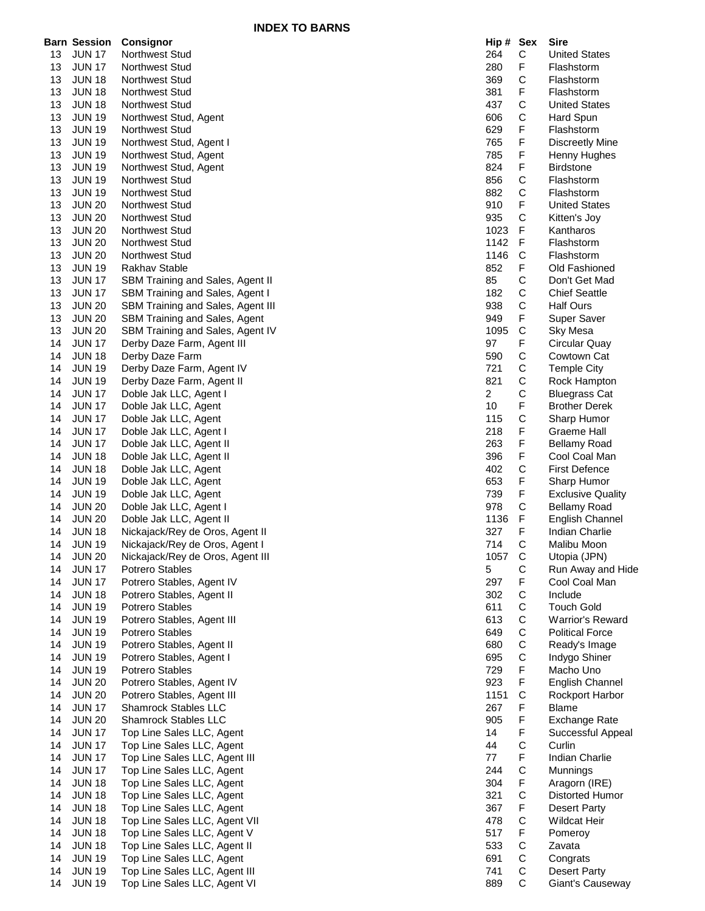**INDEX TO BARNS**

|    | <b>Barn Session</b> | Consignor                               | Hip # Sex      |              | <b>Sire</b>              |
|----|---------------------|-----------------------------------------|----------------|--------------|--------------------------|
| 13 | <b>JUN 17</b>       | <b>Northwest Stud</b>                   | 264            | С            | <b>United States</b>     |
| 13 | <b>JUN 17</b>       | <b>Northwest Stud</b>                   | 280            | F            | Flashstorm               |
| 13 | <b>JUN 18</b>       | Northwest Stud                          | 369            | C            | Flashstorm               |
|    |                     |                                         |                |              |                          |
| 13 | <b>JUN 18</b>       | <b>Northwest Stud</b>                   | 381            | F            | Flashstorm               |
| 13 | <b>JUN 18</b>       | Northwest Stud                          | 437            | С            | <b>United States</b>     |
| 13 | <b>JUN 19</b>       | Northwest Stud, Agent                   | 606            | С            | Hard Spun                |
| 13 | <b>JUN 19</b>       | Northwest Stud                          | 629            | F            | Flashstorm               |
| 13 | <b>JUN 19</b>       | Northwest Stud, Agent I                 | 765            | F            | <b>Discreetly Mine</b>   |
| 13 | <b>JUN 19</b>       | Northwest Stud, Agent                   | 785            | F            | Henny Hughes             |
| 13 | <b>JUN 19</b>       | Northwest Stud, Agent                   | 824            | F            | <b>Birdstone</b>         |
| 13 | <b>JUN 19</b>       | Northwest Stud                          | 856            | C            | Flashstorm               |
|    |                     | <b>Northwest Stud</b>                   | 882            |              | Flashstorm               |
| 13 | <b>JUN 19</b>       |                                         |                | С            |                          |
| 13 | <b>JUN 20</b>       | Northwest Stud                          | 910            | F            | <b>United States</b>     |
| 13 | <b>JUN 20</b>       | Northwest Stud                          | 935            | $\mathsf C$  | Kitten's Joy             |
| 13 | <b>JUN 20</b>       | <b>Northwest Stud</b>                   | 1023           | F            | Kantharos                |
| 13 | <b>JUN 20</b>       | <b>Northwest Stud</b>                   | 1142           | F            | Flashstorm               |
| 13 | <b>JUN 20</b>       | <b>Northwest Stud</b>                   | 1146           | $\mathsf{C}$ | Flashstorm               |
| 13 | <b>JUN 19</b>       | <b>Rakhav Stable</b>                    | 852            | F            | Old Fashioned            |
| 13 | <b>JUN 17</b>       | <b>SBM Training and Sales, Agent II</b> | 85             | С            | Don't Get Mad            |
| 13 | <b>JUN 17</b>       | SBM Training and Sales, Agent I         | 182            | $\mathsf C$  | <b>Chief Seattle</b>     |
| 13 | <b>JUN 20</b>       | SBM Training and Sales, Agent III       | 938            | С            | <b>Half Ours</b>         |
|    |                     |                                         |                |              |                          |
| 13 | <b>JUN 20</b>       | SBM Training and Sales, Agent           | 949            | F            | Super Saver              |
| 13 | <b>JUN 20</b>       | SBM Training and Sales, Agent IV        | 1095           | $\mathsf C$  | Sky Mesa                 |
| 14 | <b>JUN 17</b>       | Derby Daze Farm, Agent III              | 97             | F            | Circular Quay            |
| 14 | <b>JUN 18</b>       | Derby Daze Farm                         | 590            | $\mathsf C$  | Cowtown Cat              |
| 14 | <b>JUN 19</b>       | Derby Daze Farm, Agent IV               | 721            | C            | <b>Temple City</b>       |
| 14 | <b>JUN 19</b>       | Derby Daze Farm, Agent II               | 821            | С            | Rock Hampton             |
| 14 | <b>JUN 17</b>       | Doble Jak LLC, Agent I                  | $\overline{2}$ | С            | <b>Bluegrass Cat</b>     |
| 14 | <b>JUN 17</b>       | Doble Jak LLC, Agent                    | 10             | F            | <b>Brother Derek</b>     |
| 14 | <b>JUN 17</b>       | Doble Jak LLC, Agent                    | 115            | $\mathsf C$  | Sharp Humor              |
|    |                     |                                         |                |              |                          |
| 14 | <b>JUN 17</b>       | Doble Jak LLC, Agent I                  | 218            | F            | Graeme Hall              |
| 14 | <b>JUN 17</b>       | Doble Jak LLC, Agent II                 | 263            | F            | <b>Bellamy Road</b>      |
| 14 | <b>JUN 18</b>       | Doble Jak LLC, Agent II                 | 396            | F            | Cool Coal Man            |
| 14 | <b>JUN 18</b>       | Doble Jak LLC, Agent                    | 402            | С            | <b>First Defence</b>     |
| 14 | <b>JUN 19</b>       | Doble Jak LLC, Agent                    | 653            | F            | Sharp Humor              |
| 14 | <b>JUN 19</b>       | Doble Jak LLC, Agent                    | 739            | F            | <b>Exclusive Quality</b> |
| 14 | <b>JUN 20</b>       | Doble Jak LLC, Agent I                  | 978            | C            | <b>Bellamy Road</b>      |
| 14 | <b>JUN 20</b>       | Doble Jak LLC, Agent II                 | 1136           | F            | English Channel          |
| 14 | <b>JUN 18</b>       | Nickajack/Rey de Oros, Agent II         | 327            | F            | Indian Charlie           |
| 14 | <b>JUN 19</b>       | Nickajack/Rey de Oros, Agent I          | 714            | С            | Malibu Moon              |
|    |                     |                                         |                |              |                          |
| 14 | <b>JUN 20</b>       | Nickajack/Rey de Oros, Agent III        | 1057           | C            | Utopia (JPN)             |
| 14 | <b>JUN 17</b>       | Potrero Stables                         | 5              | $\mathsf C$  | Run Away and Hide        |
| 14 | <b>JUN 17</b>       | Potrero Stables, Agent IV               | 297            | F            | Cool Coal Man            |
| 14 | <b>JUN 18</b>       | Potrero Stables, Agent II               | 302            | C            | Include                  |
| 14 | <b>JUN 19</b>       | <b>Potrero Stables</b>                  | 611            | С            | <b>Touch Gold</b>        |
| 14 | <b>JUN 19</b>       | Potrero Stables, Agent III              | 613            | C            | Warrior's Reward         |
| 14 | <b>JUN 19</b>       | Potrero Stables                         | 649            | $\mathsf C$  | <b>Political Force</b>   |
| 14 | <b>JUN 19</b>       | Potrero Stables, Agent II               | 680            | C            | Ready's Image            |
| 14 | <b>JUN 19</b>       | Potrero Stables, Agent I                | 695            | С            | Indygo Shiner            |
| 14 | <b>JUN 19</b>       | Potrero Stables                         | 729            | F            | Macho Uno                |
|    |                     |                                         |                |              |                          |
| 14 | <b>JUN 20</b>       | Potrero Stables, Agent IV               | 923            | F            | English Channel          |
| 14 | <b>JUN 20</b>       | Potrero Stables, Agent III              | 1151           | C            | Rockport Harbor          |
| 14 | <b>JUN 17</b>       | Shamrock Stables LLC                    | 267            | F            | <b>Blame</b>             |
| 14 | <b>JUN 20</b>       | Shamrock Stables LLC                    | 905            | F            | <b>Exchange Rate</b>     |
| 14 | <b>JUN 17</b>       | Top Line Sales LLC, Agent               | 14             | F            | Successful Appeal        |
| 14 | <b>JUN 17</b>       | Top Line Sales LLC, Agent               | 44             | С            | Curlin                   |
| 14 | <b>JUN 17</b>       | Top Line Sales LLC, Agent III           | 77             | F            | Indian Charlie           |
| 14 | <b>JUN 17</b>       | Top Line Sales LLC, Agent               | 244            | $\mathsf C$  | Munnings                 |
| 14 | <b>JUN 18</b>       | Top Line Sales LLC, Agent               | 304            | F            | Aragorn (IRE)            |
|    |                     |                                         |                |              |                          |
| 14 | <b>JUN 18</b>       | Top Line Sales LLC, Agent               | 321            | C            | Distorted Humor          |
| 14 | <b>JUN 18</b>       | Top Line Sales LLC, Agent               | 367            | F            | Desert Party             |
| 14 | <b>JUN 18</b>       | Top Line Sales LLC, Agent VII           | 478            | С            | <b>Wildcat Heir</b>      |
| 14 | <b>JUN 18</b>       | Top Line Sales LLC, Agent V             | 517            | F            | Pomeroy                  |
| 14 | <b>JUN 18</b>       | Top Line Sales LLC, Agent II            | 533            | $\mathsf C$  | Zavata                   |
| 14 | <b>JUN 19</b>       | Top Line Sales LLC, Agent               | 691            | $\mathbf C$  | Congrats                 |
| 14 | <b>JUN 19</b>       | Top Line Sales LLC, Agent III           | 741            | $\mathbf C$  | <b>Desert Party</b>      |
| 14 | <b>JUN 19</b>       | Top Line Sales LLC, Agent VI            | 889            | С            | Giant's Causeway         |
|    |                     |                                         |                |              |                          |

| Hip #      | Sex                                                                       | Sire                             |
|------------|---------------------------------------------------------------------------|----------------------------------|
| 264        | C<br>F                                                                    | <b>United States</b>             |
| 280        |                                                                           | Flashstorm                       |
| 369        |                                                                           | Flashstorm                       |
| 381        |                                                                           | Flashstorm                       |
| 437        |                                                                           | <b>United States</b>             |
| 606        |                                                                           | Hard Spun                        |
| 629        |                                                                           | Flashstorm                       |
| 765        |                                                                           | Discreetly Mine                  |
| 785        |                                                                           | Henny Hughes                     |
| 824        |                                                                           | <b>Birdstone</b>                 |
| 856        |                                                                           | Flashstorm                       |
| 882        |                                                                           | Flashstorm                       |
| 910        |                                                                           | <b>United States</b>             |
| 935        |                                                                           | Kitten's Joy                     |
| 1023       |                                                                           | Kantharos                        |
| 1142       |                                                                           | Flashstorm                       |
| 1146       |                                                                           | Flashstorm                       |
| 852        |                                                                           | Old Fashioned                    |
| 85         |                                                                           | Don't Get Mad                    |
| 182        |                                                                           | <b>Chief Seattle</b>             |
| 938        |                                                                           | <b>Half Ours</b>                 |
| 949        |                                                                           | <b>Super Saver</b>               |
| 1095       |                                                                           | Sky Mesa                         |
| 97         |                                                                           | Circular Quay                    |
| 590        |                                                                           | Cowtown Cat                      |
| 721        |                                                                           | <b>Temple City</b>               |
| 821        |                                                                           | Rock Hampton                     |
| 2          |                                                                           | <b>Bluegrass Cat</b>             |
| 10         |                                                                           | <b>Brother Derek</b>             |
| 115        |                                                                           | Sharp Humor                      |
| 218        |                                                                           | <b>Graeme Hall</b>               |
| 263        |                                                                           | <b>Bellamy Road</b>              |
| 396        | C F C C F F F F C C F C F F C F C C C F C C C C C F C F F F C F F C F F C | Cool Coal Man                    |
| 402        |                                                                           | <b>First Defence</b>             |
| 653        |                                                                           | Sharp Humor                      |
| 739        |                                                                           | <b>Exclusive Quality</b>         |
| 978        |                                                                           | <b>Bellamy Road</b>              |
| 1136       |                                                                           | <b>English Channel</b>           |
| 327        |                                                                           | <b>Indian Charlie</b>            |
| 714        |                                                                           | Malibu Moon                      |
| 1057       |                                                                           | Utopia (JPN)                     |
| 5          |                                                                           | Run Away and Hide                |
| 297        |                                                                           | Cool Coal Man                    |
| 302        |                                                                           | Include                          |
| 611        |                                                                           | <b>Touch Gold</b>                |
| 613        |                                                                           | <b>Warrior's Reward</b>          |
| 649        |                                                                           | <b>Political Force</b>           |
| 680        |                                                                           | Ready's Image                    |
| 695        |                                                                           | Indygo Shiner                    |
| 729        |                                                                           | Macho Uno                        |
| 923        |                                                                           | English Channel                  |
| 1151       |                                                                           | Rockport Harbor                  |
| 267        |                                                                           | Blame                            |
| 905        |                                                                           | Exchange Rate                    |
| 14         |                                                                           | Successful Appeal                |
| 44         |                                                                           | Curlin                           |
| 77         |                                                                           | Indian Charlie                   |
| 244        |                                                                           | Munnings                         |
| 304        |                                                                           | Aragorn (IRE)                    |
| 321        |                                                                           | Distorted Humor                  |
| 367        |                                                                           | Desert Party                     |
| 478        |                                                                           | Wildcat Heir                     |
| 517        |                                                                           | Pomeroy                          |
| 533        |                                                                           | Zavata                           |
| 691<br>741 |                                                                           | Congrats                         |
|            |                                                                           | Desert Party<br>Giant's Causeway |
| 889        |                                                                           |                                  |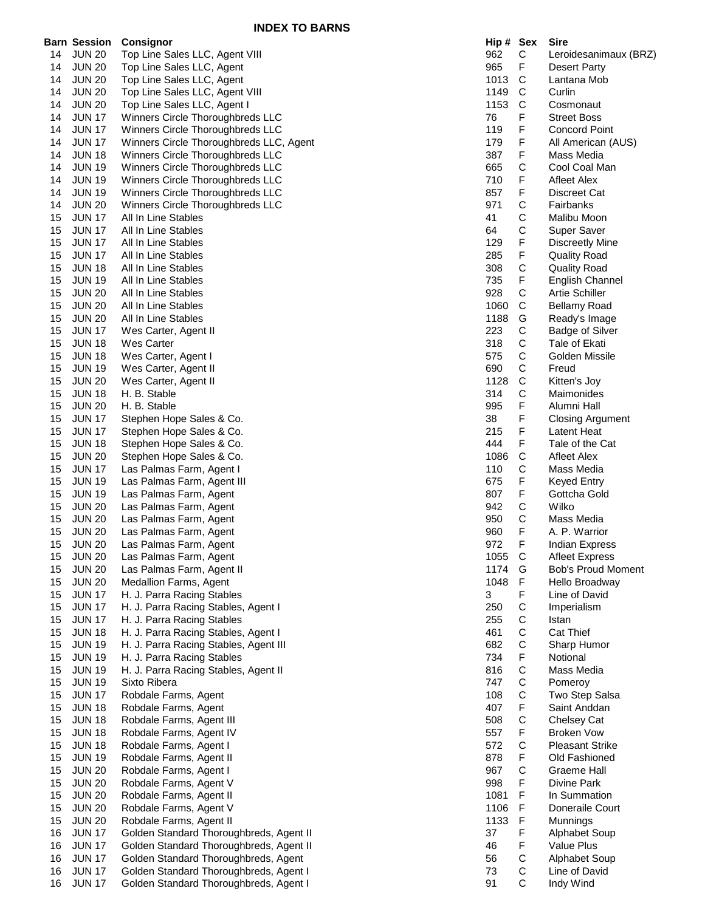|    | <b>Barn Session</b> | <b>Consignor</b>                                        | Hip # Sex    |              | <b>Sire</b>               |
|----|---------------------|---------------------------------------------------------|--------------|--------------|---------------------------|
| 14 | <b>JUN 20</b>       | Top Line Sales LLC, Agent VIII                          | 962          | С            | Leroidesanimaux (BRZ)     |
| 14 | <b>JUN 20</b>       | Top Line Sales LLC, Agent                               | 965          | F            | Desert Party              |
| 14 | <b>JUN 20</b>       | Top Line Sales LLC, Agent                               | 1013         | C            | Lantana Mob               |
| 14 | <b>JUN 20</b>       | Top Line Sales LLC, Agent VIII                          | 1149         | C            | Curlin                    |
| 14 | <b>JUN 20</b>       | Top Line Sales LLC, Agent I                             | 1153         | $\mathsf{C}$ | Cosmonaut                 |
| 14 | <b>JUN 17</b>       | Winners Circle Thoroughbreds LLC                        | 76           | F            | <b>Street Boss</b>        |
| 14 | <b>JUN 17</b>       | Winners Circle Thoroughbreds LLC                        | 119          | F            | <b>Concord Point</b>      |
| 14 | <b>JUN 17</b>       | Winners Circle Thoroughbreds LLC, Agent                 | 179          | F            | All American (AUS)        |
| 14 | <b>JUN 18</b>       | Winners Circle Thoroughbreds LLC                        | 387          | F            | Mass Media                |
| 14 | <b>JUN 19</b>       | Winners Circle Thoroughbreds LLC                        | 665          | C            | Cool Coal Man             |
| 14 | <b>JUN 19</b>       | Winners Circle Thoroughbreds LLC                        | 710          | F            | Afleet Alex               |
| 14 | <b>JUN 19</b>       | Winners Circle Thoroughbreds LLC                        | 857          | F            | Discreet Cat              |
|    |                     |                                                         | 971          | C            | Fairbanks                 |
| 14 | <b>JUN 20</b>       | Winners Circle Thoroughbreds LLC<br>All In Line Stables | 41           | С            | Malibu Moon               |
| 15 | <b>JUN 17</b>       |                                                         |              |              |                           |
| 15 | <b>JUN 17</b>       | All In Line Stables                                     | 64           | C            | Super Saver               |
| 15 | <b>JUN 17</b>       | All In Line Stables                                     | 129          | F            | <b>Discreetly Mine</b>    |
| 15 | <b>JUN 17</b>       | All In Line Stables                                     | 285          | F            | <b>Quality Road</b>       |
| 15 | <b>JUN 18</b>       | All In Line Stables                                     | 308          | $\mathsf C$  | <b>Quality Road</b>       |
| 15 | <b>JUN 19</b>       | All In Line Stables                                     | 735          | F            | <b>English Channel</b>    |
| 15 | <b>JUN 20</b>       | All In Line Stables                                     | 928          | С            | <b>Artie Schiller</b>     |
| 15 | <b>JUN 20</b>       | All In Line Stables                                     | 1060         | C            | <b>Bellamy Road</b>       |
| 15 | <b>JUN 20</b>       | All In Line Stables                                     | 1188         | G            | Ready's Image             |
| 15 | <b>JUN 17</b>       | Wes Carter, Agent II                                    | 223          | $\mathsf C$  | Badge of Silver           |
| 15 | <b>JUN 18</b>       | Wes Carter                                              | 318          | $\mathsf C$  | Tale of Ekati             |
| 15 | <b>JUN 18</b>       | Wes Carter, Agent I                                     | 575          | $\mathsf C$  | Golden Missile            |
| 15 | <b>JUN 19</b>       | Wes Carter, Agent II                                    | 690          | С            | Freud                     |
| 15 | <b>JUN 20</b>       | Wes Carter, Agent II                                    | 1128         | C            | Kitten's Joy              |
| 15 | <b>JUN 18</b>       | H. B. Stable                                            | 314          | С            | Maimonides                |
| 15 | <b>JUN 20</b>       | H. B. Stable                                            | 995          | F            | Alumni Hall               |
| 15 | <b>JUN 17</b>       | Stephen Hope Sales & Co.                                | 38           | F            | <b>Closing Argument</b>   |
| 15 | <b>JUN 17</b>       | Stephen Hope Sales & Co.                                | 215          | F            | Latent Heat               |
| 15 | <b>JUN 18</b>       | Stephen Hope Sales & Co.                                | 444          | F            | Tale of the Cat           |
| 15 | <b>JUN 20</b>       | Stephen Hope Sales & Co.                                | 1086         | $\mathsf C$  | <b>Afleet Alex</b>        |
| 15 | <b>JUN 17</b>       | Las Palmas Farm, Agent I                                | 110          | C            | Mass Media                |
| 15 | <b>JUN 19</b>       | Las Palmas Farm, Agent III                              | 675          | F            | Keyed Entry               |
| 15 | <b>JUN 19</b>       | Las Palmas Farm, Agent                                  | 807          | F.           | Gottcha Gold              |
| 15 | <b>JUN 20</b>       | Las Palmas Farm, Agent                                  | 942          | C            | Wilko                     |
| 15 | <b>JUN 20</b>       | Las Palmas Farm, Agent                                  | 950          | C            | Mass Media                |
| 15 | <b>JUN 20</b>       | Las Palmas Farm, Agent                                  | 960          | F            | A. P. Warrior             |
| 15 | <b>JUN 20</b>       | Las Palmas Farm, Agent                                  | 972          | F            | <b>Indian Express</b>     |
| 15 | <b>JUN 20</b>       | Las Palmas Farm, Agent                                  | 1055         | $\mathbf C$  | <b>Afleet Express</b>     |
| 15 | <b>JUN 20</b>       | Las Palmas Farm, Agent II                               | 1174         | G            | <b>Bob's Proud Moment</b> |
| 15 | <b>JUN 20</b>       | Medallion Farms, Agent                                  | 1048         | F            | Hello Broadway            |
| 15 | <b>JUN 17</b>       | H. J. Parra Racing Stables                              | 3            | F            | Line of David             |
| 15 | <b>JUN 17</b>       | H. J. Parra Racing Stables, Agent I                     | 250          | C            | Imperialism               |
| 15 | <b>JUN 17</b>       | H. J. Parra Racing Stables                              | 255          | $\mathsf C$  | Istan                     |
| 15 | <b>JUN 18</b>       | H. J. Parra Racing Stables, Agent I                     | 461          | $\mathsf C$  | Cat Thief                 |
| 15 | <b>JUN 19</b>       | H. J. Parra Racing Stables, Agent III                   | 682          | C            | Sharp Humor               |
| 15 | <b>JUN 19</b>       | H. J. Parra Racing Stables                              | 734          | F            | Notional                  |
| 15 | <b>JUN 19</b>       | H. J. Parra Racing Stables, Agent II                    | 816          | $\mathsf C$  | Mass Media                |
| 15 | <b>JUN 19</b>       | Sixto Ribera                                            | 747          | $\mathsf C$  | Pomeroy                   |
| 15 | <b>JUN 17</b>       | Robdale Farms, Agent                                    | 108          | $\mathsf C$  | Two Step Salsa            |
| 15 | <b>JUN 18</b>       | Robdale Farms, Agent                                    | 407          | F            | Saint Anddan              |
| 15 | <b>JUN 18</b>       | Robdale Farms, Agent III                                | 508          | C            | Chelsey Cat               |
| 15 | <b>JUN 18</b>       | Robdale Farms, Agent IV                                 | 557          | F            | <b>Broken Vow</b>         |
| 15 | <b>JUN 18</b>       | Robdale Farms, Agent I                                  | 572          | C            | <b>Pleasant Strike</b>    |
| 15 | <b>JUN 19</b>       | Robdale Farms, Agent II                                 | 878          | F            | Old Fashioned             |
| 15 | <b>JUN 20</b>       | Robdale Farms, Agent I                                  | 967          | $\mathsf C$  | <b>Graeme Hall</b>        |
| 15 | <b>JUN 20</b>       | Robdale Farms, Agent V                                  | 998          | F            | Divine Park               |
| 15 | <b>JUN 20</b>       | Robdale Farms, Agent II                                 | 1081         | F            | In Summation              |
|    |                     |                                                         |              | F            | Doneraile Court           |
| 15 | <b>JUN 20</b>       | Robdale Farms, Agent V                                  | 1106<br>1133 | F            |                           |
| 15 | <b>JUN 20</b>       | Robdale Farms, Agent II                                 |              | F            | Munnings                  |
| 16 | <b>JUN 17</b>       | Golden Standard Thoroughbreds, Agent II                 | 37           |              | Alphabet Soup             |
| 16 | <b>JUN 17</b>       | Golden Standard Thoroughbreds, Agent II                 | 46           | F            | Value Plus                |
| 16 | <b>JUN 17</b>       | Golden Standard Thoroughbreds, Agent                    | 56           | C            | Alphabet Soup             |
| 16 | <b>JUN 17</b>       | Golden Standard Thoroughbreds, Agent I                  | 73           | С            | Line of David             |
| 16 | <b>JUN 17</b>       | Golden Standard Thoroughbreds, Agent I                  | 91           | C            | Indy Wind                 |

| пıр <del>#</del><br>962 | ᇰᇹᆺ<br>$\mathsf{C}$ | one<br>Leroidesanimaux (BRZ                 |
|-------------------------|---------------------|---------------------------------------------|
| 965                     | F<br>C              | Desert Party                                |
| 1013<br>1149            | $\mathsf{C}$        | Lantana Mob<br>Curlin                       |
| 1153                    | $\mathsf{C}$        | Cosmonaut                                   |
| 76                      | F                   | Street Boss                                 |
| 119                     | F                   | <b>Concord Point</b>                        |
| 179                     | F                   | All American (AUS)                          |
| 387                     | F                   | Mass Media                                  |
| 665                     | C                   | Cool Coal Man                               |
| 710                     | F<br>F              | <b>Afleet Alex</b><br><b>Discreet Cat</b>   |
| 857<br>971              |                     | Fairbanks                                   |
| 41                      |                     | Malibu Moon                                 |
| 64                      | C<br>C<br>C<br>F    | Super Saver                                 |
| 129                     |                     | <b>Discreetly Mine</b>                      |
| 285                     | F                   | <b>Quality Road</b>                         |
| 308                     | C<br>F              | <b>Quality Road</b>                         |
| 735                     |                     | <b>English Channel</b>                      |
| 928<br>1060             | $\mathsf{C}$<br>C   | Artie Schiller<br><b>Bellamy Road</b>       |
| 1188                    |                     | Ready's Image                               |
| 223                     |                     | <b>Badge of Silver</b>                      |
| 318                     | G<br>C<br>C         | Tale of Ekati                               |
| 575                     |                     | Golden Missile                              |
| 690                     |                     | Freud                                       |
| 1128                    | C<br>C<br>C<br>C    | Kitten's Joy                                |
| 314                     | F                   | Maimonides                                  |
| 995<br>38               | F                   | Alumni Hall<br><b>Closing Argument</b>      |
| 215                     | F                   | Latent Heat                                 |
| 444                     | F                   | Tale of the Cat                             |
| 1086                    | C                   | <b>Afleet Alex</b>                          |
| 110                     | C                   | Mass Media                                  |
| 675                     | F                   | <b>Keyed Entry</b>                          |
| 807                     | F                   | Gottcha Gold                                |
| 942<br>950              | $\mathsf{C}$<br>C   | Wilko<br>Mass Media                         |
| 960                     | F                   | A. P. Warrior                               |
| 972                     | F                   | <b>Indian Express</b>                       |
| 1055                    | C                   | Afleet Express                              |
| 1174                    | G                   | Bob's Proud Moment                          |
| 1048                    | F                   | Hello Broadway                              |
| 3                       | F                   | Line of David                               |
| 250                     |                     | Imperialism                                 |
| 255                     |                     | Istan<br><b>Cat Thief</b>                   |
| 461<br>682              | CCCCFCCCFCF         | Sharp Humor                                 |
| 734                     |                     | Notional                                    |
| 816                     |                     | Mass Media                                  |
| 747                     |                     | Pomeroy                                     |
| 108                     |                     | Two Step Salsa                              |
| 407                     |                     | Saint Anddan                                |
| 508                     |                     | <b>Chelsey Cat</b>                          |
| 557                     |                     | <b>Broken Vow</b><br><b>Pleasant Strike</b> |
| 572<br>878              | C<br>F              | Old Fashioned                               |
| 967                     |                     | Graeme Hall                                 |
| 998                     | C<br>F              | Divine Park                                 |
| 1081                    | F                   | In Summation                                |
| 1106                    | F                   | Doneraile Court                             |
| 1133                    | F                   | Munnings                                    |
| 37                      | F                   | <b>Alphabet Soup</b>                        |
| 46<br>56                | F                   | Value Plus<br>Alphabet Soup                 |
| 73                      | C<br>C<br>C         | Line of David                               |
| 91                      |                     | Indy Wind                                   |
|                         |                     |                                             |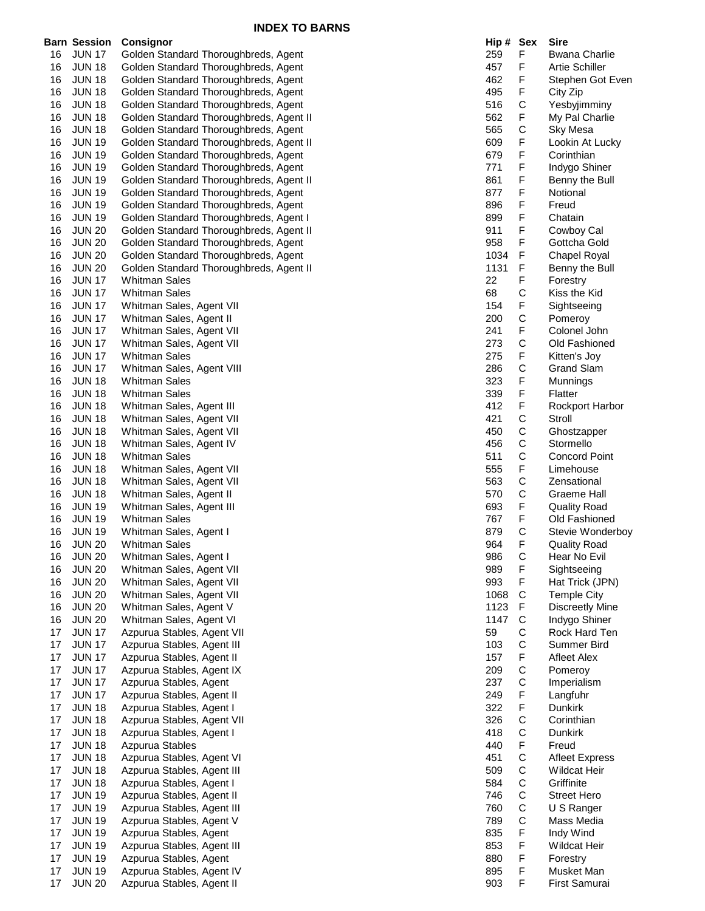|    |                     | <b>INDEA TO DANNO</b>                   |           |              |                        |
|----|---------------------|-----------------------------------------|-----------|--------------|------------------------|
|    | <b>Barn Session</b> | Consignor                               | Hip # Sex |              | Sire                   |
| 16 | <b>JUN 17</b>       | Golden Standard Thoroughbreds, Agent    | 259       | F            | <b>Bwana Charlie</b>   |
| 16 | <b>JUN 18</b>       | Golden Standard Thoroughbreds, Agent    | 457       | F            | <b>Artie Schiller</b>  |
| 16 | <b>JUN 18</b>       | Golden Standard Thoroughbreds, Agent    | 462       | F            | Stephen Got Even       |
| 16 | <b>JUN 18</b>       | Golden Standard Thoroughbreds, Agent    | 495       | F            | City Zip               |
| 16 | <b>JUN 18</b>       | Golden Standard Thoroughbreds, Agent    | 516       | C            | Yesbyjimminy           |
| 16 | <b>JUN 18</b>       | Golden Standard Thoroughbreds, Agent II | 562       | F            | My Pal Charlie         |
| 16 | <b>JUN 18</b>       | Golden Standard Thoroughbreds, Agent    | 565       | C            | Sky Mesa               |
| 16 | <b>JUN 19</b>       | Golden Standard Thoroughbreds, Agent II | 609       | F            | Lookin At Lucky        |
| 16 | <b>JUN 19</b>       | Golden Standard Thoroughbreds, Agent    | 679       | F            | Corinthian             |
| 16 |                     |                                         | 771       | F            | Indygo Shiner          |
|    | <b>JUN 19</b>       | Golden Standard Thoroughbreds, Agent    |           |              |                        |
| 16 | <b>JUN 19</b>       | Golden Standard Thoroughbreds, Agent II | 861       | F            | Benny the Bull         |
| 16 | <b>JUN 19</b>       | Golden Standard Thoroughbreds, Agent    | 877       | F            | Notional               |
| 16 | <b>JUN 19</b>       | Golden Standard Thoroughbreds, Agent    | 896       | F            | Freud                  |
| 16 | <b>JUN 19</b>       | Golden Standard Thoroughbreds, Agent I  | 899       | F            | Chatain                |
| 16 | <b>JUN 20</b>       | Golden Standard Thoroughbreds, Agent II | 911       | F            | Cowboy Cal             |
| 16 | <b>JUN 20</b>       | Golden Standard Thoroughbreds, Agent    | 958       | F            | Gottcha Gold           |
| 16 | <b>JUN 20</b>       | Golden Standard Thoroughbreds, Agent    | 1034      | F            | Chapel Royal           |
| 16 | <b>JUN 20</b>       | Golden Standard Thoroughbreds, Agent II | 1131      | F            | Benny the Bull         |
| 16 | <b>JUN 17</b>       | <b>Whitman Sales</b>                    | 22        | F            | Forestry               |
| 16 | <b>JUN 17</b>       | <b>Whitman Sales</b>                    | 68        | C            | Kiss the Kid           |
| 16 | <b>JUN 17</b>       | Whitman Sales, Agent VII                | 154       | F            | Sightseeing            |
| 16 | <b>JUN 17</b>       | Whitman Sales, Agent II                 | 200       | C            | Pomeroy                |
| 16 | <b>JUN 17</b>       | Whitman Sales, Agent VII                | 241       | F            | Colonel John           |
| 16 | <b>JUN 17</b>       | Whitman Sales, Agent VII                | 273       | C            | Old Fashioned          |
| 16 | <b>JUN 17</b>       | <b>Whitman Sales</b>                    | 275       | F            | Kitten's Joy           |
| 16 | <b>JUN 17</b>       | Whitman Sales, Agent VIII               | 286       | C            | <b>Grand Slam</b>      |
| 16 | <b>JUN 18</b>       | <b>Whitman Sales</b>                    | 323       | F            | Munnings               |
| 16 | <b>JUN 18</b>       | <b>Whitman Sales</b>                    | 339       | F            | Flatter                |
| 16 | <b>JUN 18</b>       | Whitman Sales, Agent III                | 412       | F            | <b>Rockport Harbor</b> |
| 16 | <b>JUN 18</b>       | Whitman Sales, Agent VII                | 421       | C            | Stroll                 |
| 16 | <b>JUN 18</b>       | Whitman Sales, Agent VII                | 450       | C            | Ghostzapper            |
| 16 | <b>JUN 18</b>       | Whitman Sales, Agent IV                 | 456       | C            | Stormello              |
| 16 | <b>JUN 18</b>       | <b>Whitman Sales</b>                    | 511       | $\mathsf{C}$ | <b>Concord Point</b>   |
| 16 |                     |                                         | 555       | F            | Limehouse              |
|    | <b>JUN 18</b>       | Whitman Sales, Agent VII                |           |              |                        |
| 16 | <b>JUN 18</b>       | Whitman Sales, Agent VII                | 563       | С            | Zensational            |
| 16 | <b>JUN 18</b>       | Whitman Sales, Agent II                 | 570       | C            | Graeme Hall            |
| 16 | <b>JUN 19</b>       | Whitman Sales, Agent III                | 693       | F            | <b>Quality Road</b>    |
| 16 | <b>JUN 19</b>       | <b>Whitman Sales</b>                    | 767       | F            | Old Fashioned          |
| 16 | <b>JUN 19</b>       | Whitman Sales, Agent I                  | 879       | C            | Stevie Wonderboy       |
| 16 | <b>JUN 20</b>       | Whitman Sales                           | 964       | F            | <b>Quality Road</b>    |
| 16 | <b>JUN 20</b>       | Whitman Sales, Agent I                  | 986       | С            | Hear No Evil           |
| 16 | <b>JUN 20</b>       | Whitman Sales, Agent VII                | 989       | F            | Sightseeing            |
| 16 | <b>JUN 20</b>       | Whitman Sales, Agent VII                | 993       | F            | Hat Trick (JPN)        |
| 16 | <b>JUN 20</b>       | Whitman Sales, Agent VII                | 1068      | $\mathsf{C}$ | <b>Temple City</b>     |
| 16 | <b>JUN 20</b>       | Whitman Sales, Agent V                  | 1123      | F            | <b>Discreetly Mine</b> |
| 16 | <b>JUN 20</b>       | Whitman Sales, Agent VI                 | 1147      | С            | Indygo Shiner          |
| 17 | <b>JUN 17</b>       | Azpurua Stables, Agent VII              | 59        | C            | Rock Hard Ten          |
| 17 | <b>JUN 17</b>       | Azpurua Stables, Agent III              | 103       | C            | Summer Bird            |
| 17 | <b>JUN 17</b>       | Azpurua Stables, Agent II               | 157       | F            | Afleet Alex            |
| 17 | <b>JUN 17</b>       | Azpurua Stables, Agent IX               | 209       | C            | Pomeroy                |
| 17 | <b>JUN 17</b>       | Azpurua Stables, Agent                  | 237       | C            | Imperialism            |
| 17 | <b>JUN 17</b>       | Azpurua Stables, Agent II               | 249       | F            | Langfuhr               |
| 17 | <b>JUN 18</b>       | Azpurua Stables, Agent I                | 322       | F            | <b>Dunkirk</b>         |
| 17 | <b>JUN 18</b>       | Azpurua Stables, Agent VII              | 326       | C            | Corinthian             |
| 17 | <b>JUN 18</b>       | Azpurua Stables, Agent I                | 418       | C            | Dunkirk                |
| 17 | <b>JUN 18</b>       | Azpurua Stables                         | 440       | F            | Freud                  |
| 17 | <b>JUN 18</b>       | Azpurua Stables, Agent VI               | 451       | C            | <b>Afleet Express</b>  |
| 17 | <b>JUN 18</b>       | Azpurua Stables, Agent III              | 509       | C            | <b>Wildcat Heir</b>    |
| 17 | <b>JUN 18</b>       | Azpurua Stables, Agent I                | 584       | С            | Griffinite             |
| 17 | <b>JUN 19</b>       | Azpurua Stables, Agent II               | 746       | C            | <b>Street Hero</b>     |
|    |                     |                                         |           |              |                        |
| 17 | <b>JUN 19</b>       | Azpurua Stables, Agent III              | 760       | C            | U S Ranger             |
| 17 | <b>JUN 19</b>       | Azpurua Stables, Agent V                | 789       | C            | Mass Media             |
| 17 | <b>JUN 19</b>       | Azpurua Stables, Agent                  | 835       | F            | Indy Wind              |
| 17 | <b>JUN 19</b>       | Azpurua Stables, Agent III              | 853       | F            | <b>Wildcat Heir</b>    |
| 17 | <b>JUN 19</b>       | Azpurua Stables, Agent                  | 880       | F            | Forestry               |
| 17 | <b>JUN 19</b>       | Azpurua Stables, Agent IV               | 895       | F            | Musket Man             |
| 17 | <b>JUN 20</b>       | Azpurua Stables, Agent II               | 903       | F            | First Samurai          |

| HIP #      | эех<br>F                                    | əıre<br><b>Bwana Charlie</b>            |
|------------|---------------------------------------------|-----------------------------------------|
| 259<br>457 | F                                           | <b>Artie Schiller</b>                   |
| 462        | F                                           | Stephen Got Even                        |
| 495        | F                                           | City Zip                                |
| 516        |                                             | Yesbyjimminy                            |
| 562        | C<br>F<br>C                                 | My Pal Charlie                          |
| 565        |                                             | Sky Mesa                                |
| 609        | F                                           | Lookin At Lucky                         |
| 679        | F                                           | Corinthian                              |
| 771        | F                                           | Indygo Shiner                           |
| 861        | F                                           | Benny the Bull                          |
| 877        | F                                           | Notional                                |
| 896        | F                                           | Freud                                   |
| 899        | F                                           | Chatain                                 |
| 911        | F                                           | Cowboy Cal                              |
| 958        | F                                           | Gottcha Gold                            |
| 1034       | F                                           | <b>Chapel Royal</b>                     |
| 1131       | F                                           | Benny the Bull                          |
| 22         | F                                           | Forestry                                |
| 68         | C<br>F                                      | Kiss the Kid                            |
| 154        |                                             | Sightseeing                             |
| 200        |                                             | Pomeroy                                 |
| 241        | C<br>F<br>C<br>F                            | Colonel John                            |
| 273        |                                             | Old Fashioned                           |
| 275        |                                             | Kitten's Joy                            |
| 286        |                                             | <b>Grand Slam</b>                       |
| 323        |                                             | Munnings                                |
| 339        | <b>CFFFCCCCFCCFFCF</b>                      | Flatter                                 |
| 412        |                                             | Rockport Harbor                         |
| 421        |                                             | Stroll                                  |
| 450        |                                             | Ghostzapper                             |
| 456        |                                             | Stormello                               |
| 511        |                                             | <b>Concord Point</b>                    |
| 555        |                                             | Limehouse                               |
| 563        |                                             | Zensational                             |
| 570        |                                             | <b>Graeme Hall</b>                      |
| 693        |                                             | <b>Quality Road</b>                     |
| 767        |                                             | Old Fashioned                           |
| 879<br>964 |                                             | Stevie Wonderboy<br><b>Quality Road</b> |
|            | С                                           | Hear No Evil                            |
| 986        | F                                           | Sightseeing                             |
| 989<br>993 | F                                           | Hat Trick (JPN)                         |
| 1068       |                                             | <b>Temple City</b>                      |
| 1123       |                                             | Discreetly Mine                         |
| 1147       |                                             | Indygo Shiner                           |
| 59         |                                             | Rock Hard Ten                           |
| 103        |                                             | Summer Bird                             |
| 157        |                                             | Afleet Alex                             |
| 209        |                                             | Pomeroy                                 |
| 237        |                                             | Imperialism                             |
| 249        |                                             | Langfuhr                                |
| 322        |                                             | Dunkirk                                 |
| 326        |                                             | Corinthian                              |
| 418        |                                             | Dunkirk                                 |
| 440        |                                             | Freud                                   |
| 451        |                                             | <b>Afleet Express</b>                   |
| 509        |                                             | Wildcat Heir                            |
| 584        |                                             | Griffinite                              |
| 746        |                                             | <b>Street Hero</b>                      |
| 760        |                                             | U S Ranger                              |
| 789        |                                             | Mass Media                              |
| 835        |                                             | Indy Wind                               |
| 853        | C F C C C F C C F F C C F C C C C C C F F F | Wildcat Heir                            |
| 880        |                                             | Forestry                                |
| 895        | F                                           | Musket Man                              |
| 903        | F                                           | First Samurai                           |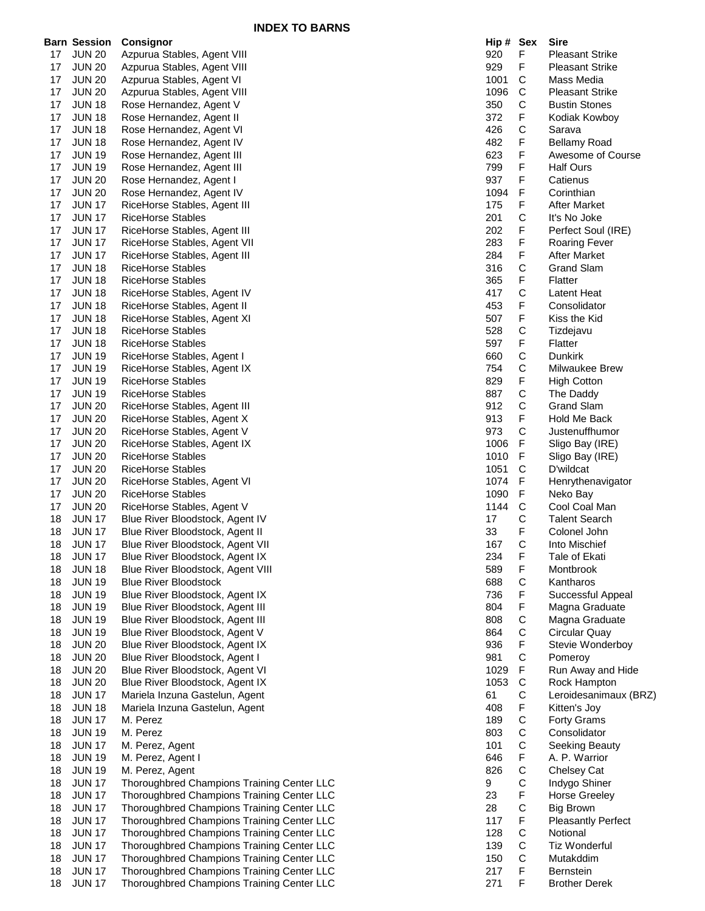|          |                                | <b>INDEX TO BARNS</b>                                                                    |            |                  |                               |
|----------|--------------------------------|------------------------------------------------------------------------------------------|------------|------------------|-------------------------------|
|          | <b>Barn Session</b>            | <b>Consignor</b>                                                                         | Hip # Sex  |                  | Sire                          |
| 17       | <b>JUN 20</b>                  | Azpurua Stables, Agent VIII                                                              | 920        | F                | <b>Pleasant Strike</b>        |
| 17       | <b>JUN 20</b>                  | Azpurua Stables, Agent VIII                                                              | 929        | F                | <b>Pleasant Strike</b>        |
| 17       | <b>JUN 20</b>                  | Azpurua Stables, Agent VI                                                                | 1001       | C                | Mass Media                    |
| 17       | <b>JUN 20</b>                  | Azpurua Stables, Agent VIII                                                              | 1096       | C                | <b>Pleasant Strike</b>        |
| 17       | <b>JUN 18</b>                  | Rose Hernandez, Agent V                                                                  | 350        | С                | <b>Bustin Stones</b>          |
| 17       | <b>JUN 18</b>                  | Rose Hernandez, Agent II                                                                 | 372        | F.               | Kodiak Kowboy                 |
| 17       | <b>JUN 18</b>                  | Rose Hernandez, Agent VI                                                                 | 426        | С                | Sarava                        |
| 17       | <b>JUN 18</b>                  | Rose Hernandez, Agent IV                                                                 | 482        | F.               | <b>Bellamy Road</b>           |
| 17       | <b>JUN 19</b>                  | Rose Hernandez, Agent III                                                                | 623        | F.               | Awesome of Course             |
| 17       | <b>JUN 19</b>                  | Rose Hernandez, Agent III                                                                | 799<br>937 | F<br>F           | <b>Half Ours</b><br>Catienus  |
| 17<br>17 | <b>JUN 20</b><br><b>JUN 20</b> | Rose Hernandez, Agent I<br>Rose Hernandez, Agent IV                                      | 1094       | F.               | Corinthian                    |
| 17       | <b>JUN 17</b>                  | RiceHorse Stables, Agent III                                                             | 175        | F.               | <b>After Market</b>           |
| 17       | <b>JUN 17</b>                  | RiceHorse Stables                                                                        | 201        | С                | It's No Joke                  |
| 17       | <b>JUN 17</b>                  | RiceHorse Stables, Agent III                                                             | 202        | F.               | Perfect Soul (IRE)            |
| 17       | <b>JUN 17</b>                  | RiceHorse Stables, Agent VII                                                             | 283        | F                | <b>Roaring Fever</b>          |
| 17       | <b>JUN 17</b>                  | RiceHorse Stables, Agent III                                                             | 284        | F                | <b>After Market</b>           |
| 17       | <b>JUN 18</b>                  | <b>RiceHorse Stables</b>                                                                 | 316        | C                | <b>Grand Slam</b>             |
| 17       | <b>JUN 18</b>                  | <b>RiceHorse Stables</b>                                                                 | 365        | F                | Flatter                       |
| 17       | <b>JUN 18</b>                  | RiceHorse Stables, Agent IV                                                              | 417        | С                | Latent Heat                   |
| 17       | <b>JUN 18</b>                  | RiceHorse Stables, Agent II                                                              | 453        | F                | Consolidator                  |
| 17       | <b>JUN 18</b>                  | RiceHorse Stables, Agent XI                                                              | 507        | F                | Kiss the Kid                  |
| 17       | <b>JUN 18</b>                  | <b>RiceHorse Stables</b>                                                                 | 528        | С                | Tizdejavu                     |
| 17       | <b>JUN 18</b>                  | RiceHorse Stables                                                                        | 597        | F                | Flatter                       |
| 17       | <b>JUN 19</b>                  | RiceHorse Stables, Agent I                                                               | 660        | C                | <b>Dunkirk</b>                |
| 17       | <b>JUN 19</b>                  | RiceHorse Stables, Agent IX                                                              | 754        | С                | Milwaukee Brew                |
| 17       | <b>JUN 19</b>                  | <b>RiceHorse Stables</b>                                                                 | 829        | F.               | <b>High Cotton</b>            |
| 17       | <b>JUN 19</b>                  | RiceHorse Stables                                                                        | 887        | С                | The Daddy                     |
| 17       | <b>JUN 20</b>                  | RiceHorse Stables, Agent III                                                             | 912        | С                | <b>Grand Slam</b>             |
| 17       | <b>JUN 20</b>                  | RiceHorse Stables, Agent X                                                               | 913        | F                | Hold Me Back                  |
| 17       | <b>JUN 20</b>                  | RiceHorse Stables, Agent V                                                               | 973        | С                | Justenuffhumor                |
| 17       | <b>JUN 20</b>                  | RiceHorse Stables, Agent IX                                                              | 1006       | F                | Sligo Bay (IRE)               |
| 17       | <b>JUN 20</b>                  | <b>RiceHorse Stables</b>                                                                 | 1010       | F                | Sligo Bay (IRE)               |
| 17       | <b>JUN 20</b>                  | RiceHorse Stables                                                                        | 1051       | C                | D'wildcat                     |
| 17       | <b>JUN 20</b>                  | RiceHorse Stables, Agent VI                                                              | 1074       | F                | Henrythenavigator             |
| 17       | <b>JUN 20</b>                  | <b>RiceHorse Stables</b>                                                                 | 1090       | F                | Neko Bay                      |
| 17       | <b>JUN 20</b>                  | RiceHorse Stables, Agent V                                                               | 1144       | C                | Cool Coal Man                 |
| 18       | <b>JUN 17</b>                  | Blue River Bloodstock, Agent IV                                                          | 17         | С                | <b>Talent Search</b>          |
| 18<br>18 | <b>JUN 17</b><br><b>JUN 17</b> | Blue River Bloodstock, Agent II                                                          | 33<br>167  | F<br>$\mathsf C$ | Colonel John<br>Into Mischief |
|          |                                | Blue River Bloodstock, Agent VII<br>Blue River Bloodstock, Agent IX                      | 234        | F                |                               |
| 18<br>18 | <b>JUN 17</b><br><b>JUN 18</b> | Blue River Bloodstock, Agent VIII                                                        | 589        | F                | Tale of Ekati<br>Montbrook    |
| 18       | <b>JUN 19</b>                  | <b>Blue River Bloodstock</b>                                                             | 688        | C                | Kantharos                     |
| 18       | <b>JUN 19</b>                  | Blue River Bloodstock, Agent IX                                                          | 736        | F                | Successful Appeal             |
| 18       | <b>JUN 19</b>                  | Blue River Bloodstock, Agent III                                                         | 804        | F                | Magna Graduate                |
| 18       | <b>JUN 19</b>                  | Blue River Bloodstock, Agent III                                                         | 808        | С                | Magna Graduate                |
| 18       | <b>JUN 19</b>                  | Blue River Bloodstock, Agent V                                                           | 864        | С                | Circular Quay                 |
| 18       | <b>JUN 20</b>                  | Blue River Bloodstock, Agent IX                                                          | 936        | F                | Stevie Wonderboy              |
| 18       | <b>JUN 20</b>                  | Blue River Bloodstock, Agent I                                                           | 981        | С                | Pomeroy                       |
| 18       | <b>JUN 20</b>                  | Blue River Bloodstock, Agent VI                                                          | 1029       | F                | Run Away and Hide             |
| 18       | <b>JUN 20</b>                  | Blue River Bloodstock, Agent IX                                                          | 1053       | C                | Rock Hampton                  |
| 18       | <b>JUN 17</b>                  | Mariela Inzuna Gastelun, Agent                                                           | 61         | C                | Leroidesanimaux (BRZ)         |
| 18       | <b>JUN 18</b>                  | Mariela Inzuna Gastelun, Agent                                                           | 408        | F                | Kitten's Joy                  |
| 18       | <b>JUN 17</b>                  | M. Perez                                                                                 | 189        | C                | Forty Grams                   |
| 18       | <b>JUN 19</b>                  | M. Perez                                                                                 | 803        | С                | Consolidator                  |
| 18       | <b>JUN 17</b>                  | M. Perez, Agent                                                                          | 101        | С                | Seeking Beauty                |
| 18       | <b>JUN 19</b>                  | M. Perez, Agent I                                                                        | 646        | F                | A. P. Warrior                 |
| 18       | <b>JUN 19</b>                  | M. Perez, Agent                                                                          | 826        | $\mathsf C$      | Chelsey Cat                   |
| 18       | <b>JUN 17</b>                  | Thoroughbred Champions Training Center LLC                                               | 9          | С                | Indygo Shiner                 |
| 18       | <b>JUN 17</b>                  | Thoroughbred Champions Training Center LLC                                               | 23         | F                | <b>Horse Greeley</b>          |
| 18       | <b>JUN 17</b>                  | Thoroughbred Champions Training Center LLC                                               | 28         | С                | <b>Big Brown</b>              |
| 18       | <b>JUN 17</b>                  | Thoroughbred Champions Training Center LLC                                               | 117        | F                | <b>Pleasantly Perfect</b>     |
| 18       | <b>JUN 17</b>                  | Thoroughbred Champions Training Center LLC                                               | 128        | C                | Notional                      |
| 18       | <b>JUN 17</b>                  | Thoroughbred Champions Training Center LLC                                               | 139<br>150 | С<br>$\mathsf C$ | <b>Tiz Wonderful</b>          |
| 18       | <b>JUN 17</b>                  | Thoroughbred Champions Training Center LLC<br>Thoroughbred Champions Training Center LLC | 217        | F                | Mutakddim<br>Bernstein        |
| 18       | <b>JUN 17</b><br>18 JUN 17     | Thoroughbred Champions Training Center LLC                                               | 271        | F                | <b>Brother Derek</b>          |
|          |                                |                                                                                          |            |                  |                               |

| Hip # | Sex          | Sire                        |
|-------|--------------|-----------------------------|
| 920   | F            | Pleasant Strike             |
| 929   | F            | <b>Pleasant Strike</b>      |
| 1001  | С            | Mass Media                  |
| 1096  | C            | <b>Pleasant Strike</b>      |
| 350   | $\mathsf{C}$ | <b>Bustin Stones</b>        |
| 372   | F            | Kodiak Kowboy               |
| 426   | C            | Sarava                      |
| 482   | F            | <b>Bellamy Road</b>         |
| 623   | F            | Awesome of Course           |
| 799   | F            | <b>Half Ours</b>            |
| 937   | F            | Catienus                    |
| 1094  | F            | Corinthian                  |
| 175   | F            | <b>After Market</b>         |
| 201   | С            | It's No Joke                |
| 202   | F            | Perfect Soul (IRE)          |
| 283   | F            | Roaring Fever               |
| 284   | F            | <b>After Market</b>         |
| 316   | C            | <b>Grand Slam</b>           |
| 365   | F            | Flatter                     |
| 417   | C            | Latent Heat                 |
| 453   | F            | Consolidator                |
| 507   | F            | Kiss the Kid                |
| 528   | C            | Tizdejavu                   |
| 597   | F            | Flatter                     |
| 660   | C            | Dunkirk                     |
| 754   | Ċ            | Milwaukee Brew              |
| 829   | F            | <b>High Cotton</b>          |
| 887   | C            | The Daddy                   |
| 912   | C            | <b>Grand Slam</b>           |
| 913   | F            | <b>Hold Me Back</b>         |
| 973   | C            | Justenuffhumor              |
| 1006  | F            | Sligo Bay (IRE)             |
| 1010  | F            | Sligo Bay (IRE)             |
| 1051  | C            | D'wildcat                   |
| 1074  | F            | Henrythenavigator           |
| 1090  | F            | Neko Bay                    |
| 1144  | C            | Cool Coal Man               |
| 17    | C            | <b>Talent Search</b>        |
| 33    | $\mathbf{r}$ | Colonel John                |
| 167   | C            | Into Mischief               |
| 234   | ۲.           | Tale of Ekat <mark>i</mark> |
| 589   | F            | Montbrook                   |
| 688   | C            | Kantharos                   |
| 736   | F            | Successful Appeal           |
| 804   | F            | Magna Graduate              |
| 808   | $\mathsf{C}$ | Magna Graduate              |
| 864   | $\mathsf{C}$ | Circular Quay               |
| 936   | F            | Stevie Wonderboy            |
| 981   | C<br>F       | Pomeroy                     |
| 1029  |              | Run Away and Hide           |
| 1053  |              | Rock Hampton                |
| 61    |              | Leroidesanimaux (BRZ)       |
| 408   |              | Kitten's Joy                |
| 189   |              | <b>Forty Grams</b>          |
| 803   |              | Consolidator                |
| 101   |              | Seeking Beauty              |
| 646   | CCFCCCFCCF   | A. P. Warrior               |
| 826   |              | Chelsey Cat                 |
| 9     |              | Indygo Shiner               |
| 23    |              | <b>Horse Greeley</b>        |
| 28    | C<br>F       | <b>Big Brown</b>            |
| 117   |              | <b>Pleasantly Perfect</b>   |
| 128   |              | Notional                    |
| 139   | C<br>C<br>C  | Tiz Wonderful               |
| 150   |              | Mutakddim                   |
| 217   | F            | <b>Bernstein</b>            |
| 271   | F            | <b>Brother Derek</b>        |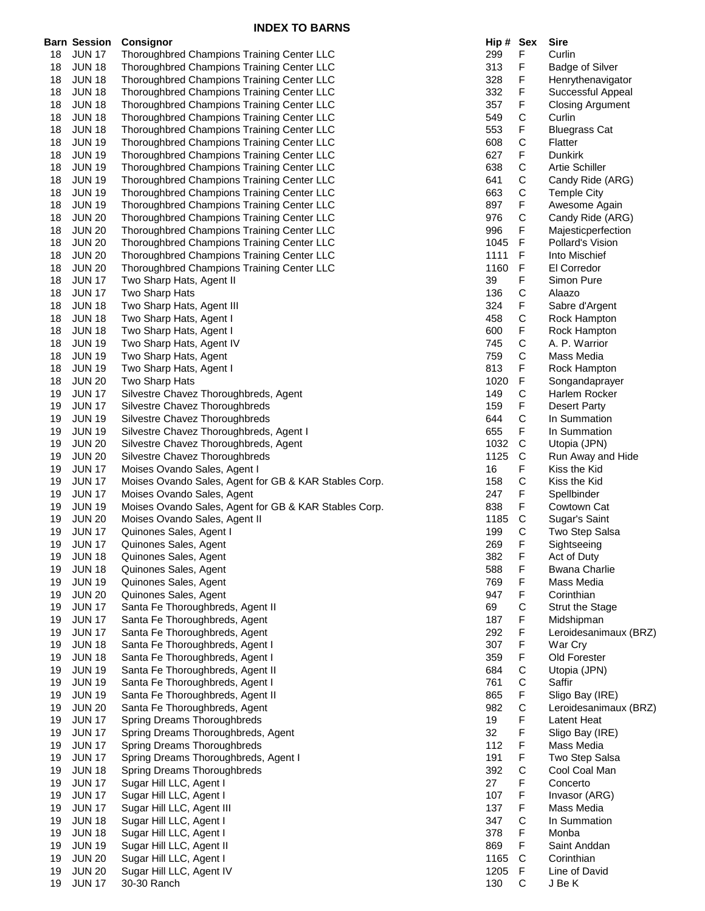|          | <b>Barn Session</b>            | Consignor                                                                                | Hip # Sex  |              | <b>Sire</b>                            |
|----------|--------------------------------|------------------------------------------------------------------------------------------|------------|--------------|----------------------------------------|
| 18       | <b>JUN 17</b>                  | Thoroughbred Champions Training Center LLC                                               | 299        | F            | Curlin                                 |
| 18       | <b>JUN 18</b>                  | Thoroughbred Champions Training Center LLC                                               | 313        | F            | <b>Badge of Silver</b>                 |
| 18       | <b>JUN 18</b>                  | Thoroughbred Champions Training Center LLC                                               | 328        | F            | Henrythenavigator                      |
| 18       | <b>JUN 18</b>                  | Thoroughbred Champions Training Center LLC                                               | 332        | F            | Successful Appeal                      |
| 18       | <b>JUN 18</b>                  | Thoroughbred Champions Training Center LLC                                               | 357        | F            | <b>Closing Argument</b>                |
| 18       | <b>JUN 18</b>                  | Thoroughbred Champions Training Center LLC                                               | 549        | С            | Curlin                                 |
| 18       | <b>JUN 18</b>                  | Thoroughbred Champions Training Center LLC                                               | 553        | F            | <b>Bluegrass Cat</b>                   |
| 18       | <b>JUN 19</b>                  | Thoroughbred Champions Training Center LLC                                               | 608        | C            | Flatter                                |
| 18       | <b>JUN 19</b>                  | Thoroughbred Champions Training Center LLC                                               | 627        | F            | <b>Dunkirk</b>                         |
| 18       | <b>JUN 19</b>                  | Thoroughbred Champions Training Center LLC                                               | 638        | С            | <b>Artie Schiller</b>                  |
| 18       | <b>JUN 19</b>                  | Thoroughbred Champions Training Center LLC                                               | 641        | С            | Candy Ride (ARG)                       |
| 18       | <b>JUN 19</b>                  | Thoroughbred Champions Training Center LLC                                               | 663        | С            | <b>Temple City</b>                     |
| 18       | <b>JUN 19</b>                  | Thoroughbred Champions Training Center LLC                                               | 897        | F            | Awesome Again                          |
| 18       | <b>JUN 20</b>                  | Thoroughbred Champions Training Center LLC                                               | 976<br>996 | С<br>F       | Candy Ride (ARG)                       |
| 18       | <b>JUN 20</b>                  | Thoroughbred Champions Training Center LLC<br>Thoroughbred Champions Training Center LLC | 1045       | F            | Majesticperfection<br>Pollard's Vision |
| 18<br>18 | <b>JUN 20</b><br><b>JUN 20</b> | Thoroughbred Champions Training Center LLC                                               | 1111       | F            | Into Mischief                          |
| 18       | <b>JUN 20</b>                  | Thoroughbred Champions Training Center LLC                                               | 1160       | F            | El Corredor                            |
| 18       | <b>JUN 17</b>                  | Two Sharp Hats, Agent II                                                                 | 39         | F            | Simon Pure                             |
| 18       | <b>JUN 17</b>                  | Two Sharp Hats                                                                           | 136        | C            | Alaazo                                 |
| 18       | <b>JUN 18</b>                  | Two Sharp Hats, Agent III                                                                | 324        | F            | Sabre d'Argent                         |
| 18       | <b>JUN 18</b>                  | Two Sharp Hats, Agent I                                                                  | 458        | С            | Rock Hampton                           |
| 18       | <b>JUN 18</b>                  | Two Sharp Hats, Agent I                                                                  | 600        | F            | Rock Hampton                           |
| 18       | <b>JUN 19</b>                  | Two Sharp Hats, Agent IV                                                                 | 745        | С            | A. P. Warrior                          |
| 18       | <b>JUN 19</b>                  | Two Sharp Hats, Agent                                                                    | 759        | $\mathsf C$  | Mass Media                             |
| 18       | <b>JUN 19</b>                  | Two Sharp Hats, Agent I                                                                  | 813        | F            | Rock Hampton                           |
| 18       | <b>JUN 20</b>                  | Two Sharp Hats                                                                           | 1020       | F            | Songandaprayer                         |
| 19       | <b>JUN 17</b>                  | Silvestre Chavez Thoroughbreds, Agent                                                    | 149        | С            | Harlem Rocker                          |
| 19       | <b>JUN 17</b>                  | Silvestre Chavez Thoroughbreds                                                           | 159        | F            | <b>Desert Party</b>                    |
| 19       | <b>JUN 19</b>                  | Silvestre Chavez Thoroughbreds                                                           | 644        | C            | In Summation                           |
| 19       | <b>JUN 19</b>                  | Silvestre Chavez Thoroughbreds, Agent I                                                  | 655        | F            | In Summation                           |
| 19       | <b>JUN 20</b>                  | Silvestre Chavez Thoroughbreds, Agent                                                    | 1032       | C            | Utopia (JPN)                           |
| 19       | <b>JUN 20</b>                  | Silvestre Chavez Thoroughbreds                                                           | 1125       | $\mathsf{C}$ | Run Away and Hide                      |
| 19       | <b>JUN 17</b>                  | Moises Ovando Sales, Agent I                                                             | 16         | F            | Kiss the Kid                           |
| 19       | <b>JUN 17</b>                  | Moises Ovando Sales, Agent for GB & KAR Stables Corp.                                    | 158        | С            | Kiss the Kid                           |
| 19       | <b>JUN 17</b>                  | Moises Ovando Sales, Agent                                                               | 247        | F            | Spellbinder                            |
| 19       | <b>JUN 19</b>                  | Moises Ovando Sales, Agent for GB & KAR Stables Corp.                                    | 838        | F            | Cowtown Cat                            |
| 19       | <b>JUN 20</b>                  | Moises Ovando Sales, Agent II                                                            | 1185       | C            | Sugar's Saint                          |
| 19       | <b>JUN 17</b>                  | Quinones Sales, Agent I                                                                  | 199        | С            | Two Step Salsa                         |
| 19       | <b>JUN 17</b>                  | Quinones Sales, Agent                                                                    | 269        | F            | Sightseeing                            |
| 19       | <b>JUN 18</b>                  | Quinones Sales, Agent                                                                    | 382        | F            | Act of Duty                            |
| 19       | <b>JUN 18</b>                  | Quinones Sales, Agent                                                                    | 588        | F            | <b>Bwana Charlie</b>                   |
| 19       | <b>JUN 19</b>                  | Quinones Sales, Agent                                                                    | 769        | F            | Mass Media                             |
| 19       | <b>JUN 20</b>                  | Quinones Sales, Agent                                                                    | 947        | F            | Corinthian                             |
| 19       | <b>JUN 17</b>                  | Santa Fe Thoroughbreds, Agent II                                                         | 69         | С            | <b>Strut the Stage</b>                 |
| 19       | <b>JUN 17</b>                  | Santa Fe Thoroughbreds, Agent                                                            | 187        | F            | Midshipman                             |
| 19       | <b>JUN 17</b>                  | Santa Fe Thoroughbreds, Agent                                                            | 292        | F            | Leroidesanimaux (BRZ)                  |
| 19<br>19 | <b>JUN 18</b><br><b>JUN 18</b> | Santa Fe Thoroughbreds, Agent I<br>Santa Fe Thoroughbreds, Agent I                       | 307<br>359 | F<br>F       | War Cry<br>Old Forester                |
| 19       | <b>JUN 19</b>                  | Santa Fe Thoroughbreds, Agent II                                                         | 684        | С            | Utopia (JPN)                           |
| 19       | <b>JUN 19</b>                  | Santa Fe Thoroughbreds, Agent I                                                          | 761        | С            | Saffir                                 |
| 19       | <b>JUN 19</b>                  | Santa Fe Thoroughbreds, Agent II                                                         | 865        | F            | Sligo Bay (IRE)                        |
| 19       | <b>JUN 20</b>                  | Santa Fe Thoroughbreds, Agent                                                            | 982        | $\mathsf C$  | Leroidesanimaux (BRZ)                  |
| 19       | <b>JUN 17</b>                  | Spring Dreams Thoroughbreds                                                              | 19         | F            | Latent Heat                            |
| 19       | <b>JUN 17</b>                  | Spring Dreams Thoroughbreds, Agent                                                       | 32         | F            | Sligo Bay (IRE)                        |
| 19       | <b>JUN 17</b>                  | Spring Dreams Thoroughbreds                                                              | 112        | F            | Mass Media                             |
| 19       | <b>JUN 17</b>                  | Spring Dreams Thoroughbreds, Agent I                                                     | 191        | F            | Two Step Salsa                         |
| 19       | <b>JUN 18</b>                  | Spring Dreams Thoroughbreds                                                              | 392        | C            | Cool Coal Man                          |
| 19       | <b>JUN 17</b>                  | Sugar Hill LLC, Agent I                                                                  | 27         | F            | Concerto                               |
| 19       | <b>JUN 17</b>                  | Sugar Hill LLC, Agent I                                                                  | 107        | F            | Invasor (ARG)                          |
| 19       | <b>JUN 17</b>                  | Sugar Hill LLC, Agent III                                                                | 137        | F            | Mass Media                             |
| 19       | <b>JUN 18</b>                  | Sugar Hill LLC, Agent I                                                                  | 347        | С            | In Summation                           |
| 19       | <b>JUN 18</b>                  | Sugar Hill LLC, Agent I                                                                  | 378        | F            | Monba                                  |
| 19       | <b>JUN 19</b>                  | Sugar Hill LLC, Agent II                                                                 | 869        | F            | Saint Anddan                           |
| 19       | <b>JUN 20</b>                  | Sugar Hill LLC, Agent I                                                                  | 1165       | C            | Corinthian                             |
| 19       | <b>JUN 20</b>                  | Sugar Hill LLC, Agent IV                                                                 | 1205       | F            | Line of David                          |
| 19       | <b>JUN 17</b>                  | 30-30 Ranch                                                                              | 130        | C            | J Be K                                 |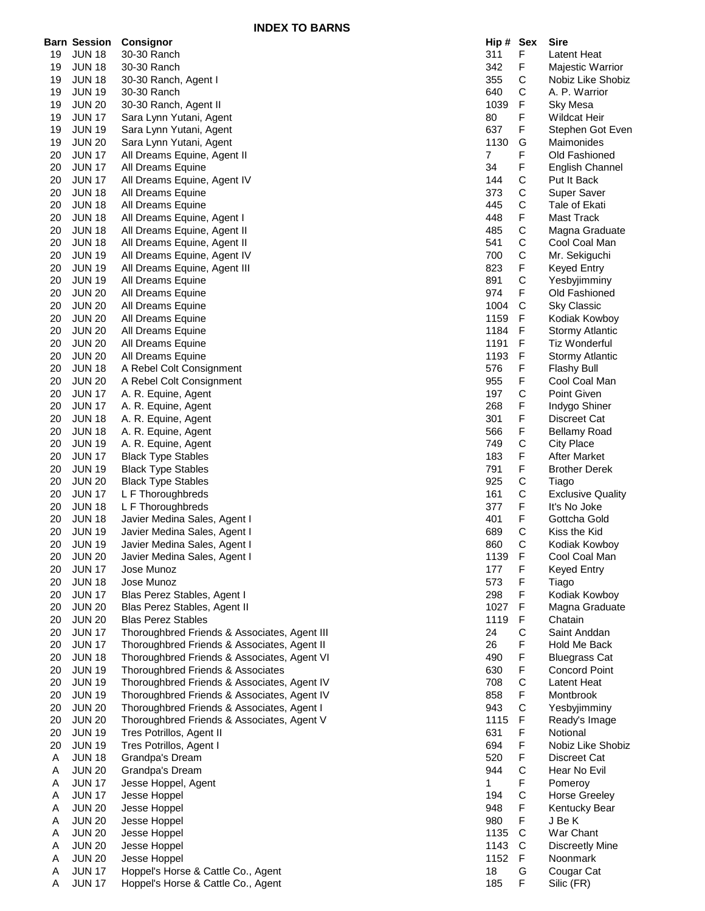**INDEX TO BARNS**

|    | <b>Barn Session</b> | <b>Consignor</b>                             | Hip#           | Sex         | <b>Sire</b>              |
|----|---------------------|----------------------------------------------|----------------|-------------|--------------------------|
| 19 | <b>JUN 18</b>       | 30-30 Ranch                                  | 311            | F           | Latent Heat              |
| 19 | <b>JUN 18</b>       | 30-30 Ranch                                  | 342            | F           | Majestic Warrior         |
| 19 | <b>JUN 18</b>       | 30-30 Ranch, Agent I                         | 355            | С           | Nobiz Like Shobiz        |
|    |                     |                                              | 640            | С           |                          |
| 19 | JUN 19              | 30-30 Ranch                                  |                |             | A. P. Warrior            |
| 19 | <b>JUN 20</b>       | 30-30 Ranch, Agent II                        | 1039           | F           | Sky Mesa                 |
| 19 | <b>JUN 17</b>       | Sara Lynn Yutani, Agent                      | 80             | F           | <b>Wildcat Heir</b>      |
| 19 | <b>JUN 19</b>       | Sara Lynn Yutani, Agent                      | 637            | F           | Stephen Got Even         |
| 19 | <b>JUN 20</b>       | Sara Lynn Yutani, Agent                      | 1130           | G           | Maimonides               |
| 20 | <b>JUN 17</b>       | All Dreams Equine, Agent II                  | $\overline{7}$ | F           | Old Fashioned            |
| 20 | <b>JUN 17</b>       | All Dreams Equine                            | 34             | F           | <b>English Channel</b>   |
| 20 | <b>JUN 17</b>       | All Dreams Equine, Agent IV                  | 144            | C           | Put It Back              |
| 20 | <b>JUN 18</b>       | All Dreams Equine                            | 373            | $\mathsf C$ | Super Saver              |
| 20 | <b>JUN 18</b>       | All Dreams Equine                            | 445            | C           | Tale of Ekati            |
| 20 | <b>JUN 18</b>       | All Dreams Equine, Agent I                   | 448            | F           | Mast Track               |
| 20 | <b>JUN 18</b>       | All Dreams Equine, Agent II                  | 485            | C           | Magna Graduate           |
| 20 | <b>JUN 18</b>       | All Dreams Equine, Agent II                  | 541            | C           | Cool Coal Man            |
| 20 | <b>JUN 19</b>       | All Dreams Equine, Agent IV                  | 700            | C           | Mr. Sekiguchi            |
| 20 | <b>JUN 19</b>       | All Dreams Equine, Agent III                 | 823            | F           | <b>Keyed Entry</b>       |
| 20 | <b>JUN 19</b>       | All Dreams Equine                            | 891            | C           | Yesbyjimminy             |
| 20 | <b>JUN 20</b>       | All Dreams Equine                            | 974            | F           | Old Fashioned            |
|    |                     |                                              | 1004           | C           |                          |
| 20 | <b>JUN 20</b>       | All Dreams Equine                            |                |             | <b>Sky Classic</b>       |
| 20 | <b>JUN 20</b>       | All Dreams Equine                            | 1159           | F           | Kodiak Kowboy            |
| 20 | <b>JUN 20</b>       | All Dreams Equine                            | 1184           | F           | Stormy Atlantic          |
| 20 | <b>JUN 20</b>       | All Dreams Equine                            | 1191           | F           | <b>Tiz Wonderful</b>     |
| 20 | <b>JUN 20</b>       | All Dreams Equine                            | 1193           | F           | <b>Stormy Atlantic</b>   |
| 20 | <b>JUN 18</b>       | A Rebel Colt Consignment                     | 576            | F           | <b>Flashy Bull</b>       |
| 20 | <b>JUN 20</b>       | A Rebel Colt Consignment                     | 955            | F           | Cool Coal Man            |
| 20 | <b>JUN 17</b>       | A. R. Equine, Agent                          | 197            | C           | Point Given              |
| 20 | <b>JUN 17</b>       | A. R. Equine, Agent                          | 268            | F           | Indygo Shiner            |
| 20 | <b>JUN 18</b>       | A. R. Equine, Agent                          | 301            | F           | Discreet Cat             |
| 20 | <b>JUN 18</b>       | A. R. Equine, Agent                          | 566            | F           | Bellamy Road             |
| 20 | <b>JUN 19</b>       | A. R. Equine, Agent                          | 749            | C           | <b>City Place</b>        |
| 20 | <b>JUN 17</b>       | <b>Black Type Stables</b>                    | 183            | F           | After Market             |
| 20 | <b>JUN 19</b>       | <b>Black Type Stables</b>                    | 791            | F           | <b>Brother Derek</b>     |
| 20 | <b>JUN 20</b>       | <b>Black Type Stables</b>                    | 925            | C           | Tiago                    |
| 20 | <b>JUN 17</b>       | L F Thoroughbreds                            | 161            | C           | <b>Exclusive Quality</b> |
| 20 | <b>JUN 18</b>       | L F Thoroughbreds                            | 377            | F           | It's No Joke             |
| 20 | <b>JUN 18</b>       |                                              | 401            | F           | Gottcha Gold             |
| 20 |                     | Javier Medina Sales, Agent I                 |                | C           | Kiss the Kid             |
|    | <b>JUN 19</b>       | Javier Medina Sales, Agent I                 | 689            |             |                          |
| 20 | <b>JUN 19</b>       | Javier Medina Sales, Agent I                 | 860            | C           | Kodiak Kowboy            |
| 20 | <b>JUN 20</b>       | Javier Medina Sales, Agent I                 | 1139           | F           | Cool Coal Man            |
| 20 | <b>JUN 17</b>       | Jose Munoz                                   | 177            | F           | <b>Keyed Entry</b>       |
| 20 | <b>JUN 18</b>       | Jose Munoz                                   | 573            | F           | Tiago                    |
| 20 | <b>JUN 17</b>       | Blas Perez Stables, Agent I                  | 298            | F           | Kodiak Kowboy            |
| 20 | <b>JUN 20</b>       | Blas Perez Stables, Agent II                 | 1027           | F           | Magna Graduate           |
| 20 | <b>JUN 20</b>       | <b>Blas Perez Stables</b>                    | 1119           | F           | Chatain                  |
| 20 | <b>JUN 17</b>       | Thoroughbred Friends & Associates, Agent III | 24             | C           | Saint Anddan             |
| 20 | <b>JUN 17</b>       | Thoroughbred Friends & Associates, Agent II  | 26             | F           | Hold Me Back             |
| 20 | <b>JUN 18</b>       | Thoroughbred Friends & Associates, Agent VI  | 490            | F           | <b>Bluegrass Cat</b>     |
| 20 | <b>JUN 19</b>       | Thoroughbred Friends & Associates            | 630            | F           | Concord Point            |
| 20 | <b>JUN 19</b>       | Thoroughbred Friends & Associates, Agent IV  | 708            | $\mathsf C$ | Latent Heat              |
| 20 | <b>JUN 19</b>       | Thoroughbred Friends & Associates, Agent IV  | 858            | F           | Montbrook                |
| 20 | <b>JUN 20</b>       | Thoroughbred Friends & Associates, Agent I   | 943            | C           | Yesbyjimminy             |
| 20 | <b>JUN 20</b>       | Thoroughbred Friends & Associates, Agent V   | 1115           | F           | Ready's Image            |
| 20 | <b>JUN 19</b>       | Tres Potrillos, Agent II                     | 631            | F           | Notional                 |
| 20 | <b>JUN 19</b>       | Tres Potrillos, Agent I                      | 694            | F           | Nobiz Like Shobiz        |
| Α  | <b>JUN 18</b>       | Grandpa's Dream                              | 520            | F           | Discreet Cat             |
| A  | <b>JUN 20</b>       | Grandpa's Dream                              | 944            | C           | Hear No Evil             |
| Α  | <b>JUN 17</b>       | Jesse Hoppel, Agent                          | 1              | F           | Pomeroy                  |
|    | <b>JUN 17</b>       | Jesse Hoppel                                 | 194            | C           | <b>Horse Greeley</b>     |
| A  |                     |                                              |                |             |                          |
| Α  | <b>JUN 20</b>       | Jesse Hoppel                                 | 948            | F           | Kentucky Bear            |
| A  | <b>JUN 20</b>       | Jesse Hoppel                                 | 980            | F           | J Be K                   |
| Α  | <b>JUN 20</b>       | Jesse Hoppel                                 | 1135           | C           | War Chant                |
| Α  | <b>JUN 20</b>       | Jesse Hoppel                                 | 1143           | C           | <b>Discreetly Mine</b>   |
| A  | <b>JUN 20</b>       | Jesse Hoppel                                 | 1152           | F           | Noonmark                 |
| Α  | <b>JUN 17</b>       | Hoppel's Horse & Cattle Co., Agent           | 18             | G           | Cougar Cat               |
| Α  | <b>JUN 17</b>       | Hoppel's Horse & Cattle Co., Agent           | 185            | F           | Silic (FR)               |

| Hip #        | Sex                                   | Sire                                    |
|--------------|---------------------------------------|-----------------------------------------|
| 311          | F                                     | Latent Heat                             |
| 342          | F                                     | Majestic Warrior                        |
| 355          | C                                     | Nobiz Like Shobiz                       |
| 640          | C<br>F                                | A. P. Warrior                           |
| 1039<br>80   |                                       | Sky Mesa<br><b>Wildcat Heir</b>         |
| 637          | F<br>F<br>G<br>F                      | Stephen Got Even                        |
| 1130         |                                       | Maimonides                              |
| 7            |                                       | Old Fashioned                           |
| 34           |                                       | <b>English Channel</b>                  |
| 144          |                                       | Put It Back                             |
| 373          |                                       | <b>Super Saver</b>                      |
| 445          |                                       | Tale of Ekati                           |
| 448<br>485   |                                       | Mast Track<br>Magna Graduate            |
| 541          |                                       | Cool Coal Man                           |
| 700          |                                       | Mr. Sekiguchi                           |
| 823          |                                       | <b>Keyed Entry</b>                      |
| 891          | FCCCFCCCFCFCF                         | Yesbyjimminy                            |
| 974          |                                       | Old Fashioned                           |
| 1004         |                                       | <b>Sky Classic</b>                      |
| 1159         |                                       | Kodiak Kowboy                           |
| 1184         | F<br>F                                | <b>Stormy Atlantic</b>                  |
| 1191<br>1193 | F                                     | Tiz Wonderful<br><b>Stormy Atlantic</b> |
| 576          |                                       | <b>Flashy Bull</b>                      |
| 955          |                                       | Cool Coal Man                           |
| 197          |                                       | Point Given                             |
| 268          |                                       | Indygo Shiner                           |
| 301          |                                       | Discreet Cat                            |
| 566          |                                       | <b>Bellamy Road</b>                     |
| 749          | F F C F F F C F F C C F F C           | <b>City Place</b>                       |
| 183          |                                       | <b>After Market</b>                     |
| 791<br>925   |                                       | <b>Brother Derek</b><br>Tiago           |
| 161          |                                       | <b>Exclusive Quality</b>                |
| 377          |                                       | It's No Joke                            |
| 401          |                                       | Gottcha Gold                            |
| 689          |                                       | Kiss the Kid                            |
| 860          | $\mathsf{C}$                          | Kodiak Kowboy                           |
| 1139         | F                                     | Cool Coal Man                           |
| 177          | F                                     | Keyed Entry                             |
| 573<br>298   | FFFFC                                 | Tiago                                   |
| 1027         |                                       | Kodiak Kowboy<br>Magna Graduate         |
| 1119         |                                       | Chatain                                 |
| 24           |                                       | Saint Anddan                            |
| 26           | F                                     | <b>Hold Me Back</b>                     |
| 490          |                                       | <b>Bluegrass Cat</b>                    |
| 630          |                                       | <b>Concord Point</b>                    |
| 708          |                                       | Latent Heat                             |
| 858          |                                       | Montbrook                               |
| 943<br>1115  |                                       | Yesbyjimminy<br>Ready's Image           |
| 631          |                                       | Notional                                |
| 694          |                                       | Nobiz Like Shobiz                       |
| 520          |                                       | Discreet Cat                            |
| 944          |                                       | Hear No Evil                            |
| 1            |                                       | Pomeroy                                 |
| 194          |                                       | <b>Horse Greeley</b>                    |
| 948          |                                       | Kentucky Bear                           |
| 980<br>1135  |                                       | J Be K<br>War Chant                     |
| 1143         |                                       | Discreetly Mine                         |
| 1152         | F F C F C F F F F C F C F F C C F G F | Noonmark                                |
| 18           |                                       | Cougar Cat                              |
| 185          |                                       | Silic (FR)                              |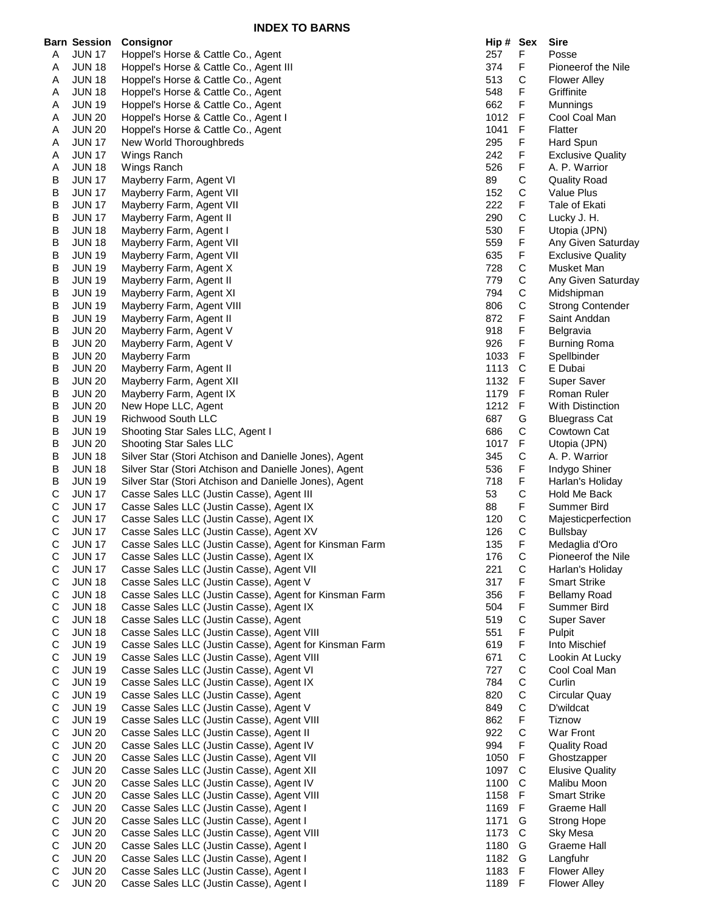|                            | <b>Barn Session</b>            | Consignor                                                                                         | Hip # Sex  |              | <b>Sire</b>                                |
|----------------------------|--------------------------------|---------------------------------------------------------------------------------------------------|------------|--------------|--------------------------------------------|
| A                          | <b>JUN 17</b>                  | Hoppel's Horse & Cattle Co., Agent                                                                | 257        | F            | Posse                                      |
| A                          | <b>JUN 18</b>                  | Hoppel's Horse & Cattle Co., Agent III                                                            | 374        | F.           | Pioneerof the Nile                         |
| A                          | <b>JUN 18</b>                  | Hoppel's Horse & Cattle Co., Agent                                                                | 513        | С            | <b>Flower Alley</b>                        |
| A                          | <b>JUN 18</b><br><b>JUN 19</b> | Hoppel's Horse & Cattle Co., Agent<br>Hoppel's Horse & Cattle Co., Agent                          | 548<br>662 | F<br>F       | Griffinite                                 |
| A<br>A                     | <b>JUN 20</b>                  | Hoppel's Horse & Cattle Co., Agent I                                                              | 1012       | F            | Munnings<br>Cool Coal Man                  |
| A                          | <b>JUN 20</b>                  | Hoppel's Horse & Cattle Co., Agent                                                                | 1041       | F            | Flatter                                    |
| A                          | <b>JUN 17</b>                  | New World Thoroughbreds                                                                           | 295        | F            | Hard Spun                                  |
| Α                          | <b>JUN 17</b>                  | Wings Ranch                                                                                       | 242        | F            | <b>Exclusive Quality</b>                   |
| A                          | <b>JUN 18</b>                  | Wings Ranch                                                                                       | 526        | F            | A. P. Warrior                              |
| B                          | <b>JUN 17</b>                  | Mayberry Farm, Agent VI                                                                           | 89         | С            | <b>Quality Road</b>                        |
| В                          | <b>JUN 17</b>                  | Mayberry Farm, Agent VII                                                                          | 152        | С            | Value Plus                                 |
| В                          | <b>JUN 17</b>                  | Mayberry Farm, Agent VII                                                                          | 222        | F            | Tale of Ekati                              |
| В                          | <b>JUN 17</b>                  | Mayberry Farm, Agent II                                                                           | 290        | C            | Lucky J. H.                                |
| B                          | <b>JUN 18</b>                  | Mayberry Farm, Agent I                                                                            | 530        | F            | Utopia (JPN)                               |
| В<br>B                     | <b>JUN 18</b>                  | Mayberry Farm, Agent VII                                                                          | 559        | F<br>F       | Any Given Saturday                         |
| B                          | <b>JUN 19</b><br><b>JUN 19</b> | Mayberry Farm, Agent VII<br>Mayberry Farm, Agent X                                                | 635<br>728 | C            | <b>Exclusive Quality</b><br>Musket Man     |
| В                          | <b>JUN 19</b>                  | Mayberry Farm, Agent II                                                                           | 779        | С            | Any Given Saturday                         |
| В                          | <b>JUN 19</b>                  | Mayberry Farm, Agent XI                                                                           | 794        | С            | Midshipman                                 |
| В                          | <b>JUN 19</b>                  | Mayberry Farm, Agent VIII                                                                         | 806        | C            | <b>Strong Contender</b>                    |
| B                          | <b>JUN 19</b>                  | Mayberry Farm, Agent II                                                                           | 872        | F            | Saint Anddan                               |
| В                          | <b>JUN 20</b>                  | Mayberry Farm, Agent V                                                                            | 918        | F            | Belgravia                                  |
| В                          | <b>JUN 20</b>                  | Mayberry Farm, Agent V                                                                            | 926        | F            | Burning Roma                               |
| B                          | <b>JUN 20</b>                  | Mayberry Farm                                                                                     | 1033       | F            | Spellbinder                                |
| B                          | <b>JUN 20</b>                  | Mayberry Farm, Agent II                                                                           | 1113       | C            | E Dubai                                    |
| В                          | <b>JUN 20</b>                  | Mayberry Farm, Agent XII                                                                          | 1132       | F            | Super Saver                                |
| B                          | <b>JUN 20</b>                  | Mayberry Farm, Agent IX                                                                           | 1179       | F            | Roman Ruler                                |
| B                          | <b>JUN 20</b>                  | New Hope LLC, Agent                                                                               | 1212       | F            | With Distinction                           |
| В                          | <b>JUN 19</b>                  | Richwood South LLC                                                                                | 687<br>686 | G<br>С       | <b>Bluegrass Cat</b>                       |
| B<br>В                     | <b>JUN 19</b><br><b>JUN 20</b> | Shooting Star Sales LLC, Agent I<br><b>Shooting Star Sales LLC</b>                                | 1017       | F            | Cowtown Cat<br>Utopia (JPN)                |
| В                          | <b>JUN 18</b>                  | Silver Star (Stori Atchison and Danielle Jones), Agent                                            | 345        | С            | A. P. Warrior                              |
| B                          | <b>JUN 18</b>                  | Silver Star (Stori Atchison and Danielle Jones), Agent                                            | 536        | F            | Indygo Shiner                              |
| B                          | <b>JUN 19</b>                  | Silver Star (Stori Atchison and Danielle Jones), Agent                                            | 718        | F            | Harlan's Holiday                           |
| C                          | <b>JUN 17</b>                  | Casse Sales LLC (Justin Casse), Agent III                                                         | 53         | C            | Hold Me Back                               |
| C                          | <b>JUN 17</b>                  | Casse Sales LLC (Justin Casse), Agent IX                                                          | 88         | F            | Summer Bird                                |
| C                          | <b>JUN 17</b>                  | Casse Sales LLC (Justin Casse), Agent IX                                                          | 120        | С            | Majesticperfection                         |
| $\mathsf C$                | <b>JUN 17</b>                  | Casse Sales LLC (Justin Casse), Agent XV                                                          | 126        | C            | Bullsbay                                   |
| С                          | <b>JUN 17</b>                  | Casse Sales LLC (Justin Casse), Agent for Kinsman Farm                                            | 135        | F            | Medaglia d'Oro                             |
| C                          | <b>JUN 17</b>                  | Casse Sales LLC (Justin Casse), Agent IX                                                          | 176        | C            | Pioneerof the Nile                         |
| C<br>$\mathsf C$           | <b>JUN 17</b><br><b>JUN 18</b> | Casse Sales LLC (Justin Casse), Agent VII                                                         | 221<br>317 | C<br>F       | Harlan's Holiday                           |
| $\mathsf C$                | <b>JUN 18</b>                  | Casse Sales LLC (Justin Casse), Agent V<br>Casse Sales LLC (Justin Casse), Agent for Kinsman Farm | 356        | F            | <b>Smart Strike</b><br><b>Bellamy Road</b> |
| $\mathsf C$                | <b>JUN 18</b>                  | Casse Sales LLC (Justin Casse), Agent IX                                                          | 504        | F            | Summer Bird                                |
| $\mathsf C$                | <b>JUN 18</b>                  | Casse Sales LLC (Justin Casse), Agent                                                             | 519        | $\mathsf C$  | Super Saver                                |
| $\mathsf C$                | <b>JUN 18</b>                  | Casse Sales LLC (Justin Casse), Agent VIII                                                        | 551        | F            | Pulpit                                     |
| $\mathsf C$                | <b>JUN 19</b>                  | Casse Sales LLC (Justin Casse), Agent for Kinsman Farm                                            | 619        | F            | Into Mischief                              |
| $\mathsf C$                | <b>JUN 19</b>                  | Casse Sales LLC (Justin Casse), Agent VIII                                                        | 671        | C            | Lookin At Lucky                            |
| $\mathbf C$                | <b>JUN 19</b>                  | Casse Sales LLC (Justin Casse), Agent VI                                                          | 727        | С            | Cool Coal Man                              |
| $\mathsf C$                | <b>JUN 19</b>                  | Casse Sales LLC (Justin Casse), Agent IX                                                          | 784        | C            | Curlin                                     |
| $\mathsf C$                | <b>JUN 19</b>                  | Casse Sales LLC (Justin Casse), Agent                                                             | 820        | C            | Circular Quay                              |
| $\mathsf C$                | <b>JUN 19</b>                  | Casse Sales LLC (Justin Casse), Agent V                                                           | 849        | $\mathsf C$  | D'wildcat                                  |
| $\mathsf C$<br>$\mathbf C$ | <b>JUN 19</b><br><b>JUN 20</b> | Casse Sales LLC (Justin Casse), Agent VIII<br>Casse Sales LLC (Justin Casse), Agent II            | 862<br>922 | F<br>C       | <b>Tiznow</b><br>War Front                 |
| $\mathsf C$                | <b>JUN 20</b>                  | Casse Sales LLC (Justin Casse), Agent IV                                                          | 994        | F            | <b>Quality Road</b>                        |
| $\mathsf C$                | <b>JUN 20</b>                  | Casse Sales LLC (Justin Casse), Agent VII                                                         | 1050       | $\mathsf F$  | Ghostzapper                                |
| $\mathsf C$                | <b>JUN 20</b>                  | Casse Sales LLC (Justin Casse), Agent XII                                                         | 1097       | C            | <b>Elusive Quality</b>                     |
| $\mathsf C$                | <b>JUN 20</b>                  | Casse Sales LLC (Justin Casse), Agent IV                                                          | 1100       | C            | Malibu Moon                                |
| $\mathsf C$                | <b>JUN 20</b>                  | Casse Sales LLC (Justin Casse), Agent VIII                                                        | 1158       | F            | <b>Smart Strike</b>                        |
| $\mathbf C$                | <b>JUN 20</b>                  | Casse Sales LLC (Justin Casse), Agent I                                                           | 1169       | F            | Graeme Hall                                |
| $\mathsf C$                | <b>JUN 20</b>                  | Casse Sales LLC (Justin Casse), Agent I                                                           | 1171       | G            | <b>Strong Hope</b>                         |
| $\mathsf C$                | <b>JUN 20</b>                  | Casse Sales LLC (Justin Casse), Agent VIII                                                        | 1173       | $\mathsf{C}$ | Sky Mesa                                   |
| C                          | <b>JUN 20</b>                  | Casse Sales LLC (Justin Casse), Agent I                                                           | 1180       | G            | <b>Graeme Hall</b>                         |
| $\mathsf C$                | <b>JUN 20</b>                  | Casse Sales LLC (Justin Casse), Agent I                                                           | 1182       | G            | Langfuhr                                   |
| C<br>$\mathbf C$           | <b>JUN 20</b>                  | Casse Sales LLC (Justin Casse), Agent I                                                           | 1183       | F            | <b>Flower Alley</b>                        |
|                            | <b>JUN 20</b>                  | Casse Sales LLC (Justin Casse), Agent I                                                           | 1189 F     |              | <b>Flower Alley</b>                        |

| lip #    | Sex          | Sire                              |
|----------|--------------|-----------------------------------|
| 57<br>74 | F<br>F       | Posse                             |
|          | C            | Pioneerof the Nile                |
| 13<br>48 | F            | <b>Flower Alley</b><br>Griffinite |
| 62       | F            | Munnings                          |
| 012      | F            | Cool Coal Man                     |
| 041      | F            | Flatter                           |
| 95       | F            | Hard Spun                         |
| 42       | F            | <b>Exclusive Quality</b>          |
| 26       | F            | A. P. Warrior                     |
| 9        | $\mathsf{C}$ | <b>Quality Road</b>               |
| 52       |              | Value Plus                        |
| 22       | C<br>F       | Tale of Ekati                     |
| 90       | $\mathsf{C}$ | Lucky J. H.                       |
| 30       | F            | Utopia (JPN)                      |
| 59       | F            | Any Given Saturday                |
| 35       | F            | <b>Exclusive Quality</b>          |
| 28       |              | Musket Man                        |
| 79       | C<br>C<br>C  | Any Given Saturday                |
| '94      |              | Midshipman                        |
| 06       |              | <b>Strong Contender</b>           |
| 72       | C<br>F       | Saint Anddan                      |
| 18       | F            | Belgravia                         |
| 26       | F            | <b>Burning Roma</b>               |
| 033      | F            | Spellbinder                       |
| 113      |              | E Dubai                           |
| 132      | C<br>F       | <b>Super Saver</b>                |
| 179      | F            | Roman Ruler                       |
| 212      | F            | <b>With Distinction</b>           |
| 87       | G            | <b>Bluegrass Cat</b>              |
| 86       | C            | Cowtown Cat                       |
| 017      | F            | Utopia (JPN)                      |
| 45       | $\mathsf{C}$ | A. P. Warrior                     |
| 36       | F            | Indygo Shiner                     |
| 18       | F<br>C       | Harlan's Holiday                  |
| 3        |              | Hold Me Back                      |
| 8        | F            | Summer Bird                       |
| 20       | C<br>C<br>F  | Majesticperfection                |
| 26       |              | Bullsbay                          |
| 35       |              | Medaglia d'Oro                    |
| 76       | $\mathsf{C}$ | Pioneerof the Nile                |
| 21       | C            | Harlan's Holiday                  |
| 17       | F            | <b>Smart Strike</b>               |
| 56       | F            | Bellamy Road                      |
| 04       | F            | Summer Bird                       |
| 19       | C<br>F       | Super Saver                       |
| 51       |              | Pulpit                            |
| 19       | F            | Into Mischief                     |
| 71       | CCCCCFCFFC   | Lookin At Lucky                   |
| 27       |              | Cool Coal Man                     |
| 84       |              | Curlin                            |
| 20       |              | Circular Quay                     |
| 49       |              | D'wildcat                         |
| 62       |              | <b>Tiznow</b>                     |
| 22       |              | War Front                         |
| 94       |              | <b>Quality Road</b>               |
| 050      |              | Ghostzapper                       |
| 097      |              | <b>Elusive Quality</b>            |
| 100      | $\mathsf{C}$ | Malibu Moon                       |
| 158      | F            | <b>Smart Strike</b>               |
| 169      | F            | Graeme Hall                       |
| 171      | G<br>C       | <b>Strong Hope</b>                |
| 173      |              | Sky Mesa                          |
| 180      | G<br>G       | Graeme Hall                       |
| 182      | F            | Langfuhr                          |
| 183      | F            | Flower Alley                      |
| 189      |              | <b>Flower Alley</b>               |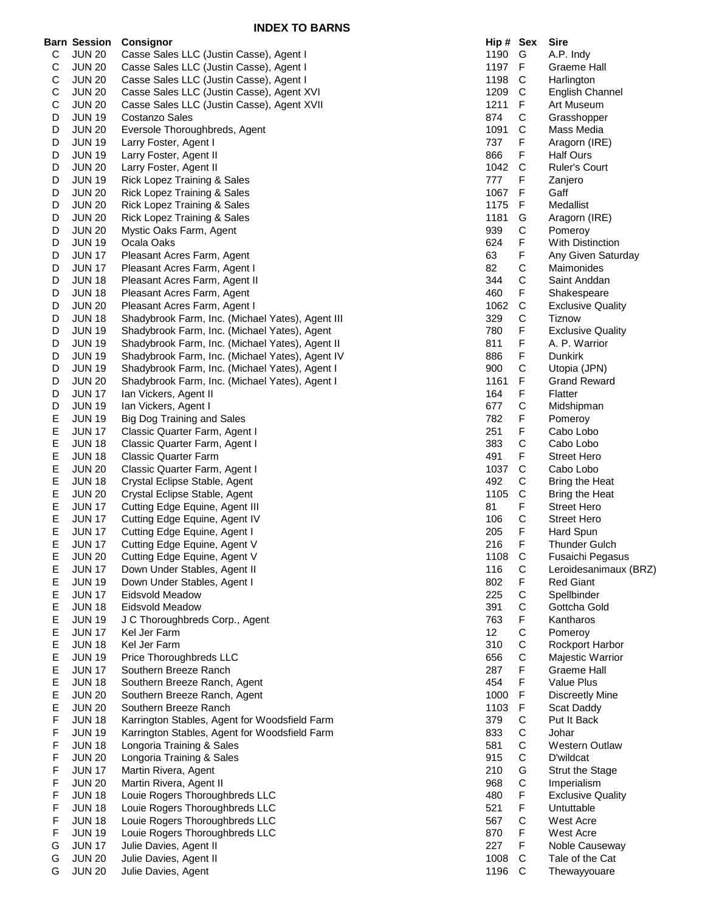|        | Barn Session                   | <b>Consignor</b>                                              | Hip # Sex              |                  | <b>Sire</b>                         |
|--------|--------------------------------|---------------------------------------------------------------|------------------------|------------------|-------------------------------------|
| С      | <b>JUN 20</b>                  | Casse Sales LLC (Justin Casse), Agent I                       | 1190                   | G                | A.P. Indy                           |
| С      | <b>JUN 20</b>                  | Casse Sales LLC (Justin Casse), Agent I                       | 1197                   | -F               | <b>Graeme Hall</b>                  |
| С      | <b>JUN 20</b>                  | Casse Sales LLC (Justin Casse), Agent I                       | 1198                   | C                | Harlington                          |
| С      | <b>JUN 20</b>                  | Casse Sales LLC (Justin Casse), Agent XVI                     | 1209                   | C                | <b>English Channel</b>              |
| С      | <b>JUN 20</b>                  | Casse Sales LLC (Justin Casse), Agent XVII                    | 1211                   | F                | Art Museum                          |
| D      | <b>JUN 19</b>                  | Costanzo Sales                                                | 874                    | С                | Grasshopper                         |
| D      | <b>JUN 20</b>                  | Eversole Thoroughbreds, Agent                                 | 1091                   | C                | Mass Media                          |
| D      | <b>JUN 19</b>                  | Larry Foster, Agent I                                         | 737                    | F                | Aragorn (IRE)                       |
| D      | <b>JUN 19</b>                  | Larry Foster, Agent II                                        | 866                    | F                | <b>Half Ours</b>                    |
| D      | <b>JUN 20</b>                  | Larry Foster, Agent II                                        | 1042                   | C                | <b>Ruler's Court</b>                |
| D      | <b>JUN 19</b>                  | Rick Lopez Training & Sales                                   | 777                    | F                | Zanjero                             |
| D      | <b>JUN 20</b>                  | Rick Lopez Training & Sales                                   | 1067                   | F                | Gaff                                |
| D      | <b>JUN 20</b>                  | Rick Lopez Training & Sales                                   | 1175                   | F                | Medallist                           |
| D      | <b>JUN 20</b>                  | Rick Lopez Training & Sales                                   | 1181                   | G                | Aragorn (IRE)                       |
| D      | <b>JUN 20</b>                  | Mystic Oaks Farm, Agent                                       | 939                    | С                | Pomeroy                             |
| D      | <b>JUN 19</b>                  | Ocala Oaks                                                    | 624                    | F                | <b>With Distinction</b>             |
| D      | <b>JUN 17</b>                  | Pleasant Acres Farm, Agent                                    | 63                     | F                | Any Given Saturday                  |
| D      | <b>JUN 17</b><br><b>JUN 18</b> | Pleasant Acres Farm, Agent I<br>Pleasant Acres Farm, Agent II | 82<br>344              | C<br>C           | Maimonides<br>Saint Anddan          |
| D<br>D | <b>JUN 18</b>                  | Pleasant Acres Farm, Agent                                    | 460                    | F                | Shakespeare                         |
| D      | <b>JUN 20</b>                  | Pleasant Acres Farm, Agent I                                  | 1062                   | C                | <b>Exclusive Quality</b>            |
| D      | <b>JUN 18</b>                  | Shadybrook Farm, Inc. (Michael Yates), Agent III              | 329                    | C                | Tiznow                              |
| D      | <b>JUN 19</b>                  | Shadybrook Farm, Inc. (Michael Yates), Agent                  | 780                    | F                | <b>Exclusive Quality</b>            |
| D      | <b>JUN 19</b>                  | Shadybrook Farm, Inc. (Michael Yates), Agent II               | 811                    | F                | A. P. Warrior                       |
| D      | <b>JUN 19</b>                  | Shadybrook Farm, Inc. (Michael Yates), Agent IV               | 886                    | F                | Dunkirk                             |
| D      | <b>JUN 19</b>                  | Shadybrook Farm, Inc. (Michael Yates), Agent I                | 900                    | C                | Utopia (JPN)                        |
| D      | <b>JUN 20</b>                  | Shadybrook Farm, Inc. (Michael Yates), Agent I                | 1161                   | F                | <b>Grand Reward</b>                 |
| D      | <b>JUN 17</b>                  | Ian Vickers, Agent II                                         | 164                    | F                | Flatter                             |
| D      | <b>JUN 19</b>                  | Ian Vickers, Agent I                                          | 677                    | C                | Midshipman                          |
| E      | <b>JUN 19</b>                  | <b>Big Dog Training and Sales</b>                             | 782                    | F                | Pomeroy                             |
| Е      | <b>JUN 17</b>                  | Classic Quarter Farm, Agent I                                 | 251                    | F                | Cabo Lobo                           |
| E      | <b>JUN 18</b>                  | Classic Quarter Farm, Agent I                                 | 383                    | C                | Cabo Lobo                           |
| Е      | <b>JUN 18</b>                  | <b>Classic Quarter Farm</b>                                   | 491                    | F                | Street Hero                         |
| Е      | <b>JUN 20</b>                  | Classic Quarter Farm, Agent I                                 | 1037                   | C                | Cabo Lobo                           |
| E      | <b>JUN 18</b>                  | Crystal Eclipse Stable, Agent                                 | 492                    | C                | Bring the Heat                      |
| Е      | <b>JUN 20</b>                  | Crystal Eclipse Stable, Agent                                 | 1105                   | $\mathsf{C}$     | Bring the Heat                      |
| Е      | <b>JUN 17</b>                  | Cutting Edge Equine, Agent III                                | 81                     | F                | <b>Street Hero</b>                  |
| Е      | <b>JUN 17</b>                  | Cutting Edge Equine, Agent IV                                 | 106                    | C                | <b>Street Hero</b>                  |
| Е      | <b>JUN 17</b>                  | Cutting Edge Equine, Agent I                                  | 205                    | F                | Hard Spun                           |
| E      | <b>JUN 17</b>                  | Cutting Edge Equine, Agent V                                  | 216                    | F                | <b>Thunder Gulch</b>                |
| Е      | <b>JUN 20</b>                  | Cutting Edge Equine, Agent V                                  | 1108                   | C                | Fusaichi Pegasus                    |
| E      | <b>JUN 17</b>                  | Down Under Stables, Agent II                                  | 116                    | C                | Leroidesanimaux (BRZ)               |
| Е      | <b>JUN 19</b>                  | Down Under Stables, Agent I                                   | 802                    | F                | <b>Red Giant</b>                    |
| E      | <b>JUN 17</b>                  | <b>Eidsvold Meadow</b>                                        | 225                    | C                | Spellbinder                         |
| Е      | <b>JUN 18</b>                  | Eidsvold Meadow                                               | 391                    | C                | Gottcha Gold                        |
| E      | <b>JUN 19</b>                  | J C Thoroughbreds Corp., Agent                                | 763                    | F                | Kantharos                           |
| Е      | <b>JUN 17</b>                  | Kel Jer Farm                                                  | 12 <sup>2</sup><br>310 | $\mathsf C$<br>C | Pomeroy                             |
| Е      | <b>JUN 18</b><br><b>JUN 19</b> | Kel Jer Farm<br>Price Thoroughbreds LLC                       | 656                    | C                | Rockport Harbor<br>Majestic Warrior |
| E<br>Е | <b>JUN 17</b>                  | Southern Breeze Ranch                                         | 287                    | F                | <b>Graeme Hall</b>                  |
| Е      | <b>JUN 18</b>                  | Southern Breeze Ranch, Agent                                  | 454                    | F                | Value Plus                          |
| E      | <b>JUN 20</b>                  | Southern Breeze Ranch, Agent                                  | 1000                   | F                | <b>Discreetly Mine</b>              |
| E      | <b>JUN 20</b>                  | Southern Breeze Ranch                                         | 1103                   | F                | Scat Daddy                          |
| F      | <b>JUN 18</b>                  | Karrington Stables, Agent for Woodsfield Farm                 | 379                    | C                | Put It Back                         |
| F      | <b>JUN 19</b>                  | Karrington Stables, Agent for Woodsfield Farm                 | 833                    | C                | Johar                               |
| F      | <b>JUN 18</b>                  | Longoria Training & Sales                                     | 581                    | C                | <b>Western Outlaw</b>               |
| F      | <b>JUN 20</b>                  | Longoria Training & Sales                                     | 915                    | C                | D'wildcat                           |
| F      | <b>JUN 17</b>                  | Martin Rivera, Agent                                          | 210                    | G                | <b>Strut the Stage</b>              |
| F      | <b>JUN 20</b>                  | Martin Rivera, Agent II                                       | 968                    | C                | Imperialism                         |
| F      | <b>JUN 18</b>                  | Louie Rogers Thoroughbreds LLC                                | 480                    | F                | <b>Exclusive Quality</b>            |
| F      | <b>JUN 18</b>                  | Louie Rogers Thoroughbreds LLC                                | 521                    | F                | Untuttable                          |
| F      | <b>JUN 18</b>                  | Louie Rogers Thoroughbreds LLC                                | 567                    | C                | West Acre                           |
| F      | <b>JUN 19</b>                  | Louie Rogers Thoroughbreds LLC                                | 870                    | F                | West Acre                           |
| G      | <b>JUN 17</b>                  | Julie Davies, Agent II                                        | 227                    | F                | Noble Causeway                      |
| G      | <b>JUN 20</b>                  | Julie Davies, Agent II                                        | 1008                   | C                | Tale of the Cat                     |
| G      | <b>JUN 20</b>                  | Julie Davies, Agent                                           | 1196                   | C                | Thewayyouare                        |

| Hip # | Sex               | Sire                     |
|-------|-------------------|--------------------------|
| 1190  | G                 | A.P. Indy                |
| 1197  | F                 | Graeme Hall              |
| 1198  | $\mathsf{C}$      | Harlington               |
| 1209  | C                 | <b>English Channel</b>   |
| 1211  | F                 | Art Museum               |
| 874   | C                 | Grasshopper              |
| 1091  | C                 | Mass Media               |
| 737   | F                 | Aragorn (IRE)            |
| 866   | F                 | Half Ours                |
| 1042  | C                 | <b>Ruler's Court</b>     |
| 777   | F                 | Zanjero                  |
| 1067  | F                 | Gaff                     |
| 1175  | F                 | Medallist                |
| 1181  | G                 | Aragorn (IRE)            |
| 939   | C                 | Pomeroy                  |
| 624   | F                 | <b>With Distinction</b>  |
| 63    | F                 | Any Given Saturday       |
| 82    | $\mathsf{C}$      | Maimonides               |
| 344   | C                 | Saint Anddan             |
| 460   | F                 | Shakespeare              |
| 1062  | C                 | <b>Exclusive Quality</b> |
| 329   | C                 | Tiznow                   |
| 780   | F                 | <b>Exclusive Quality</b> |
| 811   | F                 | A. P. Warrior            |
| 886   | F                 | Dunkirk                  |
| 900   | C                 | Utopia (JPN)             |
| 1161  | F                 | <b>Grand Reward</b>      |
| 164   | F                 | Flatter                  |
| 677   | C                 | Midshipman               |
| 782   | F                 | Pomeroy                  |
| 251   | F                 | Cabo Lobo                |
| 383   | C                 | Cabo Lobo                |
| 491   | F                 | <b>Street Hero</b>       |
| 1037  | C                 | Cabo Lobo                |
| 492   | C                 | <b>Bring the Heat</b>    |
| 1105  | $\mathsf{C}$      | <b>Bring the Heat</b>    |
| 81    | F                 | <b>Street Hero</b>       |
| 106   | C                 | <b>Street Hero</b>       |
| 205   | F                 | <b>Hard Spun</b>         |
| 216   | F                 | <b>Thunder Gulch</b>     |
| 1108  | C                 | Fusaichi Pegasus         |
| 116   |                   | Leroidesanimaux (BRZ)    |
| 802   | <b>CFCCF</b>      | <b>Red Giant</b>         |
| 225   |                   | Spellbinder              |
| 391   |                   | Gottcha Gold             |
| 763   |                   | Kantharos                |
| 12    | C<br>C<br>C       | Pomeroy                  |
| 310   |                   | Rockport Harbor          |
| 656   |                   | Majestic Warrior         |
| 287   | F                 | Graeme Hall              |
| 454   | F                 | Value Plus               |
| 1000  | F                 | Discreetly Mine          |
| 1103  | FCCC<br>CCC       | Scat Daddy               |
| 379   |                   | Put It Back              |
| 833   |                   | Johar                    |
| 581   |                   | <b>Western Outlaw</b>    |
| 915   |                   | D'wildcat                |
| 210   | G<br>C<br>F       | <b>Strut the Stage</b>   |
| 968   |                   | Imperialism              |
| 480   |                   | <b>Exclusive Quality</b> |
| 521   | F                 | Untuttable               |
| 567   | $\mathsf{C}$<br>F | West Acre                |
| 870   |                   | West Acre                |
| 227   | F                 | Noble Causeway           |
| 1008  | C                 | Tale of the Cat          |
| 1196  | C                 | Thewayyouare             |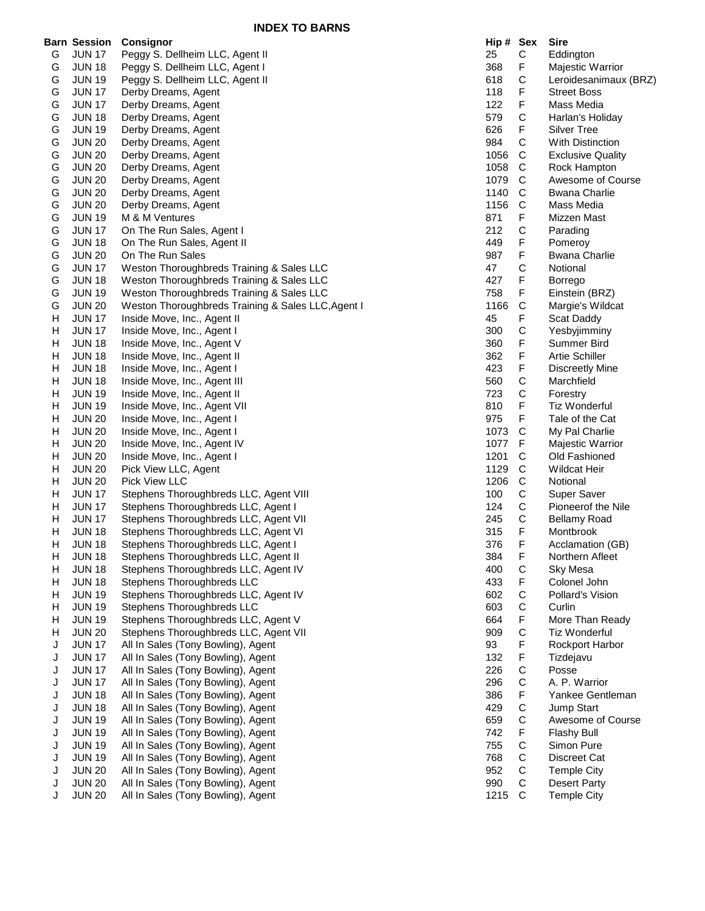|        | <b>Barn Session</b>            | Consignor                                                          | Hip # Sex  |                  | <b>Sire</b>                      |
|--------|--------------------------------|--------------------------------------------------------------------|------------|------------------|----------------------------------|
| G      | <b>JUN 17</b>                  | Peggy S. Dellheim LLC, Agent II                                    | 25         | $\mathsf C$      | Eddington                        |
| G      | <b>JUN 18</b>                  | Peggy S. Dellheim LLC, Agent I                                     | 368        | F                | Majestic Warrior                 |
| G      | <b>JUN 19</b>                  | Peggy S. Dellheim LLC, Agent II                                    | 618        | C                | Leroidesanimaux (BRZ)            |
| G      | <b>JUN 17</b>                  | Derby Dreams, Agent                                                | 118        | F                | <b>Street Boss</b>               |
| G      | <b>JUN 17</b>                  | Derby Dreams, Agent                                                | 122        | F                | Mass Media                       |
| G      | <b>JUN 18</b>                  | Derby Dreams, Agent                                                | 579        | C                | Harlan's Holiday                 |
| G      | <b>JUN 19</b>                  | Derby Dreams, Agent                                                | 626        | F                | Silver Tree                      |
| G      | <b>JUN 20</b>                  | Derby Dreams, Agent                                                | 984        | C                | <b>With Distinction</b>          |
| G      | <b>JUN 20</b>                  | Derby Dreams, Agent                                                | 1056       | C                | <b>Exclusive Quality</b>         |
| G      | <b>JUN 20</b>                  | Derby Dreams, Agent                                                | 1058       | C                | Rock Hampton                     |
| G      | <b>JUN 20</b>                  | Derby Dreams, Agent                                                | 1079       | C                | Awesome of Course                |
| G      | <b>JUN 20</b>                  | Derby Dreams, Agent                                                | 1140       | C                | <b>Bwana Charlie</b>             |
| G      | <b>JUN 20</b>                  | Derby Dreams, Agent                                                | 1156       | C                | Mass Media                       |
| G      | <b>JUN 19</b>                  | M & M Ventures                                                     | 871        | F                | Mizzen Mast                      |
| G      | <b>JUN 17</b>                  | On The Run Sales, Agent I                                          | 212        | C                | Parading                         |
| G      | <b>JUN 18</b>                  | On The Run Sales, Agent II                                         | 449        | F                | Pomeroy                          |
| G      | <b>JUN 20</b>                  | On The Run Sales                                                   | 987        | F                | <b>Bwana Charlie</b>             |
| G      | <b>JUN 17</b>                  | Weston Thoroughbreds Training & Sales LLC                          | 47         | $\mathsf{C}$     | Notional                         |
| G      | <b>JUN 18</b>                  | Weston Thoroughbreds Training & Sales LLC                          | 427        | F                | Borrego                          |
| G      | <b>JUN 19</b>                  | Weston Thoroughbreds Training & Sales LLC                          | 758        | F                | Einstein (BRZ)                   |
| G      | <b>JUN 20</b>                  | Weston Thoroughbreds Training & Sales LLC, Agent I                 | 1166       | $\mathsf{C}$     | Margie's Wildcat                 |
| н      | <b>JUN 17</b>                  | Inside Move, Inc., Agent II                                        | 45         | F                | Scat Daddy                       |
| H      | <b>JUN 17</b>                  | Inside Move, Inc., Agent I                                         | 300        | C                | Yesbyjimminy                     |
| H      | <b>JUN 18</b>                  | Inside Move, Inc., Agent V                                         | 360        | F                | Summer Bird                      |
| H      | <b>JUN 18</b>                  | Inside Move, Inc., Agent II                                        | 362        | F                | <b>Artie Schiller</b>            |
| н      | <b>JUN 18</b>                  | Inside Move, Inc., Agent I                                         | 423        | F                | <b>Discreetly Mine</b>           |
| н      | <b>JUN 18</b>                  | Inside Move, Inc., Agent III                                       | 560        | C                | Marchfield                       |
| н      | <b>JUN 19</b>                  | Inside Move, Inc., Agent II                                        | 723        | C                | Forestry                         |
| н      | <b>JUN 19</b>                  | Inside Move, Inc., Agent VII                                       | 810        | F                | <b>Tiz Wonderful</b>             |
| H      | <b>JUN 20</b>                  | Inside Move, Inc., Agent I                                         | 975        | F                | Tale of the Cat                  |
| H      | <b>JUN 20</b>                  | Inside Move, Inc., Agent I                                         | 1073       | C                | My Pal Charlie                   |
| н      | <b>JUN 20</b>                  | Inside Move, Inc., Agent IV                                        | 1077       | F                | Majestic Warrior                 |
| H      | <b>JUN 20</b>                  | Inside Move, Inc., Agent I                                         | 1201       | C                | Old Fashioned                    |
| н      | <b>JUN 20</b>                  | Pick View LLC, Agent                                               | 1129       | C                | <b>Wildcat Heir</b>              |
| H      | <b>JUN 20</b>                  | Pick View LLC                                                      | 1206       | C                | Notional                         |
| H      | <b>JUN 17</b>                  | Stephens Thoroughbreds LLC, Agent VIII                             | 100        | C                | <b>Super Saver</b>               |
| H      | <b>JUN 17</b>                  | Stephens Thoroughbreds LLC, Agent I                                | 124        | С                | Pioneerof the Nile               |
| н      | <b>JUN 17</b>                  | Stephens Thoroughbreds LLC, Agent VII                              | 245        | C                | <b>Bellamy Road</b>              |
| н      | <b>JUN 18</b>                  | Stephens Thoroughbreds LLC, Agent VI                               | 315        | F                | Montbrook                        |
| н      | <b>JUN 18</b>                  | Stephens Thoroughbreds LLC, Agent I                                | 376        | F                | Acclamation (GB)                 |
| H      | <b>JUN 18</b>                  | Stephens Thoroughbreds LLC, Agent II                               | 384        | F                | Northern Afleet                  |
| н      | <b>JUN 18</b>                  | Stephens Thoroughbreds LLC, Agent IV                               | 400        | C                | Sky Mesa                         |
| н      | <b>JUN 18</b>                  | Stephens Thoroughbreds LLC<br>Stephens Thoroughbreds LLC, Agent IV | 433<br>602 | F<br>$\mathsf C$ | Colonel John<br>Pollard's Vision |
| н<br>н | <b>JUN 19</b><br><b>JUN 19</b> | Stephens Thoroughbreds LLC                                         | 603        | C                | Curlin                           |
| н      | <b>JUN 19</b>                  | Stephens Thoroughbreds LLC, Agent V                                | 664        | F                | More Than Ready                  |
| H      | <b>JUN 20</b>                  | Stephens Thoroughbreds LLC, Agent VII                              | 909        | C                | <b>Tiz Wonderful</b>             |
| J      | <b>JUN 17</b>                  | All In Sales (Tony Bowling), Agent                                 | 93         | F                | Rockport Harbor                  |
| J      | <b>JUN 17</b>                  | All In Sales (Tony Bowling), Agent                                 | 132        | F                | Tizdejavu                        |
| J      | <b>JUN 17</b>                  | All In Sales (Tony Bowling), Agent                                 | 226        | $\mathsf C$      | Posse                            |
| J      | <b>JUN 17</b>                  | All In Sales (Tony Bowling), Agent                                 | 296        | $\mathsf C$      | A. P. Warrior                    |
| J      | <b>JUN 18</b>                  | All In Sales (Tony Bowling), Agent                                 | 386        | F                | Yankee Gentleman                 |
| J      | <b>JUN 18</b>                  | All In Sales (Tony Bowling), Agent                                 | 429        | C                | Jump Start                       |
| J      | <b>JUN 19</b>                  | All In Sales (Tony Bowling), Agent                                 | 659        | C                | Awesome of Course                |
| J      | <b>JUN 19</b>                  | All In Sales (Tony Bowling), Agent                                 | 742        | F                | <b>Flashy Bull</b>               |
| J      | <b>JUN 19</b>                  | All In Sales (Tony Bowling), Agent                                 | 755        | $\mathsf C$      | Simon Pure                       |
| J      | <b>JUN 19</b>                  | All In Sales (Tony Bowling), Agent                                 | 768        | $\mathbf C$      | Discreet Cat                     |
| J      | <b>JUN 20</b>                  | All In Sales (Tony Bowling), Agent                                 | 952        | C                | <b>Temple City</b>               |
| J      | <b>JUN 20</b>                  | All In Sales (Tony Bowling), Agent                                 | 990        | C                | <b>Desert Party</b>              |
| J      | <b>JUN 20</b>                  | All In Sales (Tony Bowling), Agent                                 | 1215       | C                | <b>Temple City</b>               |
|        |                                |                                                                    |            |                  |                                  |

| Hip#       | Sex                 | Sire                     |
|------------|---------------------|--------------------------|
| 25         | С                   | Eddington                |
| 368        | F                   | Majestic Warrior         |
| 618        | C<br>F              | Leroidesanimaux (BR2     |
| 118        |                     | <b>Street Boss</b>       |
| 122        |                     | Mass Media               |
| 579        |                     | Harlan's Holiday         |
| 626        | F<br>C<br>F         | <b>Silver Tree</b>       |
| 984        |                     | <b>With Distinction</b>  |
| 1056       |                     | <b>Exclusive Quality</b> |
| 1058       | CCCCCCFCF           | Rock Hampton             |
| 1079       |                     | Awesome of Course        |
| 1140       |                     | <b>Bwana Charlie</b>     |
| 1156       |                     | Mass Media               |
| 871        |                     | Mizzen Mast              |
| 212        |                     | Parading                 |
| 449        |                     | Pomeroy                  |
| 987        | F                   | <b>Bwana Charlie</b>     |
| 47         |                     | Notional                 |
|            | C<br>F<br>F<br>C    | Borrego                  |
| 427<br>758 |                     | Einstein (BRZ)           |
|            |                     |                          |
| 1166       | F                   | Margie's Wildcat         |
| 45         |                     | Scat Daddy               |
| 300        | C<br>F              | Yesbyjimminy             |
| 360        |                     | Summer Bird              |
| 362        | F<br>F              | <b>Artie Schiller</b>    |
| 423        |                     | Discreetly Mine          |
| 560        | $\mathsf{C}$        | Marchfield               |
| 723        | C<br>F              | Forestry                 |
| 810        |                     | <b>Tiz Wonderful</b>     |
| 975        | F                   | Tale of the Cat          |
| 1073       | C<br>F              | My Pal Charlie           |
| 1077       |                     | Majestic Warrior         |
| 1201       |                     | Old Fashioned            |
| 1129       |                     | <b>Wildcat Heir</b>      |
| 1206       |                     | Notional                 |
| 100        |                     | <b>Super Saver</b>       |
| 124        |                     | Pioneerof the Nile       |
| 245        | CCCCCC              | <b>Bellamy Road</b>      |
| 315        | F                   | Montbrook                |
| 376        | F                   | Acclamation (GB)         |
| 384        | F                   | Northern Afleet          |
| 400        |                     | Sky Mesa                 |
| 433        |                     | Colonel John             |
| 602        |                     | Pollard's Vision         |
| 603        |                     | Curlin                   |
| 664        |                     | More Than Ready          |
| 909        |                     | Tiz Wonderful            |
| 93         |                     | Rockport Harbor          |
| 132        |                     | Tizdejavu                |
| 226        |                     | Posse                    |
| 296        |                     | A. P. Warrior            |
| 386        |                     | Yankee Gentleman         |
| 429        |                     | Jump Start               |
| 659        |                     | Awesome of Course        |
| 742        |                     | Flashy Bull              |
|            |                     | Simon Pure               |
| 755        |                     |                          |
| 768        |                     | Discreet Cat             |
| 952        | CFCCFCFFCCFCCFCCCCC | <b>Temple City</b>       |
| 990        |                     | <b>Desert Party</b>      |
| 1215       |                     | <b>Temple City</b>       |